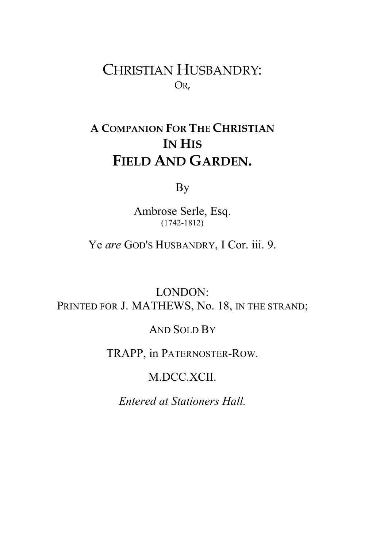CHRISTIAN HUSBANDRY: OR,

## **A COMPANION FOR THE CHRISTIAN IN HIS FIELD AND GARDEN.**

By

Ambrose Serle, Esq. (1742-1812)

Ye *are* GOD'S HUSBANDRY, I Cor. iii. 9.

LONDON: PRINTED FOR J. MATHEWS, No. 18, IN THE STRAND;

### AND SOLD BY

### TRAPP, in PATERNOSTER-ROW.

### M.DCC.XCII.

*Entered at Stationers Hall.*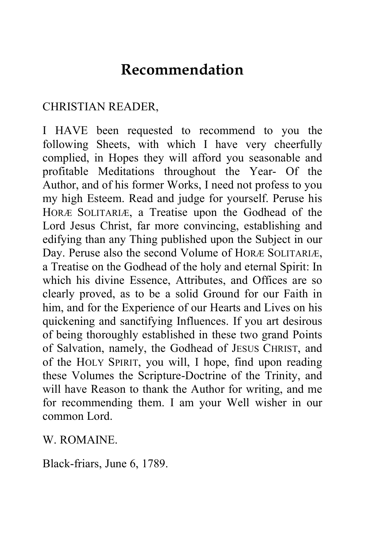# **Recommendation**

### CHRISTIAN READER,

I HAVE been requested to recommend to you the following Sheets, with which I have very cheerfully complied, in Hopes they will afford you seasonable and profitable Meditations throughout the Year- Of the Author, and of his former Works, I need not profess to you my high Esteem. Read and judge for yourself. Peruse his HORÆ SOLITARIÆ, a Treatise upon the Godhead of the Lord Jesus Christ, far more convincing, establishing and edifying than any Thing published upon the Subject in our Day. Peruse also the second Volume of HORÆ SOLITARIÆ, a Treatise on the Godhead of the holy and eternal Spirit: In which his divine Essence, Attributes, and Offices are so clearly proved, as to be a solid Ground for our Faith in him, and for the Experience of our Hearts and Lives on his quickening and sanctifying Influences. If you art desirous of being thoroughly established in these two grand Points of Salvation, namely, the Godhead of JESUS CHRIST, and of the HOLY SPIRIT, you will, I hope, find upon reading these Volumes the Scripture-Doctrine of the Trinity, and will have Reason to thank the Author for writing, and me for recommending them. I am your Well wisher in our common Lord.

W. ROMAINE.

Black-friars, June 6, 1789.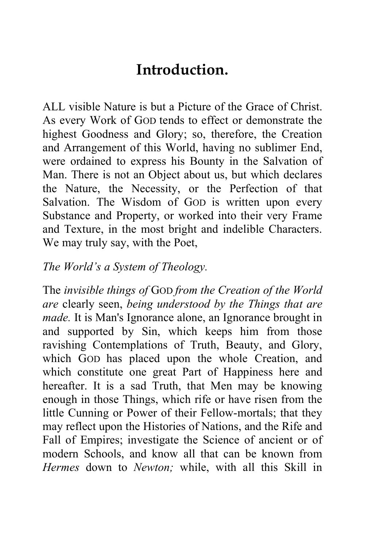# **Introduction.**

ALL visible Nature is but a Picture of the Grace of Christ. As every Work of GOD tends to effect or demonstrate the highest Goodness and Glory; so, therefore, the Creation and Arrangement of this World, having no sublimer End, were ordained to express his Bounty in the Salvation of Man. There is not an Object about us, but which declares the Nature, the Necessity, or the Perfection of that Salvation. The Wisdom of GOD is written upon every Substance and Property, or worked into their very Frame and Texture, in the most bright and indelible Characters. We may truly say, with the Poet,

### *The World's a System of Theology.*

The *invisible things of* GOD *from the Creation of the World are* clearly seen, *being understood by the Things that are made.* It is Man's Ignorance alone, an Ignorance brought in and supported by Sin, which keeps him from those ravishing Contemplations of Truth, Beauty, and Glory, which GOD has placed upon the whole Creation, and which constitute one great Part of Happiness here and hereafter. It is a sad Truth, that Men may be knowing enough in those Things, which rife or have risen from the little Cunning or Power of their Fellow-mortals; that they may reflect upon the Histories of Nations, and the Rife and Fall of Empires; investigate the Science of ancient or of modern Schools, and know all that can be known from *Hermes* down to *Newton;* while, with all this Skill in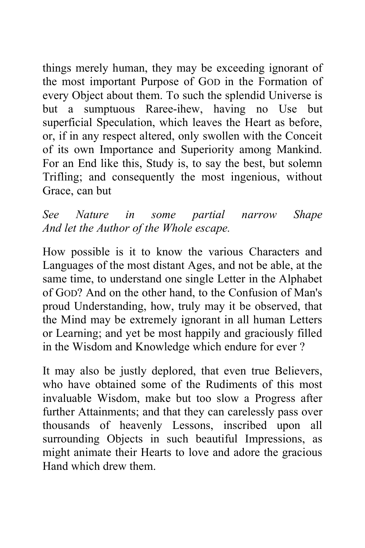things merely human, they may be exceeding ignorant of the most important Purpose of GOD in the Formation of every Object about them. To such the splendid Universe is but a sumptuous Raree-ihew, having no Use but superficial Speculation, which leaves the Heart as before, or, if in any respect altered, only swollen with the Conceit of its own Importance and Superiority among Mankind. For an End like this, Study is, to say the best, but solemn Trifling; and consequently the most ingenious, without Grace, can but

*See Nature in some partial narrow Shape And let the Author of the Whole escape.* 

How possible is it to know the various Characters and Languages of the most distant Ages, and not be able, at the same time, to understand one single Letter in the Alphabet of GOD? And on the other hand, to the Confusion of Man's proud Understanding, how, truly may it be observed, that the Mind may be extremely ignorant in all human Letters or Learning; and yet be most happily and graciously filled in the Wisdom and Knowledge which endure for ever ?

It may also be justly deplored, that even true Believers, who have obtained some of the Rudiments of this most invaluable Wisdom, make but too slow a Progress after further Attainments; and that they can carelessly pass over thousands of heavenly Lessons, inscribed upon all surrounding Objects in such beautiful Impressions, as might animate their Hearts to love and adore the gracious Hand which drew them.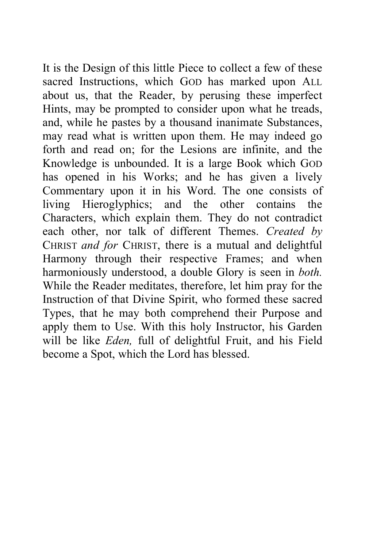It is the Design of this little Piece to collect a few of these sacred Instructions, which GOD has marked upon ALL about us, that the Reader, by perusing these imperfect Hints, may be prompted to consider upon what he treads, and, while he pastes by a thousand inanimate Substances, may read what is written upon them. He may indeed go forth and read on; for the Lesions are infinite, and the Knowledge is unbounded. It is a large Book which GOD has opened in his Works; and he has given a lively Commentary upon it in his Word. The one consists of living Hieroglyphics; and the other contains the Characters, which explain them. They do not contradict each other, nor talk of different Themes. *Created by*  CHRIST *and for* CHRIST, there is a mutual and delightful Harmony through their respective Frames; and when harmoniously understood, a double Glory is seen in *both.*  While the Reader meditates, therefore, let him pray for the Instruction of that Divine Spirit, who formed these sacred Types, that he may both comprehend their Purpose and apply them to Use. With this holy Instructor, his Garden will be like *Eden,* full of delightful Fruit, and his Field become a Spot, which the Lord has blessed.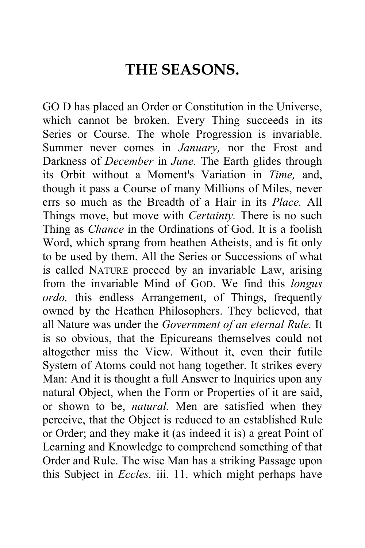# **THE SEASONS.**

GO D has placed an Order or Constitution in the Universe, which cannot be broken. Every Thing succeeds in its Series or Course. The whole Progression is invariable. Summer never comes in *January,* nor the Frost and Darkness of *December* in *June.* The Earth glides through its Orbit without a Moment's Variation in *Time,* and, though it pass a Course of many Millions of Miles, never errs so much as the Breadth of a Hair in its *Place.* All Things move, but move with *Certainty.* There is no such Thing as *Chance* in the Ordinations of God. It is a foolish Word, which sprang from heathen Atheists, and is fit only to be used by them. All the Series or Successions of what is called NATURE proceed by an invariable Law, arising from the invariable Mind of GOD. We find this *longus ordo,* this endless Arrangement, of Things, frequently owned by the Heathen Philosophers. They believed, that all Nature was under the *Government of an eternal Rule.* It is so obvious, that the Epicureans themselves could not altogether miss the View. Without it, even their futile System of Atoms could not hang together. It strikes every Man: And it is thought a full Answer to Inquiries upon any natural Object, when the Form or Properties of it are said, or shown to be, *natural.* Men are satisfied when they perceive, that the Object is reduced to an established Rule or Order; and they make it (as indeed it is) a great Point of Learning and Knowledge to comprehend something of that Order and Rule. The wise Man has a striking Passage upon this Subject in *Eccles.* iii. 11. which might perhaps have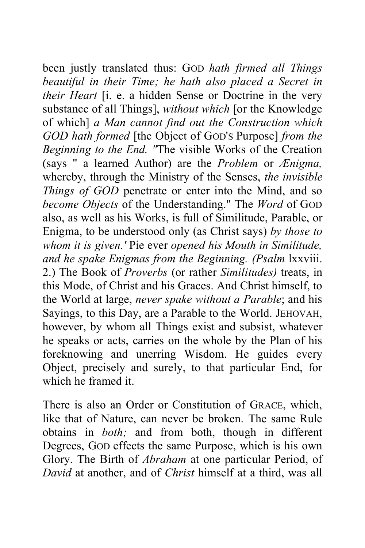been justly translated thus: GOD *hath firmed all Things beautiful in their Time; he hath also placed a Secret in their Heart* [i. e. a hidden Sense or Doctrine in the very substance of all Things], *without which* [or the Knowledge of which] *a Man cannot find out the Construction which GOD hath formed* [the Object of GOD'S Purpose] *from the Beginning to the End. "*The visible Works of the Creation (says " a learned Author) are the *Problem* or *Ænigma,*  whereby, through the Ministry of the Senses, *the invisible Things of GOD* penetrate or enter into the Mind, and so *become Objects* of the Understanding." The *Word* of GOD also, as well as his Works, is full of Similitude, Parable, or Enigma, to be understood only (as Christ says) *by those to whom it is given.'* Pie ever *opened his Mouth in Similitude, and he spake Enigmas from the Beginning. (Psalm* lxxviii. 2.) The Book of *Proverbs* (or rather *Similitudes)* treats, in this Mode, of Christ and his Graces. And Christ himself, to the World at large, *never spake without a Parable*; and his Sayings, to this Day, are a Parable to the World. JEHOVAH, however, by whom all Things exist and subsist, whatever he speaks or acts, carries on the whole by the Plan of his foreknowing and unerring Wisdom. He guides every Object, precisely and surely, to that particular End, for which he framed it.

There is also an Order or Constitution of GRACE, which, like that of Nature, can never be broken. The same Rule obtains in *both;* and from both, though in different Degrees, GOD effects the same Purpose, which is his own Glory. The Birth of *Abraham* at one particular Period, of *David* at another, and of *Christ* himself at a third, was all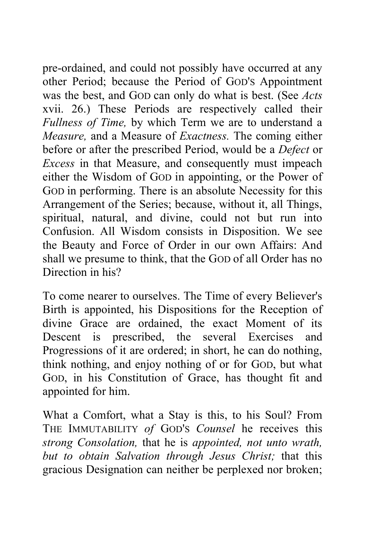pre-ordained, and could not possibly have occurred at any other Period; because the Period of GOD'S Appointment was the best, and GOD can only do what is best. (See *Acts*  xvii. 26.) These Periods are respectively called their *Fullness of Time,* by which Term we are to understand a *Measure,* and a Measure of *Exactness.* The coming either before or after the prescribed Period, would be a *Defect* or *Excess* in that Measure, and consequently must impeach either the Wisdom of GOD in appointing, or the Power of GOD in performing. There is an absolute Necessity for this Arrangement of the Series; because, without it, all Things, spiritual, natural, and divine, could not but run into Confusion. All Wisdom consists in Disposition. We see the Beauty and Force of Order in our own Affairs: And shall we presume to think, that the GOD of all Order has no Direction in his?

To come nearer to ourselves. The Time of every Believer's Birth is appointed, his Dispositions for the Reception of divine Grace are ordained, the exact Moment of its Descent is prescribed, the several Exercises and Progressions of it are ordered; in short, he can do nothing, think nothing, and enjoy nothing of or for GOD, but what GOD, in his Constitution of Grace, has thought fit and appointed for him.

What a Comfort, what a Stay is this, to his Soul? From THE IMMUTABILITY *of* GOD'S *Counsel* he receives this *strong Consolation,* that he is *appointed, not unto wrath, but to obtain Salvation through Jesus Christ;* that this gracious Designation can neither be perplexed nor broken;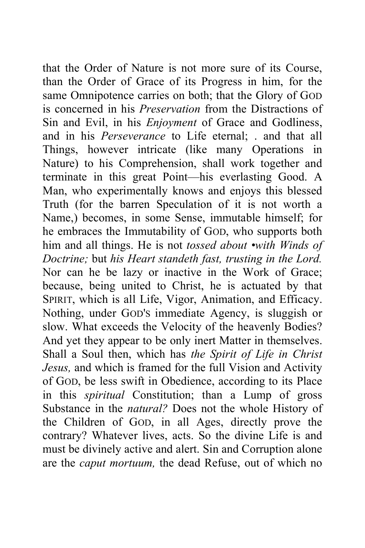that the Order of Nature is not more sure of its Course, than the Order of Grace of its Progress in him, for the same Omnipotence carries on both; that the Glory of GOD is concerned in his *Preservation* from the Distractions of Sin and Evil, in his *Enjoyment* of Grace and Godliness, and in his *Perseverance* to Life eternal; . and that all Things, however intricate (like many Operations in Nature) to his Comprehension, shall work together and terminate in this great Point—his everlasting Good. A Man, who experimentally knows and enjoys this blessed Truth (for the barren Speculation of it is not worth a Name,) becomes, in some Sense, immutable himself; for he embraces the Immutability of GOD, who supports both him and all things. He is not *tossed about •with Winds of Doctrine;* but *his Heart standeth fast, trusting in the Lord.*  Nor can he be lazy or inactive in the Work of Grace; because, being united to Christ, he is actuated by that SPIRIT, which is all Life, Vigor, Animation, and Efficacy. Nothing, under GOD'S immediate Agency, is sluggish or slow. What exceeds the Velocity of the heavenly Bodies? And yet they appear to be only inert Matter in themselves. Shall a Soul then, which has *the Spirit of Life in Christ Jesus,* and which is framed for the full Vision and Activity of GOD, be less swift in Obedience, according to its Place in this *spiritual* Constitution; than a Lump of gross Substance in the *natural?* Does not the whole History of the Children of GOD, in all Ages, directly prove the contrary? Whatever lives, acts. So the divine Life is and must be divinely active and alert. Sin and Corruption alone are the *caput mortuum,* the dead Refuse, out of which no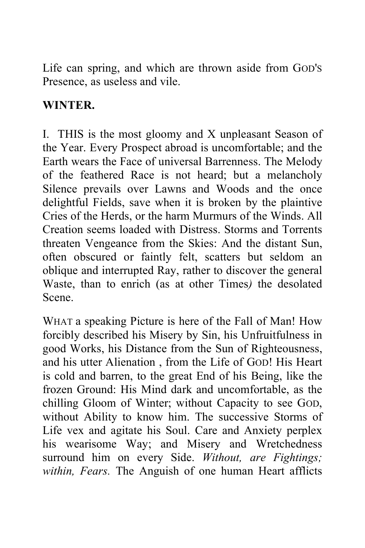Life can spring, and which are thrown aside from GOD'S Presence, as useless and vile.

### **WINTER.**

I. THIS is the most gloomy and X unpleasant Season of the Year. Every Prospect abroad is uncomfortable; and the Earth wears the Face of universal Barrenness. The Melody of the feathered Race is not heard; but a melancholy Silence prevails over Lawns and Woods and the once delightful Fields, save when it is broken by the plaintive Cries of the Herds, or the harm Murmurs of the Winds. All Creation seems loaded with Distress. Storms and Torrents threaten Vengeance from the Skies: And the distant Sun, often obscured or faintly felt, scatters but seldom an oblique and interrupted Ray, rather to discover the general Waste, than to enrich (as at other Times*)* the desolated Scene.

WHAT a speaking Picture is here of the Fall of Man! How forcibly described his Misery by Sin, his Unfruitfulness in good Works, his Distance from the Sun of Righteousness, and his utter Alienation , from the Life of GOD! His Heart is cold and barren, to the great End of his Being, like the frozen Ground: His Mind dark and uncomfortable, as the chilling Gloom of Winter; without Capacity to see GOD, without Ability to know him. The successive Storms of Life vex and agitate his Soul. Care and Anxiety perplex his wearisome Way; and Misery and Wretchedness surround him on every Side. *Without, are Fightings; within, Fears.* The Anguish of one human Heart afflicts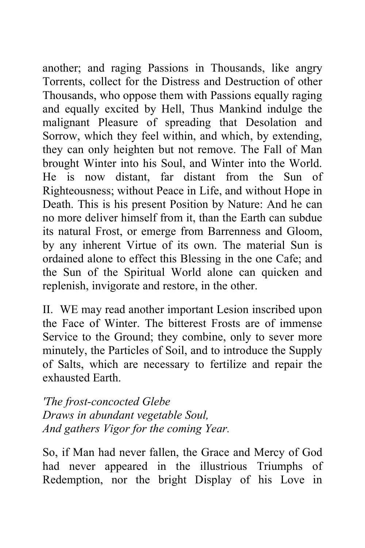another; and raging Passions in Thousands, like angry Torrents, collect for the Distress and Destruction of other Thousands, who oppose them with Passions equally raging and equally excited by Hell, Thus Mankind indulge the malignant Pleasure of spreading that Desolation and Sorrow, which they feel within, and which, by extending, they can only heighten but not remove. The Fall of Man brought Winter into his Soul, and Winter into the World. He is now distant, far distant from the Sun of Righteousness; without Peace in Life, and without Hope in Death. This is his present Position by Nature: And he can no more deliver himself from it, than the Earth can subdue its natural Frost, or emerge from Barrenness and Gloom, by any inherent Virtue of its own. The material Sun is ordained alone to effect this Blessing in the one Cafe; and the Sun of the Spiritual World alone can quicken and replenish, invigorate and restore, in the other.

II. WE may read another important Lesion inscribed upon the Face of Winter. The bitterest Frosts are of immense Service to the Ground; they combine, only to sever more minutely, the Particles of Soil, and to introduce the Supply of Salts, which are necessary to fertilize and repair the exhausted Earth.

*'The frost-concocted Glebe Draws in abundant vegetable Soul, And gathers Vigor for the coming Year.* 

So, if Man had never fallen, the Grace and Mercy of God had never appeared in the illustrious Triumphs of Redemption, nor the bright Display of his Love in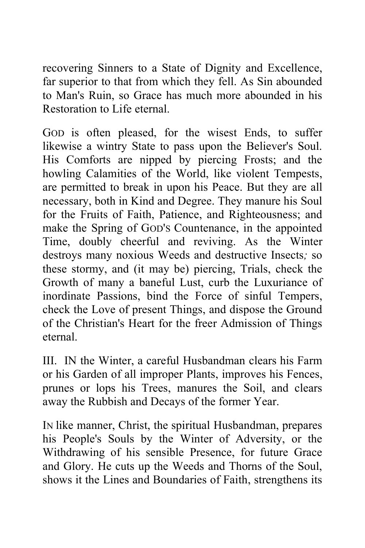recovering Sinners to a State of Dignity and Excellence, far superior to that from which they fell. As Sin abounded to Man's Ruin, so Grace has much more abounded in his Restoration to Life eternal.

GOD is often pleased, for the wisest Ends, to suffer likewise a wintry State to pass upon the Believer's Soul. His Comforts are nipped by piercing Frosts; and the howling Calamities of the World, like violent Tempests, are permitted to break in upon his Peace. But they are all necessary, both in Kind and Degree. They manure his Soul for the Fruits of Faith, Patience, and Righteousness; and make the Spring of GOD'S Countenance, in the appointed Time, doubly cheerful and reviving. As the Winter destroys many noxious Weeds and destructive Insects*;* so these stormy, and (it may be) piercing, Trials, check the Growth of many a baneful Lust, curb the Luxuriance of inordinate Passions, bind the Force of sinful Tempers, check the Love of present Things, and dispose the Ground of the Christian's Heart for the freer Admission of Things eternal.

III. IN the Winter, a careful Husbandman clears his Farm or his Garden of all improper Plants, improves his Fences, prunes or lops his Trees, manures the Soil, and clears away the Rubbish and Decays of the former Year.

IN like manner, Christ, the spiritual Husbandman, prepares his People's Souls by the Winter of Adversity, or the Withdrawing of his sensible Presence, for future Grace and Glory. He cuts up the Weeds and Thorns of the Soul, shows it the Lines and Boundaries of Faith, strengthens its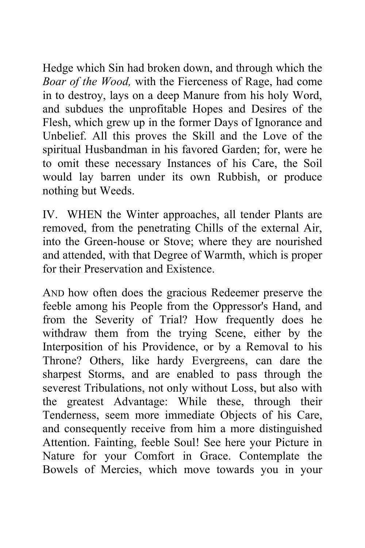Hedge which Sin had broken down, and through which the *Boar of the Wood,* with the Fierceness of Rage, had come in to destroy, lays on a deep Manure from his holy Word, and subdues the unprofitable Hopes and Desires of the Flesh, which grew up in the former Days of Ignorance and Unbelief. All this proves the Skill and the Love of the spiritual Husbandman in his favored Garden; for, were he to omit these necessary Instances of his Care, the Soil would lay barren under its own Rubbish, or produce nothing but Weeds.

IV. WHEN the Winter approaches, all tender Plants are removed, from the penetrating Chills of the external Air, into the Green-house or Stove; where they are nourished and attended, with that Degree of Warmth, which is proper for their Preservation and Existence.

AND how often does the gracious Redeemer preserve the feeble among his People from the Oppressor's Hand, and from the Severity of Trial? How frequently does he withdraw them from the trying Scene, either by the Interposition of his Providence, or by a Removal to his Throne? Others, like hardy Evergreens, can dare the sharpest Storms, and are enabled to pass through the severest Tribulations, not only without Loss, but also with the greatest Advantage: While these, through their Tenderness, seem more immediate Objects of his Care, and consequently receive from him a more distinguished Attention. Fainting, feeble Soul! See here your Picture in Nature for your Comfort in Grace. Contemplate the Bowels of Mercies, which move towards you in your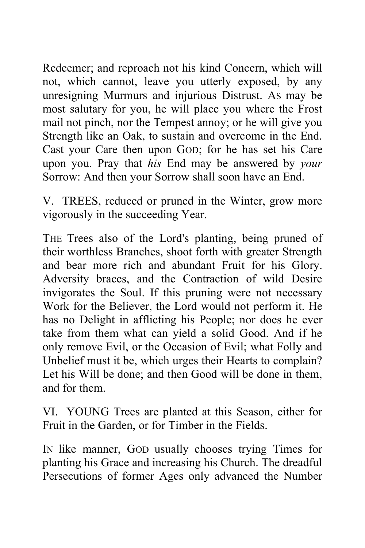Redeemer; and reproach not his kind Concern, which will not, which cannot, leave you utterly exposed, by any unresigning Murmurs and injurious Distrust. AS may be most salutary for you, he will place you where the Frost mail not pinch, nor the Tempest annoy; or he will give you Strength like an Oak, to sustain and overcome in the End. Cast your Care then upon GOD; for he has set his Care upon you. Pray that *his* End may be answered by *your*  Sorrow: And then your Sorrow shall soon have an End.

V. TREES, reduced or pruned in the Winter, grow more vigorously in the succeeding Year.

THE Trees also of the Lord's planting, being pruned of their worthless Branches, shoot forth with greater Strength and bear more rich and abundant Fruit for his Glory. Adversity braces, and the Contraction of wild Desire invigorates the Soul. If this pruning were not necessary Work for the Believer, the Lord would not perform it. He has no Delight in afflicting his People; nor does he ever take from them what can yield a solid Good. And if he only remove Evil, or the Occasion of Evil; what Folly and Unbelief must it be, which urges their Hearts to complain? Let his Will be done; and then Good will be done in them, and for them.

VI. YOUNG Trees are planted at this Season, either for Fruit in the Garden, or for Timber in the Fields.

IN like manner, GOD usually chooses trying Times for planting his Grace and increasing his Church. The dreadful Persecutions of former Ages only advanced the Number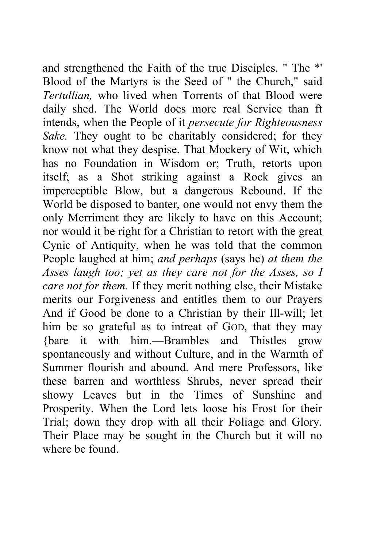and strengthened the Faith of the true Disciples. " The \*' Blood of the Martyrs is the Seed of " the Church," said *Tertullian,* who lived when Torrents of that Blood were daily shed. The World does more real Service than ft intends, when the People of it *persecute for Righteousness Sake.* They ought to be charitably considered; for they know not what they despise. That Mockery of Wit, which has no Foundation in Wisdom or; Truth, retorts upon itself; as a Shot striking against a Rock gives an imperceptible Blow, but a dangerous Rebound. If the World be disposed to banter, one would not envy them the only Merriment they are likely to have on this Account; nor would it be right for a Christian to retort with the great Cynic of Antiquity, when he was told that the common People laughed at him; *and perhaps* (says he) *at them the Asses laugh too; yet as they care not for the Asses, so I care not for them.* If they merit nothing else, their Mistake merits our Forgiveness and entitles them to our Prayers And if Good be done to a Christian by their Ill-will; let him be so grateful as to intreat of GOD, that they may {bare it with him.—Brambles and Thistles grow spontaneously and without Culture, and in the Warmth of Summer flourish and abound. And mere Professors, like these barren and worthless Shrubs, never spread their showy Leaves but in the Times of Sunshine and Prosperity. When the Lord lets loose his Frost for their Trial; down they drop with all their Foliage and Glory. Their Place may be sought in the Church but it will no where be found.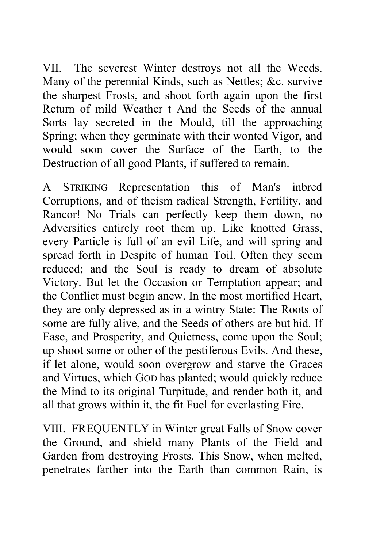VII. The severest Winter destroys not all the Weeds. Many of the perennial Kinds, such as Nettles; &c. survive the sharpest Frosts, and shoot forth again upon the first Return of mild Weather t And the Seeds of the annual Sorts lay secreted in the Mould, till the approaching Spring; when they germinate with their wonted Vigor, and would soon cover the Surface of the Earth, to the Destruction of all good Plants, if suffered to remain.

A STRIKING Representation this of Man's inbred Corruptions, and of theism radical Strength, Fertility, and Rancor! No Trials can perfectly keep them down, no Adversities entirely root them up. Like knotted Grass, every Particle is full of an evil Life, and will spring and spread forth in Despite of human Toil. Often they seem reduced; and the Soul is ready to dream of absolute Victory. But let the Occasion or Temptation appear; and the Conflict must begin anew. In the most mortified Heart, they are only depressed as in a wintry State: The Roots of some are fully alive, and the Seeds of others are but hid. If Ease, and Prosperity, and Quietness, come upon the Soul; up shoot some or other of the pestiferous Evils. And these, if let alone, would soon overgrow and starve the Graces and Virtues, which GOD has planted; would quickly reduce the Mind to its original Turpitude, and render both it, and all that grows within it, the fit Fuel for everlasting Fire.

VIII. FREQUENTLY in Winter great Falls of Snow cover the Ground, and shield many Plants of the Field and Garden from destroying Frosts. This Snow, when melted, penetrates farther into the Earth than common Rain, is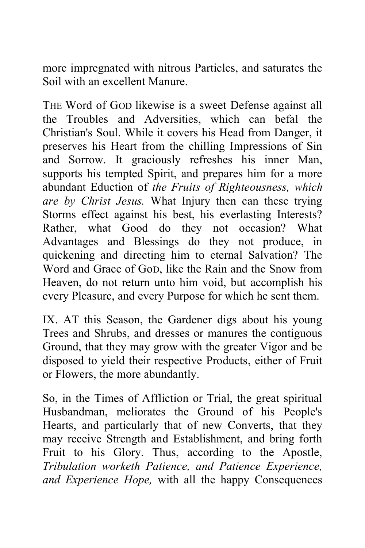more impregnated with nitrous Particles, and saturates the Soil with an excellent Manure.

THE Word of GOD likewise is a sweet Defense against all the Troubles and Adversities, which can befal the Christian's Soul. While it covers his Head from Danger, it preserves his Heart from the chilling Impressions of Sin and Sorrow. It graciously refreshes his inner Man, supports his tempted Spirit, and prepares him for a more abundant Eduction of *the Fruits of Righteousness, which are by Christ Jesus.* What Injury then can these trying Storms effect against his best, his everlasting Interests? Rather, what Good do they not occasion? What Advantages and Blessings do they not produce, in quickening and directing him to eternal Salvation? The Word and Grace of GoD, like the Rain and the Snow from Heaven, do not return unto him void, but accomplish his every Pleasure, and every Purpose for which he sent them.

IX. AT this Season, the Gardener digs about his young Trees and Shrubs, and dresses or manures the contiguous Ground, that they may grow with the greater Vigor and be disposed to yield their respective Products, either of Fruit or Flowers, the more abundantly.

So, in the Times of Affliction or Trial, the great spiritual Husbandman, meliorates the Ground of his People's Hearts, and particularly that of new Converts, that they may receive Strength and Establishment, and bring forth Fruit to his Glory. Thus, according to the Apostle, *Tribulation worketh Patience, and Patience Experience, and Experience Hope,* with all the happy Consequences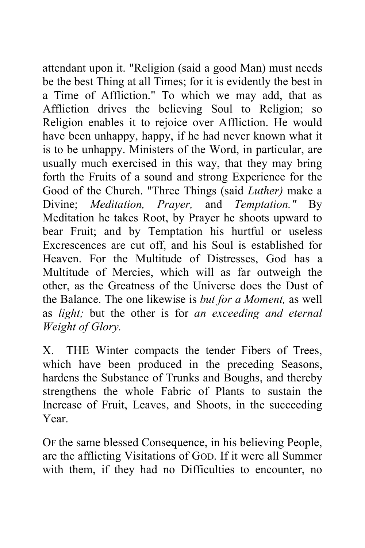attendant upon it. "Religion (said a good Man) must needs be the best Thing at all Times; for it is evidently the best in a Time of Affliction." To which we may add, that as Affliction drives the believing Soul to Religion; so Religion enables it to rejoice over Affliction. He would have been unhappy, happy, if he had never known what it is to be unhappy. Ministers of the Word, in particular, are usually much exercised in this way, that they may bring forth the Fruits of a sound and strong Experience for the Good of the Church. "Three Things (said *Luther)* make a Divine; *Meditation, Prayer,* and *Temptation."* By Meditation he takes Root, by Prayer he shoots upward to bear Fruit; and by Temptation his hurtful or useless Excrescences are cut off, and his Soul is established for Heaven. For the Multitude of Distresses, God has a Multitude of Mercies, which will as far outweigh the other, as the Greatness of the Universe does the Dust of the Balance. The one likewise is *but for a Moment,* as well as *light;* but the other is for *an exceeding and eternal Weight of Glory.* 

X. THE Winter compacts the tender Fibers of Trees, which have been produced in the preceding Seasons, hardens the Substance of Trunks and Boughs, and thereby strengthens the whole Fabric of Plants to sustain the Increase of Fruit, Leaves, and Shoots, in the succeeding Year.

OF the same blessed Consequence, in his believing People, are the afflicting Visitations of GOD. If it were all Summer with them, if they had no Difficulties to encounter, no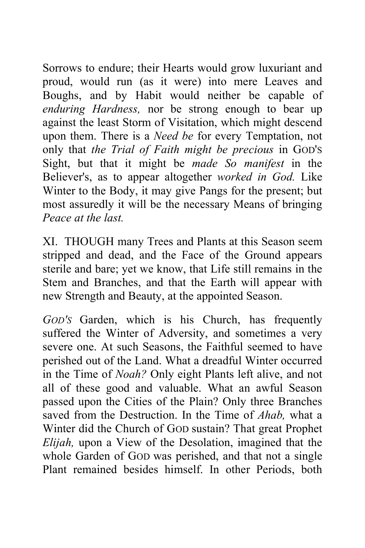Sorrows to endure; their Hearts would grow luxuriant and proud, would run (as it were) into mere Leaves and Boughs, and by Habit would neither be capable of *enduring Hardness,* nor be strong enough to bear up against the least Storm of Visitation, which might descend upon them. There is a *Need be* for every Temptation, not only that *the Trial of Faith might be precious* in GOD'S Sight, but that it might be *made So manifest* in the Believer's, as to appear altogether *worked in God.* Like Winter to the Body, it may give Pangs for the present; but most assuredly it will be the necessary Means of bringing *Peace at the last.* 

XI. THOUGH many Trees and Plants at this Season seem stripped and dead, and the Face of the Ground appears sterile and bare; yet we know, that Life still remains in the Stem and Branches, and that the Earth will appear with new Strength and Beauty, at the appointed Season.

*GOD'S* Garden, which is his Church, has frequently suffered the Winter of Adversity, and sometimes a very severe one. At such Seasons, the Faithful seemed to have perished out of the Land. What a dreadful Winter occurred in the Time of *Noah?* Only eight Plants left alive, and not all of these good and valuable. What an awful Season passed upon the Cities of the Plain? Only three Branches saved from the Destruction. In the Time of *Ahab,* what a Winter did the Church of GOD sustain? That great Prophet *Elijah,* upon a View of the Desolation, imagined that the whole Garden of GOD was perished, and that not a single Plant remained besides himself. In other Periods, both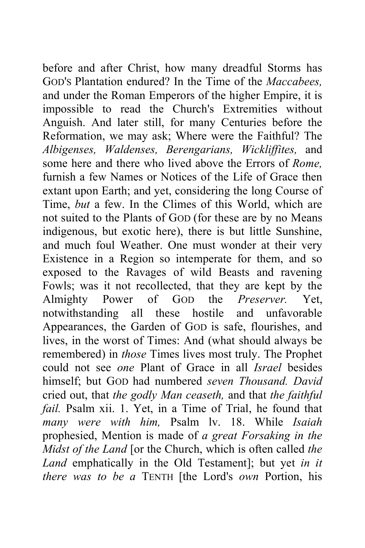before and after Christ, how many dreadful Storms has GOD'S Plantation endured? In the Time of the *Maccabees,*  and under the Roman Emperors of the higher Empire, it is impossible to read the Church's Extremities without Anguish. And later still, for many Centuries before the Reformation, we may ask; Where were the Faithful? The *Albigenses, Waldenses, Berengarians, Wickliffites,* and some here and there who lived above the Errors of *Rome,*  furnish a few Names or Notices of the Life of Grace then extant upon Earth; and yet, considering the long Course of Time, *but* a few. In the Climes of this World, which are not suited to the Plants of GOD (for these are by no Means indigenous, but exotic here), there is but little Sunshine, and much foul Weather. One must wonder at their very Existence in a Region so intemperate for them, and so exposed to the Ravages of wild Beasts and ravening Fowls; was it not recollected, that they are kept by the Almighty Power of GOD the *Preserver.* Yet, notwithstanding all these hostile and unfavorable Appearances, the Garden of GOD is safe, flourishes, and lives, in the worst of Times: And (what should always be remembered) in *those* Times lives most truly. The Prophet could not see *one* Plant of Grace in all *Israel* besides himself; but GOD had numbered *seven Thousand. David*  cried out, that *the godly Man ceaseth,* and that *the faithful fail.* Psalm xii. 1. Yet, in a Time of Trial, he found that *many were with him,* Psalm lv. 18. While *Isaiah*  prophesied, Mention is made of *a great Forsaking in the Midst of the Land* [or the Church, which is often called *the Land* emphatically in the Old Testament]; but yet *in it there was to be a* TENTH [the Lord's *own* Portion, his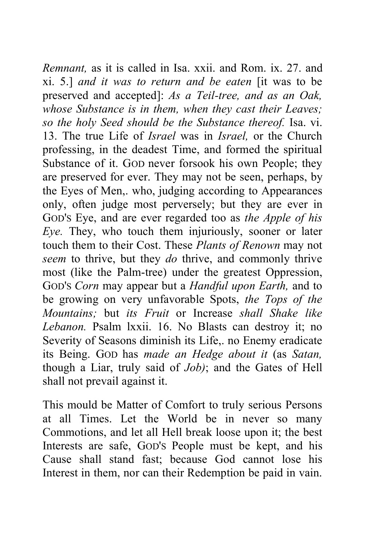*Remnant,* as it is called in Isa. xxii. and Rom. ix. 27. and xi. 5.] *and it was to return and be eaten* [it was to be preserved and accepted]: *As a Teil-tree, and as an Oak, whose Substance is in them, when they cast their Leaves; so the holy Seed should be the Substance thereof.* Isa. vi. 13. The true Life of *Israel* was in *Israel,* or the Church professing, in the deadest Time, and formed the spiritual Substance of it. GOD never forsook his own People; they are preserved for ever. They may not be seen, perhaps, by the Eyes of Men,. who, judging according to Appearances only, often judge most perversely; but they are ever in GOD'S Eye, and are ever regarded too as *the Apple of his Eye.* They, who touch them injuriously, sooner or later touch them to their Cost. These *Plants of Renown* may not *seem* to thrive, but they *do* thrive, and commonly thrive most (like the Palm-tree) under the greatest Oppression, GOD'S *Corn* may appear but a *Handful upon Earth,* and to be growing on very unfavorable Spots, *the Tops of the Mountains;* but *its Fruit* or Increase *shall Shake like Lebanon.* Psalm lxxii. 16. No Blasts can destroy it; no Severity of Seasons diminish its Life,. no Enemy eradicate its Being. GOD has *made an Hedge about it* (as *Satan,*  though a Liar, truly said of *Job)*; and the Gates of Hell shall not prevail against it.

This mould be Matter of Comfort to truly serious Persons at all Times. Let the World be in never so many Commotions, and let all Hell break loose upon it; the best Interests are safe, GOD'S People must be kept, and his Cause shall stand fast; because God cannot lose his Interest in them, nor can their Redemption be paid in vain.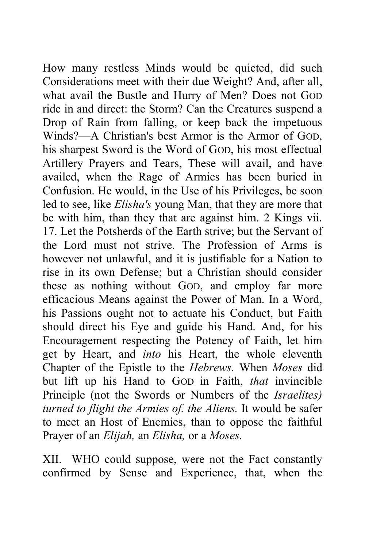How many restless Minds would be quieted, did such Considerations meet with their due Weight? And, after all, what avail the Bustle and Hurry of Men? Does not GOD ride in and direct: the Storm? Can the Creatures suspend a Drop of Rain from falling, or keep back the impetuous Winds?—A Christian's best Armor is the Armor of GOD, his sharpest Sword is the Word of GOD, his most effectual Artillery Prayers and Tears, These will avail, and have availed, when the Rage of Armies has been buried in Confusion. He would, in the Use of his Privileges, be soon led to see, like *Elisha's* young Man, that they are more that be with him, than they that are against him. 2 Kings vii. 17. Let the Potsherds of the Earth strive; but the Servant of the Lord must not strive. The Profession of Arms is however not unlawful, and it is justifiable for a Nation to rise in its own Defense; but a Christian should consider these as nothing without GOD, and employ far more efficacious Means against the Power of Man. In a Word, his Passions ought not to actuate his Conduct, but Faith should direct his Eye and guide his Hand. And, for his Encouragement respecting the Potency of Faith, let him get by Heart, and *into* his Heart, the whole eleventh Chapter of the Epistle to the *Hebrews.* When *Moses* did but lift up his Hand to GOD in Faith, *that* invincible Principle (not the Swords or Numbers of the *Israelites) turned to flight the Armies of. the Aliens.* It would be safer to meet an Host of Enemies, than to oppose the faithful Prayer of an *Elijah,* an *Elisha,* or a *Moses.* 

XII. WHO could suppose, were not the Fact constantly confirmed by Sense and Experience, that, when the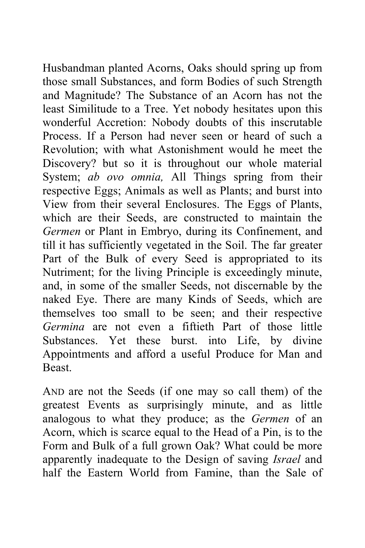Husbandman planted Acorns, Oaks should spring up from those small Substances, and form Bodies of such Strength and Magnitude? The Substance of an Acorn has not the least Similitude to a Tree. Yet nobody hesitates upon this wonderful Accretion: Nobody doubts of this inscrutable Process. If a Person had never seen or heard of such a Revolution; with what Astonishment would he meet the Discovery? but so it is throughout our whole material System; *ab ovo omnia,* All Things spring from their respective Eggs; Animals as well as Plants; and burst into View from their several Enclosures. The Eggs of Plants, which are their Seeds, are constructed to maintain the *Germen* or Plant in Embryo, during its Confinement, and till it has sufficiently vegetated in the Soil. The far greater Part of the Bulk of every Seed is appropriated to its Nutriment; for the living Principle is exceedingly minute, and, in some of the smaller Seeds, not discernable by the naked Eye. There are many Kinds of Seeds, which are themselves too small to be seen; and their respective *Germina* are not even a fiftieth Part of those little Substances. Yet these burst. into Life, by divine Appointments and afford a useful Produce for Man and Beast.

AND are not the Seeds (if one may so call them) of the greatest Events as surprisingly minute, and as little analogous to what they produce; as the *Germen* of an Acorn, which is scarce equal to the Head of a Pin, is to the Form and Bulk of a full grown Oak? What could be more apparently inadequate to the Design of saving *Israel* and half the Eastern World from Famine, than the Sale of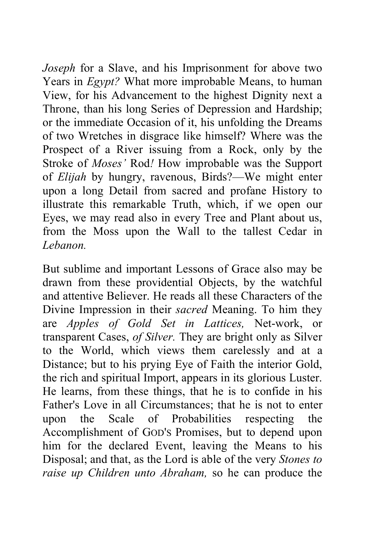*Joseph* for a Slave, and his Imprisonment for above two Years in *Egypt?* What more improbable Means, to human View, for his Advancement to the highest Dignity next a Throne, than his long Series of Depression and Hardship; or the immediate Occasion of it, his unfolding the Dreams of two Wretches in disgrace like himself? Where was the Prospect of a River issuing from a Rock, only by the Stroke of *Moses'* Rod*!* How improbable was the Support of *Elijah* by hungry, ravenous, Birds?—We might enter upon a long Detail from sacred and profane History to illustrate this remarkable Truth, which, if we open our Eyes, we may read also in every Tree and Plant about us, from the Moss upon the Wall to the tallest Cedar in *Lebanon.* 

But sublime and important Lessons of Grace also may be drawn from these providential Objects, by the watchful and attentive Believer. He reads all these Characters of the Divine Impression in their *sacred* Meaning. To him they are *Apples of Gold Set in Lattices,* Net-work, or transparent Cases, *of Silver.* They are bright only as Silver to the World, which views them carelessly and at a Distance; but to his prying Eye of Faith the interior Gold, the rich and spiritual Import, appears in its glorious Luster. He learns, from these things, that he is to confide in his Father's Love in all Circumstances; that he is not to enter upon the Scale of Probabilities respecting the Accomplishment of GOD'S Promises, but to depend upon him for the declared Event, leaving the Means to his Disposal; and that, as the Lord is able of the very *Stones to raise up Children unto Abraham,* so he can produce the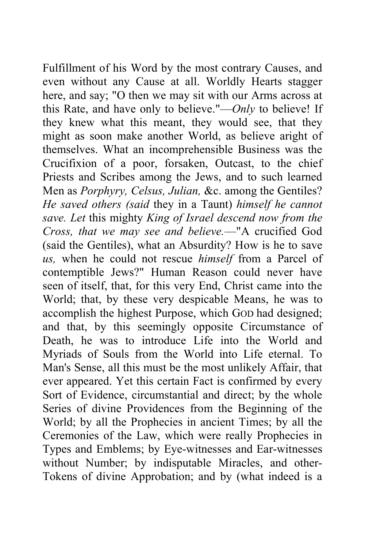Fulfillment of his Word by the most contrary Causes, and even without any Cause at all. Worldly Hearts stagger here, and say; "O then we may sit with our Arms across at this Rate, and have only to believe."—*Only* to believe! If they knew what this meant, they would see, that they might as soon make another World, as believe aright of themselves. What an incomprehensible Business was the Crucifixion of a poor, forsaken, Outcast, to the chief Priests and Scribes among the Jews, and to such learned Men as *Porphyry, Celsus, Julian,* &c. among the Gentiles? *He saved others (said* they in a Taunt) *himself he cannot save. Let* this mighty *King of Israel descend now from the Cross, that we may see and believe.*—"A crucified God (said the Gentiles), what an Absurdity? How is he to save *us,* when he could not rescue *himself* from a Parcel of contemptible Jews?" Human Reason could never have seen of itself, that, for this very End, Christ came into the World; that, by these very despicable Means, he was to accomplish the highest Purpose, which GOD had designed; and that, by this seemingly opposite Circumstance of Death, he was to introduce Life into the World and Myriads of Souls from the World into Life eternal. To Man's Sense, all this must be the most unlikely Affair, that ever appeared. Yet this certain Fact is confirmed by every Sort of Evidence, circumstantial and direct; by the whole Series of divine Providences from the Beginning of the World; by all the Prophecies in ancient Times; by all the Ceremonies of the Law, which were really Prophecies in Types and Emblems; by Eye-witnesses and Ear-witnesses without Number; by indisputable Miracles, and other-Tokens of divine Approbation; and by (what indeed is a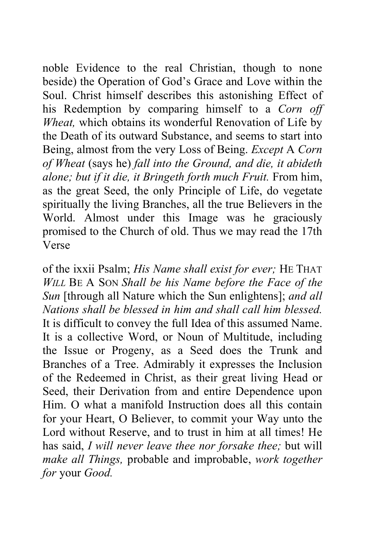noble Evidence to the real Christian, though to none beside) the Operation of God's Grace and Love within the Soul. Christ himself describes this astonishing Effect of his Redemption by comparing himself to a *Corn off Wheat,* which obtains its wonderful Renovation of Life by the Death of its outward Substance, and seems to start into Being, almost from the very Loss of Being. *Except* A *Corn of Wheat* (says he) *fall into the Ground, and die, it abideth alone; but if it die, it Bringeth forth much Fruit.* From him, as the great Seed, the only Principle of Life, do vegetate spiritually the living Branches, all the true Believers in the World. Almost under this Image was he graciously promised to the Church of old. Thus we may read the 17th Verse

of the ixxii Psalm; *His Name shall exist for ever;* HE THAT *WILL* BE A SON *Shall be his Name before the Face of the Sun* [through all Nature which the Sun enlightens]; *and all Nations shall be blessed in him and shall call him blessed.*  It is difficult to convey the full Idea of this assumed Name. It is a collective Word, or Noun of Multitude, including the Issue or Progeny, as a Seed does the Trunk and Branches of a Tree. Admirably it expresses the Inclusion of the Redeemed in Christ, as their great living Head or Seed, their Derivation from and entire Dependence upon Him. O what a manifold Instruction does all this contain for your Heart, O Believer, to commit your Way unto the Lord without Reserve, and to trust in him at all times! He has said, *I will never leave thee nor forsake thee;* but will *make all Things,* probable and improbable, *work together for* your *Good.*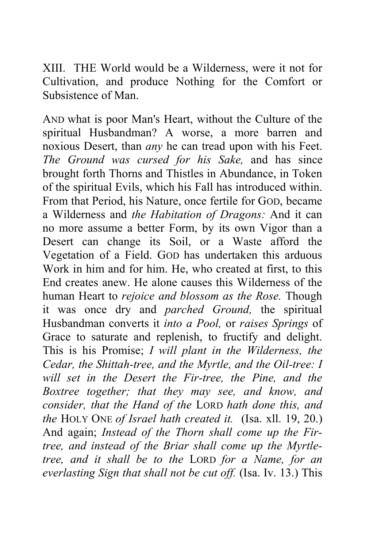XIII. THE World would be a Wilderness, were it not for Cultivation, and produce Nothing for the Comfort or Subsistence of Man.

AND what is poor Man's Heart, without the Culture of the spiritual Husbandman? A worse, a more barren and noxious Desert, than *any* he can tread upon with his Feet. *The Ground was cursed for his Sake,* and has since brought forth Thorns and Thistles in Abundance, in Token of the spiritual Evils, which his Fall has introduced within. From that Period, his Nature, once fertile for GOD, became a Wilderness and *the Habitation of Dragons:* And it can no more assume a better Form, by its own Vigor than a Desert can change its Soil, or a Waste afford the Vegetation of a Field. GOD has undertaken this arduous Work in him and for him. He, who created at first, to this End creates anew. He alone causes this Wilderness of the human Heart to *rejoice and blossom as the Rose.* Though it was once dry and *parched Ground,* the spiritual Husbandman converts it *into a Pool,* or *raises Springs* of Grace to saturate and replenish, to fructify and delight. This is his Promise; *I will plant in the Wilderness, the Cedar, the Shittah-tree, and the Myrtle, and the Oil-tree: I will set in the Desert the Fir-tree, the Pine, and the Boxtree together; that they may see, and know, and consider, that the Hand of the* LORD *hath done this, and the* HOLY ONE *of Israel hath created it.* (Isa. xll. 19, 20.) And again; *Instead of the Thorn shall come up the Firtree, and instead of the Briar shall come up the Myrtletree, and it shall be to the* LORD *for a Name, for an everlasting Sign that shall not be cut off.* (Isa. Iv. 13.) This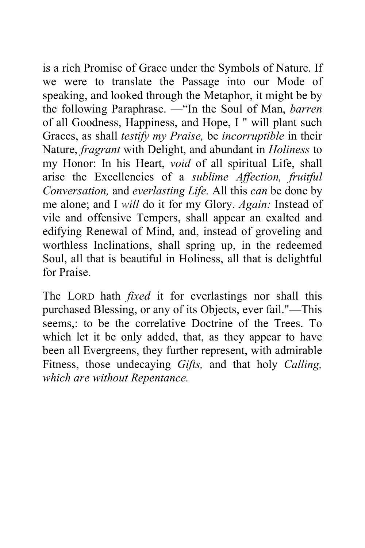is a rich Promise of Grace under the Symbols of Nature. If we were to translate the Passage into our Mode of speaking, and looked through the Metaphor, it might be by the following Paraphrase. —"In the Soul of Man, *barren*  of all Goodness, Happiness, and Hope, I " will plant such Graces, as shall *testify my Praise,* be *incorruptible* in their Nature, *fragrant* with Delight, and abundant in *Holiness* to my Honor: In his Heart, *void* of all spiritual Life, shall arise the Excellencies of a *sublime Affection, fruitful Conversation,* and *everlasting Life.* All this *can* be done by me alone; and I *will* do it for my Glory. *Again:* Instead of vile and offensive Tempers, shall appear an exalted and edifying Renewal of Mind, and, instead of groveling and worthless Inclinations, shall spring up, in the redeemed Soul, all that is beautiful in Holiness, all that is delightful for Praise.

The LORD hath *fixed* it for everlastings nor shall this purchased Blessing, or any of its Objects, ever fail."—This seems,: to be the correlative Doctrine of the Trees. To which let it be only added, that, as they appear to have been all Evergreens, they further represent, with admirable Fitness, those undecaying *Gifts,* and that holy *Calling, which are without Repentance.*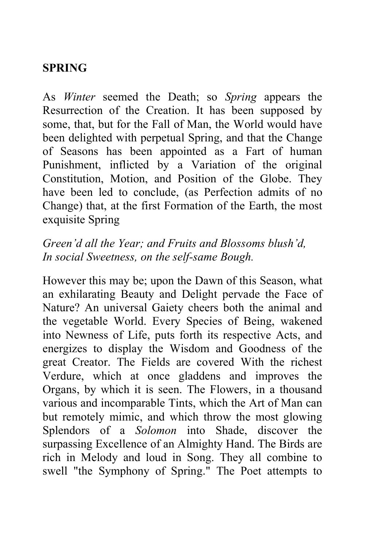## **SPRING**

As *Winter* seemed the Death; so *Spring* appears the Resurrection of the Creation. It has been supposed by some, that, but for the Fall of Man, the World would have been delighted with perpetual Spring, and that the Change of Seasons has been appointed as a Fart of human Punishment, inflicted by a Variation of the original Constitution, Motion, and Position of the Globe. They have been led to conclude, (as Perfection admits of no Change) that, at the first Formation of the Earth, the most exquisite Spring

## *Green'd all the Year; and Fruits and Blossoms blush'd, In social Sweetness, on the self-same Bough.*

However this may be; upon the Dawn of this Season, what an exhilarating Beauty and Delight pervade the Face of Nature? An universal Gaiety cheers both the animal and the vegetable World. Every Species of Being, wakened into Newness of Life, puts forth its respective Acts, and energizes to display the Wisdom and Goodness of the great Creator. The Fields are covered With the richest Verdure, which at once gladdens and improves the Organs, by which it is seen. The Flowers, in a thousand various and incomparable Tints, which the Art of Man can but remotely mimic, and which throw the most glowing Splendors of a *Solomon* into Shade, discover the surpassing Excellence of an Almighty Hand. The Birds are rich in Melody and loud in Song. They all combine to swell "the Symphony of Spring." The Poet attempts to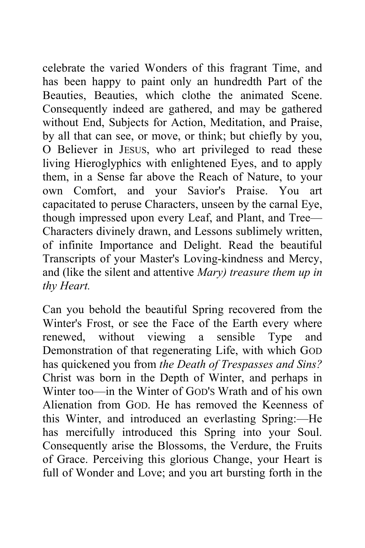celebrate the varied Wonders of this fragrant Time, and has been happy to paint only an hundredth Part of the Beauties, Beauties, which clothe the animated Scene. Consequently indeed are gathered, and may be gathered without End, Subjects for Action, Meditation, and Praise, by all that can see, or move, or think; but chiefly by you, O Believer in JESUS, who art privileged to read these living Hieroglyphics with enlightened Eyes, and to apply them, in a Sense far above the Reach of Nature, to your own Comfort, and your Savior's Praise. You art capacitated to peruse Characters, unseen by the carnal Eye, though impressed upon every Leaf, and Plant, and Tree— Characters divinely drawn, and Lessons sublimely written, of infinite Importance and Delight. Read the beautiful Transcripts of your Master's Loving-kindness and Mercy, and (like the silent and attentive *Mary) treasure them up in thy Heart.* 

Can you behold the beautiful Spring recovered from the Winter's Frost, or see the Face of the Earth every where renewed, without viewing a sensible Type and Demonstration of that regenerating Life, with which GOD has quickened you from *the Death of Trespasses and Sins?*  Christ was born in the Depth of Winter, and perhaps in Winter too—in the Winter of GOD'S Wrath and of his own Alienation from GOD. He has removed the Keenness of this Winter, and introduced an everlasting Spring:—He has mercifully introduced this Spring into your Soul. Consequently arise the Blossoms, the Verdure, the Fruits of Grace. Perceiving this glorious Change, your Heart is full of Wonder and Love; and you art bursting forth in the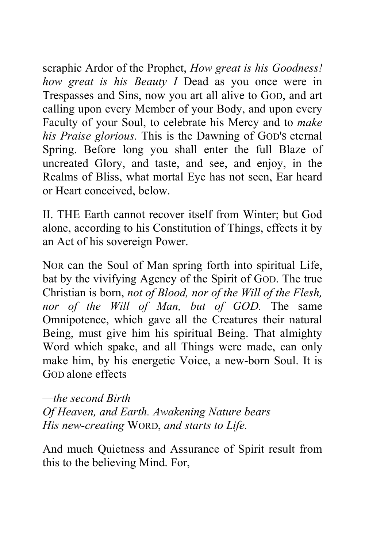seraphic Ardor of the Prophet, *How great is his Goodness! how great is his Beauty I* Dead as you once were in Trespasses and Sins, now you art all alive to GOD, and art calling upon every Member of your Body, and upon every Faculty of your Soul, to celebrate his Mercy and to *make his Praise glorious.* This is the Dawning of GOD'S eternal Spring. Before long you shall enter the full Blaze of uncreated Glory, and taste, and see, and enjoy, in the Realms of Bliss, what mortal Eye has not seen, Ear heard or Heart conceived, below.

II. THE Earth cannot recover itself from Winter; but God alone, according to his Constitution of Things, effects it by an Act of his sovereign Power.

NOR can the Soul of Man spring forth into spiritual Life, bat by the vivifying Agency of the Spirit of GOD. The true Christian is born, *not of Blood, nor of the Will of the Flesh, nor of the Will of Man, but of GOD.* The same Omnipotence, which gave all the Creatures their natural Being, must give him his spiritual Being. That almighty Word which spake, and all Things were made, can only make him, by his energetic Voice, a new-born Soul. It is GOD alone effects

*—the second Birth Of Heaven, and Earth. Awakening Nature bears His new-creating* WORD, *and starts to Life.*

And much Quietness and Assurance of Spirit result from this to the believing Mind. For,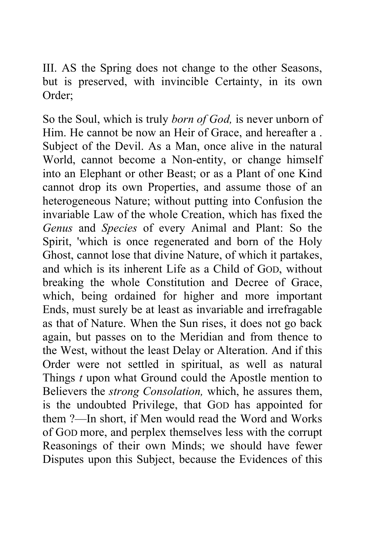III. AS the Spring does not change to the other Seasons, but is preserved, with invincible Certainty, in its own Order;

So the Soul, which is truly *born of God,* is never unborn of Him. He cannot be now an Heir of Grace, and hereafter a . Subject of the Devil. As a Man, once alive in the natural World, cannot become a Non-entity, or change himself into an Elephant or other Beast; or as a Plant of one Kind cannot drop its own Properties, and assume those of an heterogeneous Nature; without putting into Confusion the invariable Law of the whole Creation, which has fixed the *Genus* and *Species* of every Animal and Plant: So the Spirit, 'which is once regenerated and born of the Holy Ghost, cannot lose that divine Nature, of which it partakes, and which is its inherent Life as a Child of GOD, without breaking the whole Constitution and Decree of Grace, which, being ordained for higher and more important Ends, must surely be at least as invariable and irrefragable as that of Nature. When the Sun rises, it does not go back again, but passes on to the Meridian and from thence to the West, without the least Delay or Alteration. And if this Order were not settled in spiritual, as well as natural Things *t* upon what Ground could the Apostle mention to Believers the *strong Consolation,* which, he assures them, is the undoubted Privilege, that GOD has appointed for them ?—In short, if Men would read the Word and Works of GOD more, and perplex themselves less with the corrupt Reasonings of their own Minds; we should have fewer Disputes upon this Subject, because the Evidences of this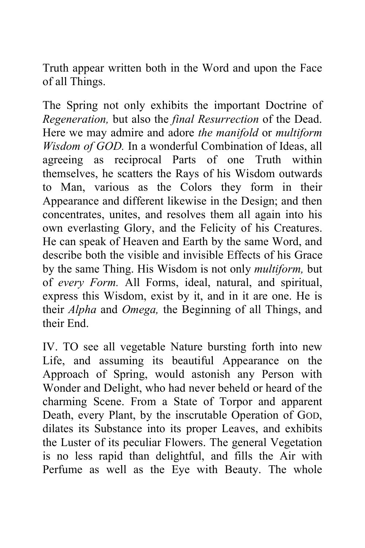Truth appear written both in the Word and upon the Face of all Things.

The Spring not only exhibits the important Doctrine of *Regeneration,* but also the *final Resurrection* of the Dead. Here we may admire and adore *the manifold* or *multiform Wisdom of GOD.* In a wonderful Combination of Ideas, all agreeing as reciprocal Parts of one Truth within themselves, he scatters the Rays of his Wisdom outwards to Man, various as the Colors they form in their Appearance and different likewise in the Design; and then concentrates, unites, and resolves them all again into his own everlasting Glory, and the Felicity of his Creatures. He can speak of Heaven and Earth by the same Word, and describe both the visible and invisible Effects of his Grace by the same Thing. His Wisdom is not only *multiform,* but of *every Form.* All Forms, ideal, natural, and spiritual, express this Wisdom, exist by it, and in it are one. He is their *Alpha* and *Omega,* the Beginning of all Things, and their End.

IV. TO see all vegetable Nature bursting forth into new Life, and assuming its beautiful Appearance on the Approach of Spring, would astonish any Person with Wonder and Delight, who had never beheld or heard of the charming Scene. From a State of Torpor and apparent Death, every Plant, by the inscrutable Operation of GOD, dilates its Substance into its proper Leaves, and exhibits the Luster of its peculiar Flowers. The general Vegetation is no less rapid than delightful, and fills the Air with Perfume as well as the Eye with Beauty. The whole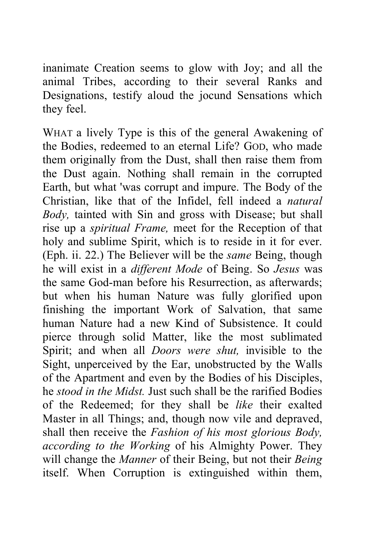inanimate Creation seems to glow with Joy; and all the animal Tribes, according to their several Ranks and Designations, testify aloud the jocund Sensations which they feel.

WHAT a lively Type is this of the general Awakening of the Bodies, redeemed to an eternal Life? GOD, who made them originally from the Dust, shall then raise them from the Dust again. Nothing shall remain in the corrupted Earth, but what 'was corrupt and impure. The Body of the Christian, like that of the Infidel, fell indeed a *natural Body,* tainted with Sin and gross with Disease; but shall rise up a *spiritual Frame,* meet for the Reception of that holy and sublime Spirit, which is to reside in it for ever. (Eph. ii. 22.) The Believer will be the *same* Being, though he will exist in a *different Mode* of Being. So *Jesus* was the same God-man before his Resurrection, as afterwards; but when his human Nature was fully glorified upon finishing the important Work of Salvation, that same human Nature had a new Kind of Subsistence. It could pierce through solid Matter, like the most sublimated Spirit; and when all *Doors were shut,* invisible to the Sight, unperceived by the Ear, unobstructed by the Walls of the Apartment and even by the Bodies of his Disciples, he *stood in the Midst.* Just such shall be the rarified Bodies of the Redeemed; for they shall be *like* their exalted Master in all Things; and, though now vile and depraved, shall then receive the *Fashion of his most glorious Body, according to the Working* of his Almighty Power. They will change the *Manner* of their Being, but not their *Being*  itself. When Corruption is extinguished within them,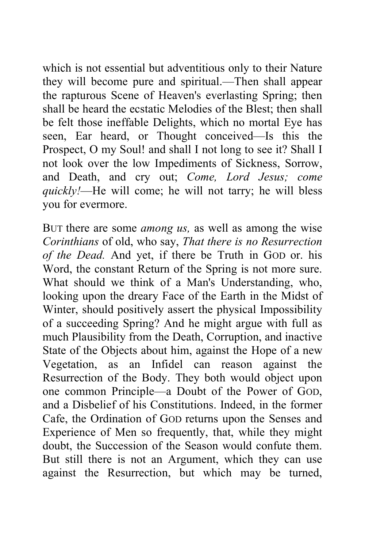which is not essential but adventitious only to their Nature they will become pure and spiritual.—Then shall appear the rapturous Scene of Heaven's everlasting Spring; then shall be heard the ecstatic Melodies of the Blest; then shall be felt those ineffable Delights, which no mortal Eye has seen, Ear heard, or Thought conceived—Is this the Prospect, O my Soul! and shall I not long to see it? Shall I not look over the low Impediments of Sickness, Sorrow, and Death, and cry out; *Come, Lord Jesus; come quickly!*—He will come; he will not tarry; he will bless you for evermore.

BUT there are some *among us,* as well as among the wise *Corinthians* of old, who say, *That there is no Resurrection of the Dead.* And yet, if there be Truth in GOD or. his Word, the constant Return of the Spring is not more sure. What should we think of a Man's Understanding, who, looking upon the dreary Face of the Earth in the Midst of Winter, should positively assert the physical Impossibility of a succeeding Spring? And he might argue with full as much Plausibility from the Death, Corruption, and inactive State of the Objects about him, against the Hope of a new Vegetation, as an Infidel can reason against the Resurrection of the Body. They both would object upon one common Principle—a Doubt of the Power of GOD, and a Disbelief of his Constitutions. Indeed, in the former Cafe, the Ordination of GOD returns upon the Senses and Experience of Men so frequently, that, while they might doubt, the Succession of the Season would confute them. But still there is not an Argument, which they can use against the Resurrection, but which may be turned,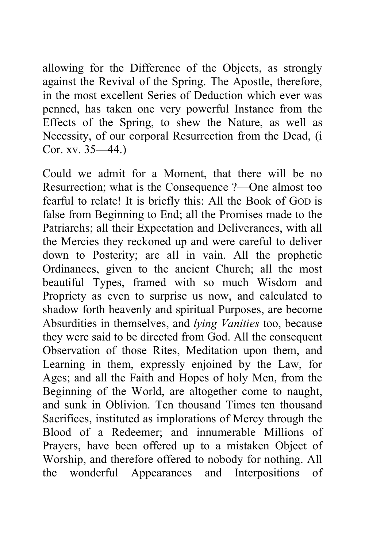allowing for the Difference of the Objects, as strongly against the Revival of the Spring. The Apostle, therefore, in the most excellent Series of Deduction which ever was penned, has taken one very powerful Instance from the Effects of the Spring, to shew the Nature, as well as Necessity, of our corporal Resurrection from the Dead, (i Cor. xv. 35—44.)

Could we admit for a Moment, that there will be no Resurrection; what is the Consequence ?—One almost too fearful to relate! It is briefly this: All the Book of GOD is false from Beginning to End; all the Promises made to the Patriarchs; all their Expectation and Deliverances, with all the Mercies they reckoned up and were careful to deliver down to Posterity; are all in vain. All the prophetic Ordinances, given to the ancient Church; all the most beautiful Types, framed with so much Wisdom and Propriety as even to surprise us now, and calculated to shadow forth heavenly and spiritual Purposes, are become Absurdities in themselves, and *lying Vanities* too, because they were said to be directed from God. All the consequent Observation of those Rites, Meditation upon them, and Learning in them, expressly enjoined by the Law, for Ages; and all the Faith and Hopes of holy Men, from the Beginning of the World, are altogether come to naught, and sunk in Oblivion. Ten thousand Times ten thousand Sacrifices, instituted as implorations of Mercy through the Blood of a Redeemer; and innumerable Millions of Prayers, have been offered up to a mistaken Object of Worship, and therefore offered to nobody for nothing. All the wonderful Appearances and Interpositions of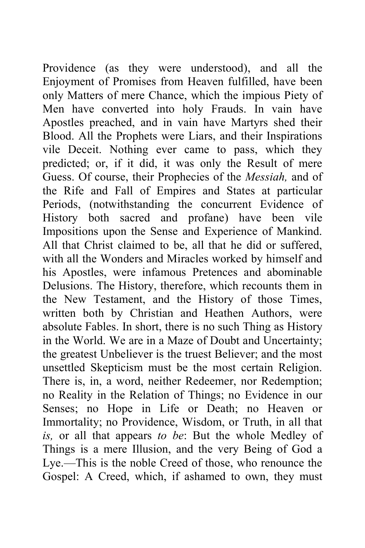Providence (as they were understood), and all the Enjoyment of Promises from Heaven fulfilled, have been only Matters of mere Chance, which the impious Piety of Men have converted into holy Frauds. In vain have Apostles preached, and in vain have Martyrs shed their Blood. All the Prophets were Liars, and their Inspirations vile Deceit. Nothing ever came to pass, which they predicted; or, if it did, it was only the Result of mere Guess. Of course, their Prophecies of the *Messiah,* and of the Rife and Fall of Empires and States at particular Periods, (notwithstanding the concurrent Evidence of History both sacred and profane) have been vile Impositions upon the Sense and Experience of Mankind. All that Christ claimed to be, all that he did or suffered, with all the Wonders and Miracles worked by himself and his Apostles, were infamous Pretences and abominable Delusions. The History, therefore, which recounts them in the New Testament, and the History of those Times, written both by Christian and Heathen Authors, were absolute Fables. In short, there is no such Thing as History in the World. We are in a Maze of Doubt and Uncertainty; the greatest Unbeliever is the truest Believer; and the most unsettled Skepticism must be the most certain Religion. There is, in, a word, neither Redeemer, nor Redemption; no Reality in the Relation of Things; no Evidence in our Senses; no Hope in Life or Death; no Heaven or Immortality; no Providence, Wisdom, or Truth, in all that *is,* or all that appears *to be*: But the whole Medley of Things is a mere Illusion, and the very Being of God a Lye.—This is the noble Creed of those, who renounce the Gospel: A Creed, which, if ashamed to own, they must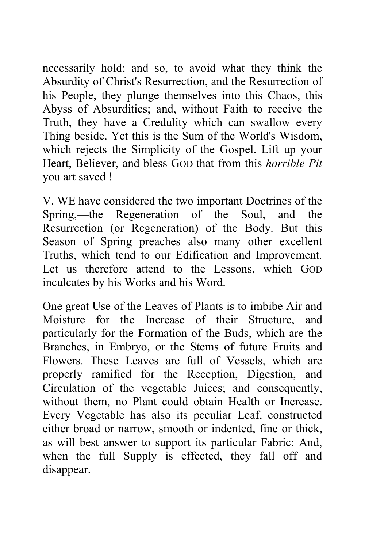necessarily hold; and so, to avoid what they think the Absurdity of Christ's Resurrection, and the Resurrection of his People, they plunge themselves into this Chaos, this Abyss of Absurdities; and, without Faith to receive the Truth, they have a Credulity which can swallow every Thing beside. Yet this is the Sum of the World's Wisdom, which rejects the Simplicity of the Gospel. Lift up your Heart, Believer, and bless GOD that from this *horrible Pit*  you art saved !

V. WE have considered the two important Doctrines of the Spring,—the Regeneration of the Soul, and the Resurrection (or Regeneration) of the Body. But this Season of Spring preaches also many other excellent Truths, which tend to our Edification and Improvement. Let us therefore attend to the Lessons, which GOD inculcates by his Works and his Word.

One great Use of the Leaves of Plants is to imbibe Air and Moisture for the Increase of their Structure, and particularly for the Formation of the Buds, which are the Branches, in Embryo, or the Stems of future Fruits and Flowers. These Leaves are full of Vessels, which are properly ramified for the Reception, Digestion, and Circulation of the vegetable Juices; and consequently, without them, no Plant could obtain Health or Increase. Every Vegetable has also its peculiar Leaf, constructed either broad or narrow, smooth or indented, fine or thick, as will best answer to support its particular Fabric: And, when the full Supply is effected, they fall off and disappear.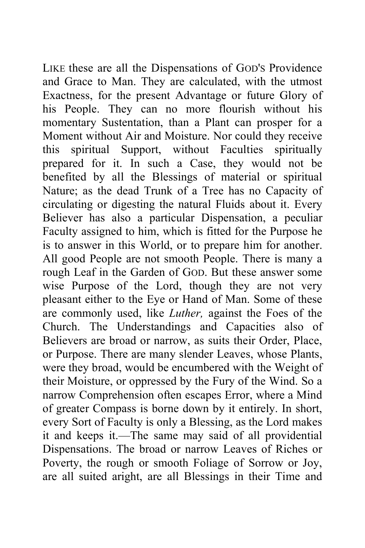LIKE these are all the Dispensations of GOD'S Providence and Grace to Man. They are calculated, with the utmost Exactness, for the present Advantage or future Glory of his People. They can no more flourish without his momentary Sustentation, than a Plant can prosper for a Moment without Air and Moisture. Nor could they receive this spiritual Support, without Faculties spiritually prepared for it. In such a Case, they would not be benefited by all the Blessings of material or spiritual Nature; as the dead Trunk of a Tree has no Capacity of circulating or digesting the natural Fluids about it. Every Believer has also a particular Dispensation, a peculiar Faculty assigned to him, which is fitted for the Purpose he is to answer in this World, or to prepare him for another. All good People are not smooth People. There is many a rough Leaf in the Garden of GOD. But these answer some wise Purpose of the Lord, though they are not very pleasant either to the Eye or Hand of Man. Some of these are commonly used, like *Luther,* against the Foes of the Church. The Understandings and Capacities also of Believers are broad or narrow, as suits their Order, Place, or Purpose. There are many slender Leaves, whose Plants, were they broad, would be encumbered with the Weight of their Moisture, or oppressed by the Fury of the Wind. So a narrow Comprehension often escapes Error, where a Mind of greater Compass is borne down by it entirely. In short, every Sort of Faculty is only a Blessing, as the Lord makes it and keeps it.—The same may said of all providential Dispensations. The broad or narrow Leaves of Riches or Poverty, the rough or smooth Foliage of Sorrow or Joy, are all suited aright, are all Blessings in their Time and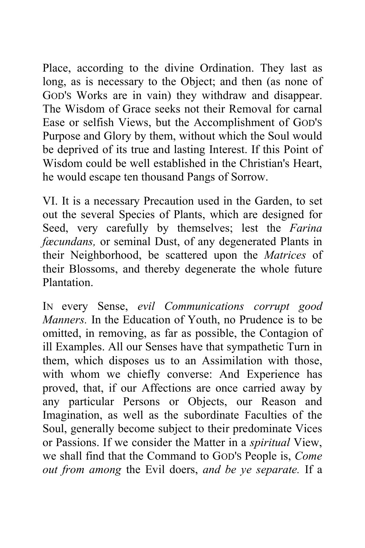Place, according to the divine Ordination. They last as long, as is necessary to the Object; and then (as none of GOD'S Works are in vain) they withdraw and disappear. The Wisdom of Grace seeks not their Removal for carnal Ease or selfish Views, but the Accomplishment of GOD'S Purpose and Glory by them, without which the Soul would be deprived of its true and lasting Interest. If this Point of Wisdom could be well established in the Christian's Heart, he would escape ten thousand Pangs of Sorrow.

VI. It is a necessary Precaution used in the Garden, to set out the several Species of Plants, which are designed for Seed, very carefully by themselves; lest the *Farina fæcundans,* or seminal Dust, of any degenerated Plants in their Neighborhood, be scattered upon the *Matrices* of their Blossoms, and thereby degenerate the whole future Plantation.

IN every Sense, *evil Communications corrupt good Manners.* In the Education of Youth, no Prudence is to be omitted, in removing, as far as possible, the Contagion of ill Examples. All our Senses have that sympathetic Turn in them, which disposes us to an Assimilation with those, with whom we chiefly converse: And Experience has proved, that, if our Affections are once carried away by any particular Persons or Objects, our Reason and Imagination, as well as the subordinate Faculties of the Soul, generally become subject to their predominate Vices or Passions. If we consider the Matter in a *spiritual* View, we shall find that the Command to GOD'S People is, *Come out from among* the Evil doers, *and be ye separate.* If a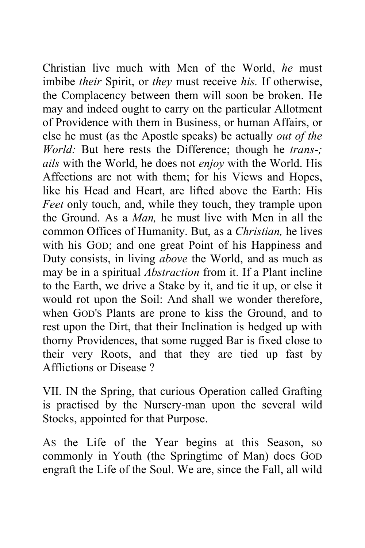Christian live much with Men of the World, *he* must imbibe *their* Spirit, or *they* must receive *his.* If otherwise, the Complacency between them will soon be broken. He may and indeed ought to carry on the particular Allotment of Providence with them in Business, or human Affairs, or else he must (as the Apostle speaks) be actually *out of the World:* But here rests the Difference; though he *trans-; ails* with the World, he does not *enjoy* with the World. His Affections are not with them; for his Views and Hopes, like his Head and Heart, are lifted above the Earth: His *Feet* only touch, and, while they touch, they trample upon the Ground. As a *Man,* he must live with Men in all the common Offices of Humanity. But, as a *Christian,* he lives with his GOD; and one great Point of his Happiness and Duty consists, in living *above* the World, and as much as may be in a spiritual *Abstraction* from it. If a Plant incline to the Earth, we drive a Stake by it, and tie it up, or else it would rot upon the Soil: And shall we wonder therefore, when GOD'S Plants are prone to kiss the Ground, and to rest upon the Dirt, that their Inclination is hedged up with thorny Providences, that some rugged Bar is fixed close to their very Roots, and that they are tied up fast by Afflictions or Disease ?

VII. IN the Spring, that curious Operation called Grafting is practised by the Nursery-man upon the several wild Stocks, appointed for that Purpose.

AS the Life of the Year begins at this Season, so commonly in Youth (the Springtime of Man) does GOD engraft the Life of the Soul. We are, since the Fall, all wild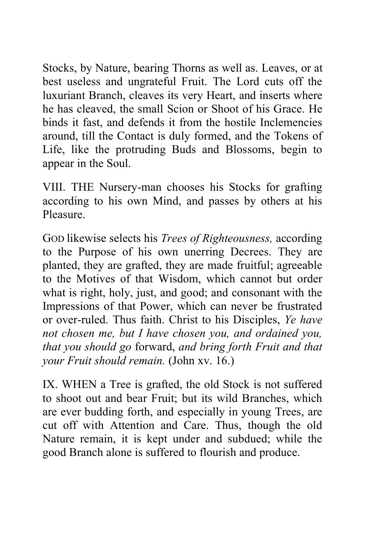Stocks, by Nature, bearing Thorns as well as. Leaves, or at best useless and ungrateful Fruit. The Lord cuts off the luxuriant Branch, cleaves its very Heart, and inserts where he has cleaved, the small Scion or Shoot of his Grace. He binds it fast, and defends it from the hostile Inclemencies around, till the Contact is duly formed, and the Tokens of Life, like the protruding Buds and Blossoms, begin to appear in the Soul.

VIII. THE Nursery-man chooses his Stocks for grafting according to his own Mind, and passes by others at his Pleasure.

GOD likewise selects his *Trees of Righteousness,* according to the Purpose of his own unerring Decrees. They are planted, they are grafted, they are made fruitful; agreeable to the Motives of that Wisdom, which cannot but order what is right, holy, just, and good; and consonant with the Impressions of that Power, which can never be frustrated or over-ruled. Thus faith. Christ to his Disciples, *Ye have not chosen me, but I have chosen you, and ordained you, that you should go* forward, *and bring forth Fruit and that your Fruit should remain.* (John xv. 16.)

IX. WHEN a Tree is grafted, the old Stock is not suffered to shoot out and bear Fruit; but its wild Branches, which are ever budding forth, and especially in young Trees, are cut off with Attention and Care. Thus, though the old Nature remain, it is kept under and subdued; while the good Branch alone is suffered to flourish and produce.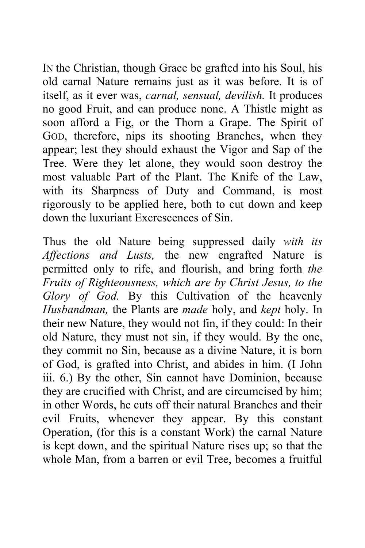IN the Christian, though Grace be grafted into his Soul, his old carnal Nature remains just as it was before. It is of itself, as it ever was, *carnal, sensual, devilish.* It produces no good Fruit, and can produce none. A Thistle might as soon afford a Fig, or the Thorn a Grape. The Spirit of GOD, therefore, nips its shooting Branches, when they appear; lest they should exhaust the Vigor and Sap of the Tree. Were they let alone, they would soon destroy the most valuable Part of the Plant. The Knife of the Law, with its Sharpness of Duty and Command, is most rigorously to be applied here, both to cut down and keep down the luxuriant Excrescences of Sin.

Thus the old Nature being suppressed daily *with its Affections and Lusts,* the new engrafted Nature is permitted only to rife, and flourish, and bring forth *the Fruits of Righteousness, which are by Christ Jesus, to the Glory of God.* By this Cultivation of the heavenly *Husbandman,* the Plants are *made* holy, and *kept* holy. In their new Nature, they would not fin, if they could: In their old Nature, they must not sin, if they would. By the one, they commit no Sin, because as a divine Nature, it is born of God, is grafted into Christ, and abides in him. (I John iii. 6.) By the other, Sin cannot have Dominion, because they are crucified with Christ, and are circumcised by him; in other Words, he cuts off their natural Branches and their evil Fruits, whenever they appear. By this constant Operation, (for this is a constant Work) the carnal Nature is kept down, and the spiritual Nature rises up; so that the whole Man, from a barren or evil Tree, becomes a fruitful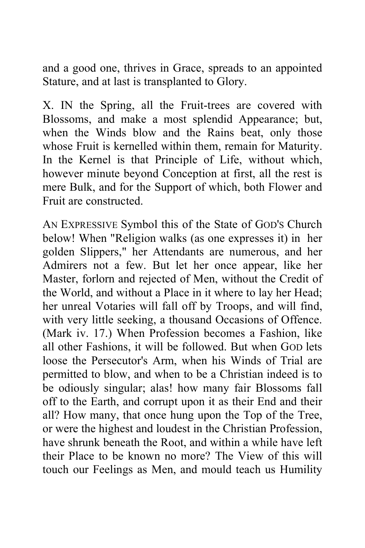and a good one, thrives in Grace, spreads to an appointed Stature, and at last is transplanted to Glory.

X. IN the Spring, all the Fruit-trees are covered with Blossoms, and make a most splendid Appearance; but, when the Winds blow and the Rains beat, only those whose Fruit is kernelled within them, remain for Maturity. In the Kernel is that Principle of Life, without which, however minute beyond Conception at first, all the rest is mere Bulk, and for the Support of which, both Flower and Fruit are constructed.

AN EXPRESSIVE Symbol this of the State of GOD'S Church below! When "Religion walks (as one expresses it) in her golden Slippers," her Attendants are numerous, and her Admirers not a few. But let her once appear, like her Master, forlorn and rejected of Men, without the Credit of the World, and without a Place in it where to lay her Head; her unreal Votaries will fall off by Troops, and will find, with very little seeking, a thousand Occasions of Offence. (Mark iv. 17.) When Profession becomes a Fashion, like all other Fashions, it will be followed. But when GOD lets loose the Persecutor's Arm, when his Winds of Trial are permitted to blow, and when to be a Christian indeed is to be odiously singular; alas! how many fair Blossoms fall off to the Earth, and corrupt upon it as their End and their all? How many, that once hung upon the Top of the Tree, or were the highest and loudest in the Christian Profession, have shrunk beneath the Root, and within a while have left their Place to be known no more? The View of this will touch our Feelings as Men, and mould teach us Humility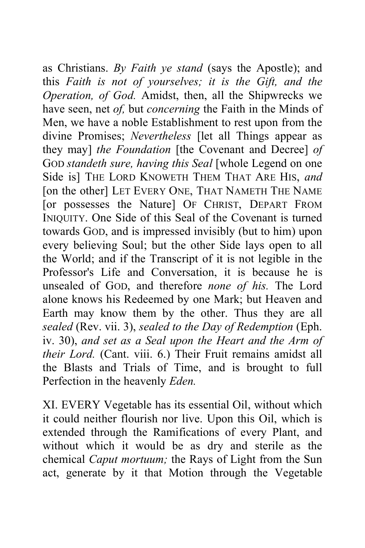as Christians. *By Faith ye stand* (says the Apostle); and this *Faith is not of yourselves; it is the Gift, and the Operation, of God.* Amidst, then, all the Shipwrecks we have seen, net *of,* but *concerning* the Faith in the Minds of Men, we have a noble Establishment to rest upon from the divine Promises; *Nevertheless* [let all Things appear as they may] *the Foundation* [the Covenant and Decree] *of*  GOD *standeth sure, having this Seal* [whole Legend on one Side is] THE LORD KNOWETH THEM THAT ARE HIS, *and*  [on the other] LET EVERY ONE, THAT NAMETH THE NAME [or possesses the Nature] OF CHRIST, DEPART FROM INIQUITY. One Side of this Seal of the Covenant is turned towards GOD, and is impressed invisibly (but to him) upon every believing Soul; but the other Side lays open to all the World; and if the Transcript of it is not legible in the Professor's Life and Conversation, it is because he is unsealed of GOD, and therefore *none of his.* The Lord alone knows his Redeemed by one Mark; but Heaven and Earth may know them by the other. Thus they are all *sealed* (Rev. vii. 3), *sealed to the Day of Redemption* (Eph. iv. 30), *and set as a Seal upon the Heart and the Arm of their Lord.* (Cant. viii. 6.) Their Fruit remains amidst all the Blasts and Trials of Time, and is brought to full Perfection in the heavenly *Eden.* 

XI. EVERY Vegetable has its essential Oil, without which it could neither flourish nor live. Upon this Oil, which is extended through the Ramifications of every Plant, and without which it would be as dry and sterile as the chemical *Caput mortuum;* the Rays of Light from the Sun act, generate by it that Motion through the Vegetable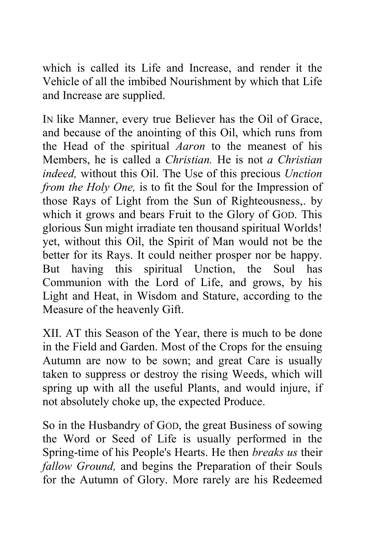which is called its Life and Increase, and render it the Vehicle of all the imbibed Nourishment by which that Life and Increase are supplied.

IN like Manner, every true Believer has the Oil of Grace, and because of the anointing of this Oil, which runs from the Head of the spiritual *Aaron* to the meanest of his Members, he is called a *Christian.* He is not *a Christian indeed,* without this Oil. The Use of this precious *Unction from the Holy One,* is to fit the Soul for the Impression of those Rays of Light from the Sun of Righteousness,. by which it grows and bears Fruit to the Glory of GOD. This glorious Sun might irradiate ten thousand spiritual Worlds! yet, without this Oil, the Spirit of Man would not be the better for its Rays. It could neither prosper nor be happy. But having this spiritual Unction, the Soul has Communion with the Lord of Life, and grows, by his Light and Heat, in Wisdom and Stature, according to the Measure of the heavenly Gift.

XII. AT this Season of the Year, there is much to be done in the Field and Garden. Most of the Crops for the ensuing Autumn are now to be sown; and great Care is usually taken to suppress or destroy the rising Weeds, which will spring up with all the useful Plants, and would injure, if not absolutely choke up, the expected Produce.

So in the Husbandry of GOD, the great Business of sowing the Word or Seed of Life is usually performed in the Spring-time of his People's Hearts. He then *breaks us* their *fallow Ground,* and begins the Preparation of their Souls for the Autumn of Glory. More rarely are his Redeemed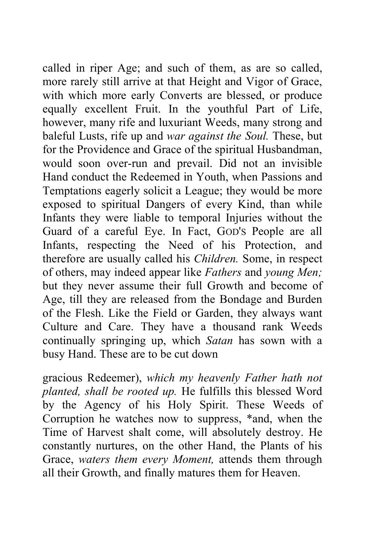called in riper Age; and such of them, as are so called, more rarely still arrive at that Height and Vigor of Grace, with which more early Converts are blessed, or produce equally excellent Fruit. In the youthful Part of Life, however, many rife and luxuriant Weeds, many strong and baleful Lusts, rife up and *war against the Soul.* These, but for the Providence and Grace of the spiritual Husbandman, would soon over-run and prevail. Did not an invisible Hand conduct the Redeemed in Youth, when Passions and Temptations eagerly solicit a League; they would be more exposed to spiritual Dangers of every Kind, than while Infants they were liable to temporal Injuries without the Guard of a careful Eye. In Fact, GOD'S People are all Infants, respecting the Need of his Protection, and therefore are usually called his *Children.* Some, in respect of others, may indeed appear like *Fathers* and *young Men;*  but they never assume their full Growth and become of Age, till they are released from the Bondage and Burden of the Flesh. Like the Field or Garden, they always want Culture and Care. They have a thousand rank Weeds continually springing up, which *Satan* has sown with a busy Hand. These are to be cut down

gracious Redeemer), *which my heavenly Father hath not planted, shall be rooted up.* He fulfills this blessed Word by the Agency of his Holy Spirit. These Weeds of Corruption he watches now to suppress, \*and, when the Time of Harvest shalt come, will absolutely destroy. He constantly nurtures, on the other Hand, the Plants of his Grace, *waters them every Moment,* attends them through all their Growth, and finally matures them for Heaven.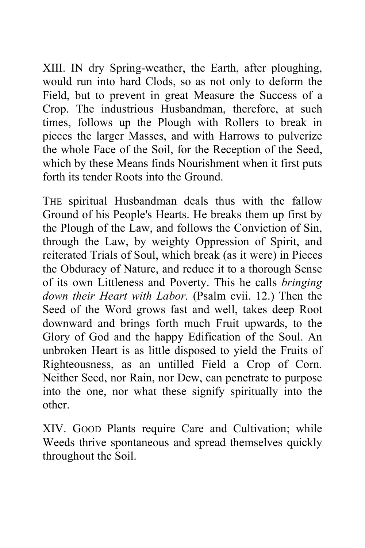XIII. IN dry Spring-weather, the Earth, after ploughing, would run into hard Clods, so as not only to deform the Field, but to prevent in great Measure the Success of a Crop. The industrious Husbandman, therefore, at such times, follows up the Plough with Rollers to break in pieces the larger Masses, and with Harrows to pulverize the whole Face of the Soil, for the Reception of the Seed, which by these Means finds Nourishment when it first puts forth its tender Roots into the Ground.

THE spiritual Husbandman deals thus with the fallow Ground of his People's Hearts. He breaks them up first by the Plough of the Law, and follows the Conviction of Sin, through the Law, by weighty Oppression of Spirit, and reiterated Trials of Soul, which break (as it were) in Pieces the Obduracy of Nature, and reduce it to a thorough Sense of its own Littleness and Poverty. This he calls *bringing down their Heart with Labor.* (Psalm cvii. 12.) Then the Seed of the Word grows fast and well, takes deep Root downward and brings forth much Fruit upwards, to the Glory of God and the happy Edification of the Soul. An unbroken Heart is as little disposed to yield the Fruits of Righteousness, as an untilled Field a Crop of Corn. Neither Seed, nor Rain, nor Dew, can penetrate to purpose into the one, nor what these signify spiritually into the other.

XIV. GOOD Plants require Care and Cultivation; while Weeds thrive spontaneous and spread themselves quickly throughout the Soil.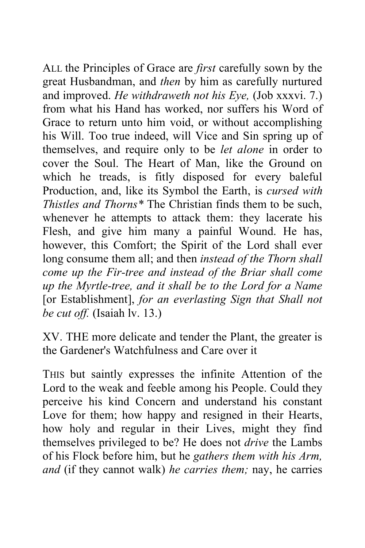ALL the Principles of Grace are *first* carefully sown by the great Husbandman, and *then* by him as carefully nurtured and improved. *He withdraweth not his Eye,* (Job xxxvi. 7.) from what his Hand has worked, nor suffers his Word of Grace to return unto him void, or without accomplishing his Will. Too true indeed, will Vice and Sin spring up of themselves, and require only to be *let alone* in order to cover the Soul. The Heart of Man, like the Ground on which he treads, is fitly disposed for every baleful Production, and, like its Symbol the Earth, is *cursed with Thistles and Thorns\** The Christian finds them to be such, whenever he attempts to attack them: they lacerate his Flesh, and give him many a painful Wound. He has, however, this Comfort; the Spirit of the Lord shall ever long consume them all; and then *instead of the Thorn shall come up the Fir-tree and instead of the Briar shall come up the Myrtle-tree, and it shall be to the Lord for a Name*  [or Establishment], *for an everlasting Sign that Shall not be cut off.* (Isaiah lv. 13.)

XV. THE more delicate and tender the Plant, the greater is the Gardener's Watchfulness and Care over it

THIS but saintly expresses the infinite Attention of the Lord to the weak and feeble among his People. Could they perceive his kind Concern and understand his constant Love for them; how happy and resigned in their Hearts, how holy and regular in their Lives, might they find themselves privileged to be? He does not *drive* the Lambs of his Flock before him, but he *gathers them with his Arm, and* (if they cannot walk) *he carries them;* nay, he carries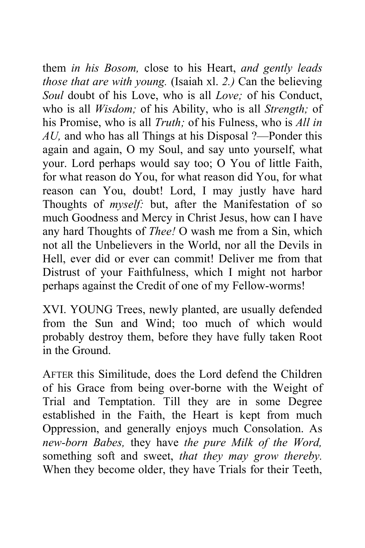them *in his Bosom,* close to his Heart, *and gently leads those that are with young.* (Isaiah xl. *2.)* Can the believing *Soul* doubt of his Love, who is all *Love;* of his Conduct, who is all *Wisdom;* of his Ability, who is all *Strength;* of his Promise, who is all *Truth;* of his Fulness, who is *All in AU,* and who has all Things at his Disposal ?—Ponder this again and again, O my Soul, and say unto yourself, what your. Lord perhaps would say too; O You of little Faith, for what reason do You, for what reason did You, for what reason can You, doubt! Lord, I may justly have hard Thoughts of *myself:* but, after the Manifestation of so much Goodness and Mercy in Christ Jesus, how can I have any hard Thoughts of *Thee!* O wash me from a Sin, which not all the Unbelievers in the World, nor all the Devils in Hell, ever did or ever can commit! Deliver me from that Distrust of your Faithfulness, which I might not harbor perhaps against the Credit of one of my Fellow-worms!

XVI. YOUNG Trees, newly planted, are usually defended from the Sun and Wind; too much of which would probably destroy them, before they have fully taken Root in the Ground.

AFTER this Similitude, does the Lord defend the Children of his Grace from being over-borne with the Weight of Trial and Temptation. Till they are in some Degree established in the Faith, the Heart is kept from much Oppression, and generally enjoys much Consolation. As *new-born Babes,* they have *the pure Milk of the Word,*  something soft and sweet, *that they may grow thereby.*  When they become older, they have Trials for their Teeth,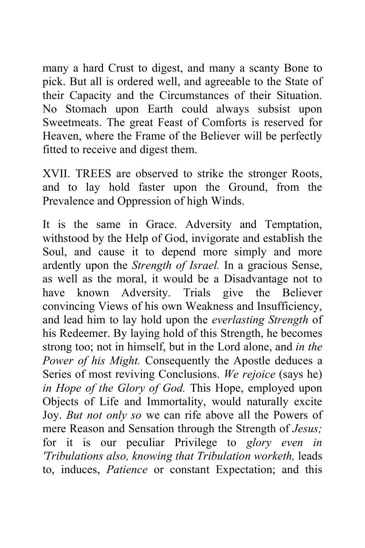many a hard Crust to digest, and many a scanty Bone to pick. But all is ordered well, and agreeable to the State of their Capacity and the Circumstances of their Situation. No Stomach upon Earth could always subsist upon Sweetmeats. The great Feast of Comforts is reserved for Heaven, where the Frame of the Believer will be perfectly fitted to receive and digest them.

XVII. TREES are observed to strike the stronger Roots, and to lay hold faster upon the Ground, from the Prevalence and Oppression of high Winds.

It is the same in Grace. Adversity and Temptation, withstood by the Help of God, invigorate and establish the Soul, and cause it to depend more simply and more ardently upon the *Strength of Israel.* In a gracious Sense, as well as the moral, it would be a Disadvantage not to have known Adversity. Trials give the Believer convincing Views of his own Weakness and Insufficiency, and lead him to lay hold upon the *everlasting Strength* of his Redeemer. By laying hold of this Strength, he becomes strong too; not in himself, but in the Lord alone, and *in the Power of his Might.* Consequently the Apostle deduces a Series of most reviving Conclusions. *We rejoice* (says he) *in Hope of the Glory of God.* This Hope, employed upon Objects of Life and Immortality, would naturally excite Joy. *But not only so* we can rife above all the Powers of mere Reason and Sensation through the Strength of *Jesus;*  for it is our peculiar Privilege to *glory even in 'Tribulations also, knowing that Tribulation worketh,* leads to, induces, *Patience* or constant Expectation; and this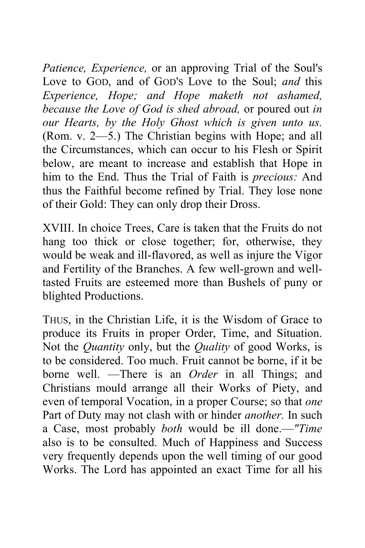*Patience, Experience,* or an approving Trial of the Soul's Love to GOD, and of GOD'S Love to the Soul; *and* this *Experience, Hope; and Hope maketh not ashamed, because the Love of God is shed abroad,* or poured out *in our Hearts, by the Holy Ghost which is given unto us.*  (Rom. v. 2—5.) The Christian begins with Hope; and all the Circumstances, which can occur to his Flesh or Spirit below, are meant to increase and establish that Hope in him to the End. Thus the Trial of Faith is *precious:* And thus the Faithful become refined by Trial. They lose none of their Gold: They can only drop their Dross.

XVIII. In choice Trees, Care is taken that the Fruits do not hang too thick or close together; for, otherwise, they would be weak and ill-flavored, as well as injure the Vigor and Fertility of the Branches. A few well-grown and welltasted Fruits are esteemed more than Bushels of puny or blighted Productions.

THUS, in the Christian Life, it is the Wisdom of Grace to produce its Fruits in proper Order, Time, and Situation. Not the *Quantity* only, but the *Quality* of good Works, is to be considered. Too much. Fruit cannot be borne, if it be borne well. —There is an *Order* in all Things; and Christians mould arrange all their Works of Piety, and even of temporal Vocation, in a proper Course; so that *one*  Part of Duty may not clash with or hinder *another.* In such a Case, most probably *both* would be ill done.—*"Time*  also is to be consulted. Much of Happiness and Success very frequently depends upon the well timing of our good Works. The Lord has appointed an exact Time for all his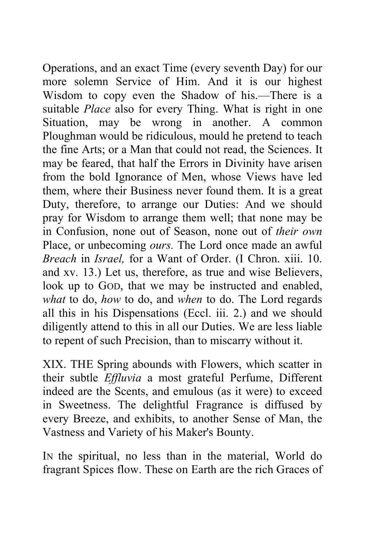Operations, and an exact Time (every seventh Day) for our more solemn Service of Him. And it is our highest Wisdom to copy even the Shadow of his.—There is a suitable *Place* also for every Thing. What is right in one Situation, may be wrong in another. A common Ploughman would be ridiculous, mould he pretend to teach the fine Arts; or a Man that could not read, the Sciences. It may be feared, that half the Errors in Divinity have arisen from the bold Ignorance of Men, whose Views have led them, where their Business never found them. It is a great Duty, therefore, to arrange our Duties: And we should pray for Wisdom to arrange them well; that none may be in Confusion, none out of Season, none out of *their own*  Place, or unbecoming *ours.* The Lord once made an awful *Breach* in *Israel,* for a Want of Order. (I Chron. xiii. 10. and xv. 13.) Let us, therefore, as true and wise Believers, look up to GOD, that we may be instructed and enabled, *what* to do, *how* to do, and *when* to do. The Lord regards all this in his Dispensations (Eccl. iii. 2.) and we should diligently attend to this in all our Duties. We are less liable to repent of such Precision, than to miscarry without it.

XIX. THE Spring abounds with Flowers, which scatter in their subtle *Effluvia* a most grateful Perfume, Different indeed are the Scents, and emulous (as it were) to exceed in Sweetness. The delightful Fragrance is diffused by every Breeze, and exhibits, to another Sense of Man, the Vastness and Variety of his Maker's Bounty.

IN the spiritual, no less than in the material, World do fragrant Spices flow. These on Earth are the rich Graces of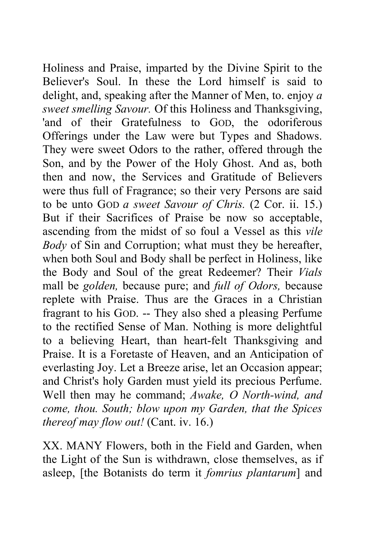Holiness and Praise, imparted by the Divine Spirit to the Believer's Soul. In these the Lord himself is said to delight, and, speaking after the Manner of Men, to. enjoy *a sweet smelling Savour.* Of this Holiness and Thanksgiving, 'and of their Gratefulness to GOD, the odoriferous Offerings under the Law were but Types and Shadows. They were sweet Odors to the rather, offered through the Son, and by the Power of the Holy Ghost. And as, both then and now, the Services and Gratitude of Believers were thus full of Fragrance; so their very Persons are said to be unto GOD *a sweet Savour of Chris.* (2 Cor. ii. 15.) But if their Sacrifices of Praise be now so acceptable, ascending from the midst of so foul a Vessel as this *vile Body* of Sin and Corruption; what must they be hereafter, when both Soul and Body shall be perfect in Holiness, like the Body and Soul of the great Redeemer? Their *Vials*  mall be *golden,* because pure; and *full of Odors,* because replete with Praise. Thus are the Graces in a Christian fragrant to his GOD. -- They also shed a pleasing Perfume to the rectified Sense of Man. Nothing is more delightful to a believing Heart, than heart-felt Thanksgiving and Praise. It is a Foretaste of Heaven, and an Anticipation of everlasting Joy. Let a Breeze arise, let an Occasion appear; and Christ's holy Garden must yield its precious Perfume. Well then may he command; *Awake, O North-wind, and come, thou. South; blow upon my Garden, that the Spices thereof may flow out!* (Cant. iv. 16.)

XX. MANY Flowers, both in the Field and Garden, when the Light of the Sun is withdrawn, close themselves, as if asleep, [the Botanists do term it *fomrius plantarum*] and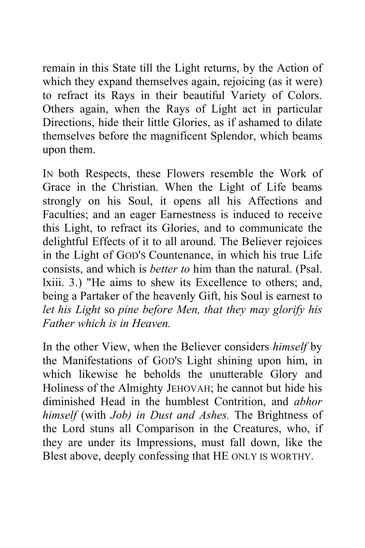remain in this State till the Light returns, by the Action of which they expand themselves again, rejoicing (as it were) to refract its Rays in their beautiful Variety of Colors. Others again, when the Rays of Light act in particular Directions, hide their little Glories, as if ashamed to dilate themselves before the magnificent Splendor, which beams upon them.

IN both Respects, these Flowers resemble the Work of Grace in the Christian. When the Light of Life beams strongly on his Soul, it opens all his Affections and Faculties; and an eager Earnestness is induced to receive this Light, to refract its Glories, and to communicate the delightful Effects of it to all around. The Believer rejoices in the Light of GOD'S Countenance, in which his true Life consists, and which is *better to* him than the natural. (Psal. lxiii. 3.) "He aims to shew its Excellence to others; and, being a Partaker of the heavenly Gift, his Soul is earnest to *let his Light* so *pine before Men, that they may glorify his Father which is in Heaven.* 

In the other View, when the Believer considers *himself* by the Manifestations of GOD'S Light shining upon him, in which likewise he beholds the unutterable Glory and Holiness of the Almighty JEHOVAH; he cannot but hide his diminished Head in the humblest Contrition, and *abhor himself* (with *Job) in Dust and Ashes.* The Brightness of the Lord stuns all Comparison in the Creatures, who, if they are under its Impressions, must fall down, like the Blest above, deeply confessing that HE ONLY IS WORTHY.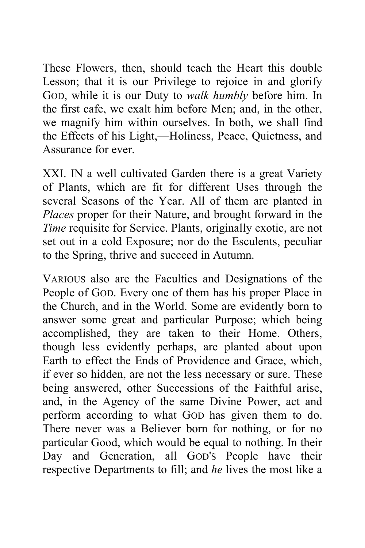These Flowers, then, should teach the Heart this double Lesson; that it is our Privilege to rejoice in and glorify GOD, while it is our Duty to *walk humbly* before him. In the first cafe, we exalt him before Men; and, in the other, we magnify him within ourselves. In both, we shall find the Effects of his Light,—Holiness, Peace, Quietness, and Assurance for ever.

XXI. IN a well cultivated Garden there is a great Variety of Plants, which are fit for different Uses through the several Seasons of the Year. All of them are planted in *Places* proper for their Nature, and brought forward in the *Time* requisite for Service. Plants, originally exotic, are not set out in a cold Exposure; nor do the Esculents, peculiar to the Spring, thrive and succeed in Autumn.

VARIOUS also are the Faculties and Designations of the People of GOD. Every one of them has his proper Place in the Church, and in the World. Some are evidently born to answer some great and particular Purpose; which being accomplished, they are taken to their Home. Others, though less evidently perhaps, are planted about upon Earth to effect the Ends of Providence and Grace, which, if ever so hidden, are not the less necessary or sure. These being answered, other Successions of the Faithful arise, and, in the Agency of the same Divine Power, act and perform according to what GOD has given them to do. There never was a Believer born for nothing, or for no particular Good, which would be equal to nothing. In their Day and Generation, all GOD'S People have their respective Departments to fill; and *he* lives the most like a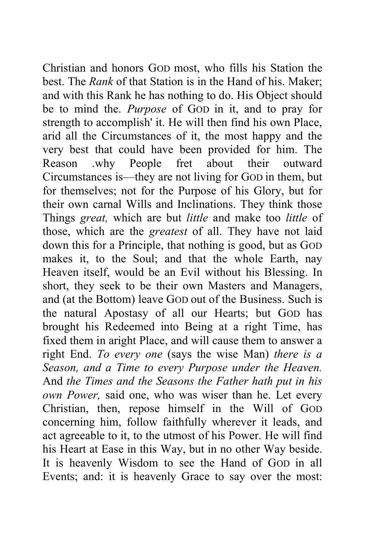Christian and honors GOD most, who fills his Station the best. The *Rank* of that Station is in the Hand of his. Maker; and with this Rank he has nothing to do. His Object should be to mind the. *Purpose* of GOD in it, and to pray for strength to accomplish' it. He will then find his own Place, arid all the Circumstances of it, the most happy and the very best that could have been provided for him. The Reason .why People fret about their outward Circumstances is—they are not living for GOD in them, but for themselves; not for the Purpose of his Glory, but for their own carnal Wills and Inclinations. They think those Things *great,* which are but *little* and make too *little* of those, which are the *greatest* of all. They have not laid down this for a Principle, that nothing is good, but as GOD makes it, to the Soul; and that the whole Earth, nay Heaven itself, would be an Evil without his Blessing. In short, they seek to be their own Masters and Managers, and (at the Bottom) leave GOD out of the Business. Such is the natural Apostasy of all our Hearts; but GOD has brought his Redeemed into Being at a right Time, has fixed them in aright Place, and will cause them to answer a right End. *To every one* (says the wise Man) *there is a Season, and a Time to every Purpose under the Heaven.*  And *the Times and the Seasons the Father hath put in his own Power,* said one, who was wiser than he. Let every Christian, then, repose himself in the Will of GOD concerning him, follow faithfully wherever it leads, and act agreeable to it, to the utmost of his Power. He will find his Heart at Ease in this Way, but in no other Way beside. It is heavenly Wisdom to see the Hand of GOD in all Events; and: it is heavenly Grace to say over the most: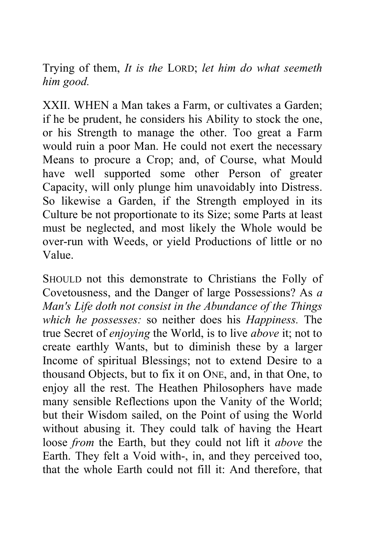Trying of them, *It is the* LORD; *let him do what seemeth him good.* 

XXII. WHEN a Man takes a Farm, or cultivates a Garden; if he be prudent, he considers his Ability to stock the one, or his Strength to manage the other. Too great a Farm would ruin a poor Man. He could not exert the necessary Means to procure a Crop; and, of Course, what Mould have well supported some other Person of greater Capacity, will only plunge him unavoidably into Distress. So likewise a Garden, if the Strength employed in its Culture be not proportionate to its Size; some Parts at least must be neglected, and most likely the Whole would be over-run with Weeds, or yield Productions of little or no Value.

SHOULD not this demonstrate to Christians the Folly of Covetousness, and the Danger of large Possessions? As *a Man's Life doth not consist in the Abundance of the Things which he possesses:* so neither does his *Happiness.* The true Secret of *enjoying* the World, is to live *above* it; not to create earthly Wants, but to diminish these by a larger Income of spiritual Blessings; not to extend Desire to a thousand Objects, but to fix it on ONE, and, in that One, to enjoy all the rest. The Heathen Philosophers have made many sensible Reflections upon the Vanity of the World; but their Wisdom sailed, on the Point of using the World without abusing it. They could talk of having the Heart loose *from* the Earth, but they could not lift it *above* the Earth. They felt a Void with-, in, and they perceived too, that the whole Earth could not fill it: And therefore, that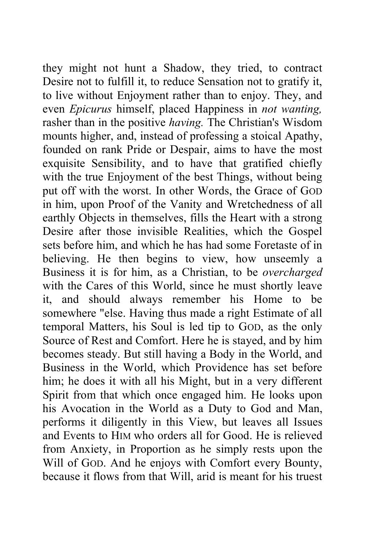they might not hunt a Shadow, they tried, to contract Desire not to fulfill it, to reduce Sensation not to gratify it, to live without Enjoyment rather than to enjoy. They, and even *Epicurus* himself, placed Happiness in *not wanting,*  rasher than in the positive *having.* The Christian's Wisdom mounts higher, and, instead of professing a stoical Apathy, founded on rank Pride or Despair, aims to have the most exquisite Sensibility, and to have that gratified chiefly with the true Enjoyment of the best Things, without being put off with the worst. In other Words, the Grace of GOD in him, upon Proof of the Vanity and Wretchedness of all earthly Objects in themselves, fills the Heart with a strong Desire after those invisible Realities, which the Gospel sets before him, and which he has had some Foretaste of in believing. He then begins to view, how unseemly a Business it is for him, as a Christian, to be *overcharged*  with the Cares of this World, since he must shortly leave it, and should always remember his Home to be somewhere "else. Having thus made a right Estimate of all temporal Matters, his Soul is led tip to GOD, as the only Source of Rest and Comfort. Here he is stayed, and by him becomes steady. But still having a Body in the World, and Business in the World, which Providence has set before him; he does it with all his Might, but in a very different Spirit from that which once engaged him. He looks upon his Avocation in the World as a Duty to God and Man, performs it diligently in this View, but leaves all Issues and Events to HIM who orders all for Good. He is relieved from Anxiety, in Proportion as he simply rests upon the Will of GOD. And he enjoys with Comfort every Bounty, because it flows from that Will, arid is meant for his truest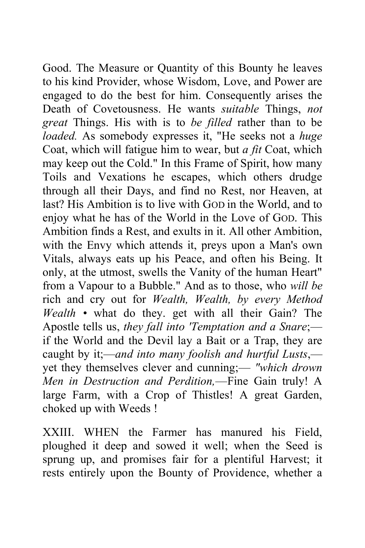Good. The Measure or Quantity of this Bounty he leaves to his kind Provider, whose Wisdom, Love, and Power are engaged to do the best for him. Consequently arises the Death of Covetousness. He wants *suitable* Things, *not great* Things. His with is to *be filled* rather than to be *loaded.* As somebody expresses it, "He seeks not a *huge*  Coat, which will fatigue him to wear, but *a fit* Coat, which may keep out the Cold." In this Frame of Spirit, how many Toils and Vexations he escapes, which others drudge through all their Days, and find no Rest, nor Heaven, at last? His Ambition is to live with GOD in the World, and to enjoy what he has of the World in the Love of GOD. This Ambition finds a Rest, and exults in it. All other Ambition, with the Envy which attends it, preys upon a Man's own Vitals, always eats up his Peace, and often his Being. It only, at the utmost, swells the Vanity of the human Heart" from a Vapour to a Bubble." And as to those, who *will be*  rich and cry out for *Wealth, Wealth, by every Method Wealth •* what do they. get with all their Gain? The Apostle tells us, *they fall into 'Temptation and a Snare*; if the World and the Devil lay a Bait or a Trap, they are caught by it;—*and into many foolish and hurtful Lusts*, yet they themselves clever and cunning;— *"which drown Men in Destruction and Perdition,*—Fine Gain truly! A large Farm, with a Crop of Thistles! A great Garden, choked up with Weeds !

XXIII. WHEN the Farmer has manured his Field, ploughed it deep and sowed it well; when the Seed is sprung up, and promises fair for a plentiful Harvest; it rests entirely upon the Bounty of Providence, whether a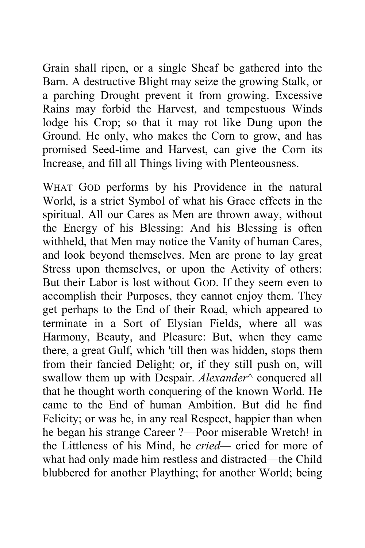Grain shall ripen, or a single Sheaf be gathered into the Barn. A destructive Blight may seize the growing Stalk, or a parching Drought prevent it from growing. Excessive Rains may forbid the Harvest, and tempestuous Winds lodge his Crop; so that it may rot like Dung upon the Ground. He only, who makes the Corn to grow, and has promised Seed-time and Harvest, can give the Corn its Increase, and fill all Things living with Plenteousness.

WHAT GOD performs by his Providence in the natural World, is a strict Symbol of what his Grace effects in the spiritual. All our Cares as Men are thrown away, without the Energy of his Blessing: And his Blessing is often withheld, that Men may notice the Vanity of human Cares, and look beyond themselves. Men are prone to lay great Stress upon themselves, or upon the Activity of others: But their Labor is lost without GOD. If they seem even to accomplish their Purposes, they cannot enjoy them. They get perhaps to the End of their Road, which appeared to terminate in a Sort of Elysian Fields, where all was Harmony, Beauty, and Pleasure: But, when they came there, a great Gulf, which 'till then was hidden, stops them from their fancied Delight; or, if they still push on, will swallow them up with Despair. *Alexander*^ conquered all that he thought worth conquering of the known World. He came to the End of human Ambition. But did he find Felicity; or was he, in any real Respect, happier than when he began his strange Career ?—Poor miserable Wretch! in the Littleness of his Mind, he *cried—* cried for more of what had only made him restless and distracted—the Child blubbered for another Plaything; for another World; being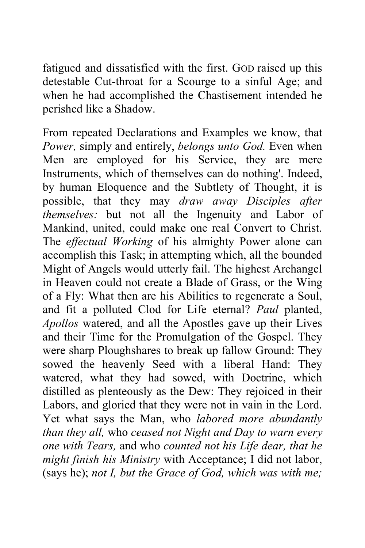fatigued and dissatisfied with the first. GOD raised up this detestable Cut-throat for a Scourge to a sinful Age; and when he had accomplished the Chastisement intended he perished like a Shadow.

From repeated Declarations and Examples we know, that *Power,* simply and entirely, *belongs unto God.* Even when Men are employed for his Service, they are mere Instruments, which of themselves can do nothing'. Indeed, by human Eloquence and the Subtlety of Thought, it is possible, that they may *draw away Disciples after themselves:* but not all the Ingenuity and Labor of Mankind, united, could make one real Convert to Christ. The *effectual Working* of his almighty Power alone can accomplish this Task; in attempting which, all the bounded Might of Angels would utterly fail. The highest Archangel in Heaven could not create a Blade of Grass, or the Wing of a Fly: What then are his Abilities to regenerate a Soul, and fit a polluted Clod for Life eternal? *Paul* planted, *Apollos* watered, and all the Apostles gave up their Lives and their Time for the Promulgation of the Gospel. They were sharp Ploughshares to break up fallow Ground: They sowed the heavenly Seed with a liberal Hand: They watered, what they had sowed, with Doctrine, which distilled as plenteously as the Dew: They rejoiced in their Labors, and gloried that they were not in vain in the Lord. Yet what says the Man, who *labored more abundantly than they all,* who *ceased not Night and Day to warn every one with Tears,* and who *counted not his Life dear, that he might finish his Ministry* with Acceptance; I did not labor, (says he); *not I, but the Grace of God, which was with me;*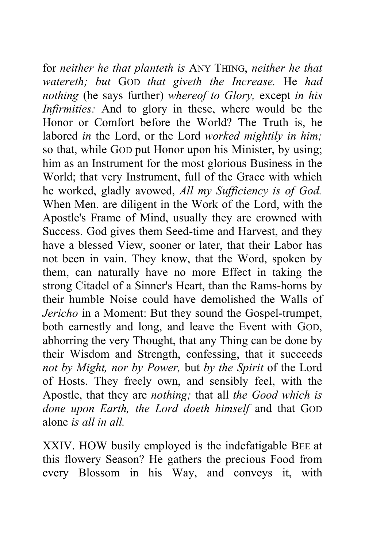for *neither he that planteth is* ANY THING, *neither he that watereth; but* GOD *that giveth the Increase.* He *had nothing* (he says further) *whereof to Glory,* except *in his Infirmities:* And to glory in these, where would be the Honor or Comfort before the World? The Truth is, he labored *in* the Lord, or the Lord *worked mightily in him;*  so that, while GOD put Honor upon his Minister, by using; him as an Instrument for the most glorious Business in the World; that very Instrument, full of the Grace with which he worked, gladly avowed, *All my Sufficiency is of God.*  When Men. are diligent in the Work of the Lord, with the Apostle's Frame of Mind, usually they are crowned with Success. God gives them Seed-time and Harvest, and they have a blessed View, sooner or later, that their Labor has not been in vain. They know, that the Word, spoken by them, can naturally have no more Effect in taking the strong Citadel of a Sinner's Heart, than the Rams-horns by their humble Noise could have demolished the Walls of *Jericho* in a Moment: But they sound the Gospel-trumpet, both earnestly and long, and leave the Event with GOD, abhorring the very Thought, that any Thing can be done by their Wisdom and Strength, confessing, that it succeeds *not by Might, nor by Power,* but *by the Spirit* of the Lord of Hosts. They freely own, and sensibly feel, with the Apostle, that they are *nothing;* that all *the Good which is done upon Earth, the Lord doeth himself* and that GOD alone *is all in all* 

XXIV. HOW busily employed is the indefatigable BEE at this flowery Season? He gathers the precious Food from every Blossom in his Way, and conveys it, with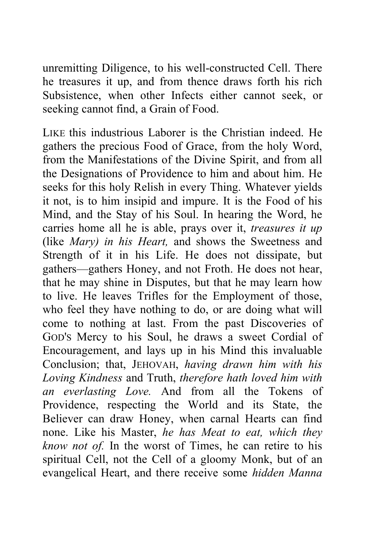unremitting Diligence, to his well-constructed Cell. There he treasures it up, and from thence draws forth his rich Subsistence, when other Infects either cannot seek, or seeking cannot find, a Grain of Food.

LIKE this industrious Laborer is the Christian indeed. He gathers the precious Food of Grace, from the holy Word, from the Manifestations of the Divine Spirit, and from all the Designations of Providence to him and about him. He seeks for this holy Relish in every Thing. Whatever yields it not, is to him insipid and impure. It is the Food of his Mind, and the Stay of his Soul. In hearing the Word, he carries home all he is able, prays over it, *treasures it up*  (like *Mary) in his Heart,* and shows the Sweetness and Strength of it in his Life. He does not dissipate, but gathers—gathers Honey, and not Froth. He does not hear, that he may shine in Disputes, but that he may learn how to live. He leaves Trifles for the Employment of those, who feel they have nothing to do, or are doing what will come to nothing at last. From the past Discoveries of GOD'S Mercy to his Soul, he draws a sweet Cordial of Encouragement, and lays up in his Mind this invaluable Conclusion; that, JEHOVAH, *having drawn him with his Loving Kindness* and Truth, *therefore hath loved him with an everlasting Love.* And from all the Tokens of Providence, respecting the World and its State, the Believer can draw Honey, when carnal Hearts can find none. Like his Master, *he has Meat to eat, which they know not of.* In the worst of Times, he can retire to his spiritual Cell, not the Cell of a gloomy Monk, but of an evangelical Heart, and there receive some *hidden Manna*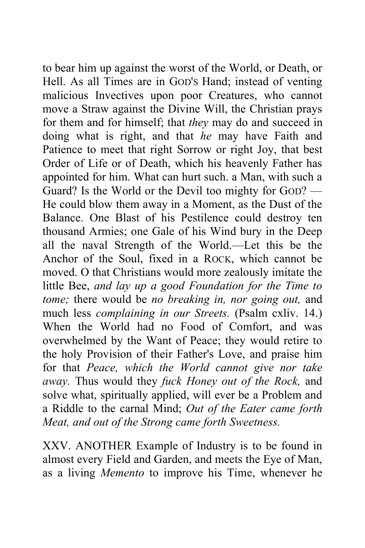to bear him up against the worst of the World, or Death, or Hell. As all Times are in GOD'S Hand; instead of venting malicious Invectives upon poor Creatures, who cannot move a Straw against the Divine Will, the Christian prays for them and for himself; that *they* may do and succeed in doing what is right, and that *he* may have Faith and Patience to meet that right Sorrow or right Joy, that best Order of Life or of Death, which his heavenly Father has appointed for him. What can hurt such. a Man, with such a Guard? Is the World or the Devil too mighty for GOD? — He could blow them away in a Moment, as the Dust of the Balance. One Blast of his Pestilence could destroy ten thousand Armies; one Gale of his Wind bury in the Deep all the naval Strength of the World.—Let this be the Anchor of the Soul, fixed in a ROCK, which cannot be moved. O that Christians would more zealously imitate the little Bee, *and lay up a good Foundation for the Time to tome;* there would be *no breaking in, nor going out,* and much less *complaining in our Streets.* (Psalm cxliv. 14.) When the World had no Food of Comfort, and was overwhelmed by the Want of Peace; they would retire to the holy Provision of their Father's Love, and praise him for that *Peace, which the World cannot give nor take away.* Thus would they *fuck Honey out of the Rock,* and solve what, spiritually applied, will ever be a Problem and a Riddle to the carnal Mind; *Out of the Eater came forth Meat, and out of the Strong came forth Sweetness.* 

XXV. ANOTHER Example of Industry is to be found in almost every Field and Garden, and meets the Eye of Man, as a living *Memento* to improve his Time, whenever he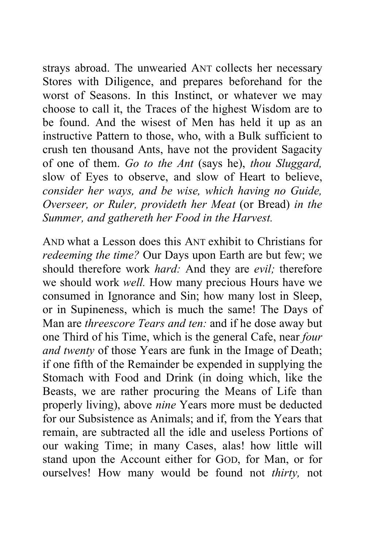strays abroad. The unwearied ANT collects her necessary Stores with Diligence, and prepares beforehand for the worst of Seasons. In this Instinct, or whatever we may choose to call it, the Traces of the highest Wisdom are to be found. And the wisest of Men has held it up as an instructive Pattern to those, who, with a Bulk sufficient to crush ten thousand Ants, have not the provident Sagacity of one of them. *Go to the Ant* (says he), *thou Sluggard,*  slow of Eyes to observe, and slow of Heart to believe, *consider her ways, and be wise, which having no Guide, Overseer, or Ruler, provideth her Meat* (or Bread) *in the Summer, and gathereth her Food in the Harvest.* 

AND what a Lesson does this ANT exhibit to Christians for *redeeming the time?* Our Days upon Earth are but few; we should therefore work *hard:* And they are *evil;* therefore we should work *well.* How many precious Hours have we consumed in Ignorance and Sin; how many lost in Sleep, or in Supineness, which is much the same! The Days of Man are *threescore Tears and ten:* and if he dose away but one Third of his Time, which is the general Cafe, near *four and twenty* of those Years are funk in the Image of Death; if one fifth of the Remainder be expended in supplying the Stomach with Food and Drink (in doing which, like the Beasts, we are rather procuring the Means of Life than properly living), above *nine* Years more must be deducted for our Subsistence as Animals; and if, from the Years that remain, are subtracted all the idle and useless Portions of our waking Time; in many Cases, alas! how little will stand upon the Account either for GOD, for Man, or for ourselves! How many would be found not *thirty,* not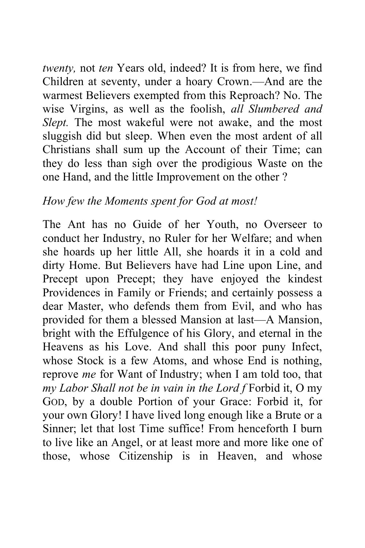*twenty,* not *ten* Years old, indeed? It is from here, we find Children at seventy, under a hoary Crown.—And are the warmest Believers exempted from this Reproach? No. The wise Virgins, as well as the foolish, *all Slumbered and Slept.* The most wakeful were not awake, and the most sluggish did but sleep. When even the most ardent of all Christians shall sum up the Account of their Time; can they do less than sigh over the prodigious Waste on the one Hand, and the little Improvement on the other ?

## *How few the Moments spent for God at most!*

The Ant has no Guide of her Youth, no Overseer to conduct her Industry, no Ruler for her Welfare; and when she hoards up her little All, she hoards it in a cold and dirty Home. But Believers have had Line upon Line, and Precept upon Precept; they have enjoyed the kindest Providences in Family or Friends; and certainly possess a dear Master, who defends them from Evil, and who has provided for them a blessed Mansion at last—A Mansion, bright with the Effulgence of his Glory, and eternal in the Heavens as his Love. And shall this poor puny Infect, whose Stock is a few Atoms, and whose End is nothing, reprove *me* for Want of Industry; when I am told too, that *my Labor Shall not be in vain in the Lord f* Forbid it, O my GOD, by a double Portion of your Grace: Forbid it, for your own Glory! I have lived long enough like a Brute or a Sinner; let that lost Time suffice! From henceforth I burn to live like an Angel, or at least more and more like one of those, whose Citizenship is in Heaven, and whose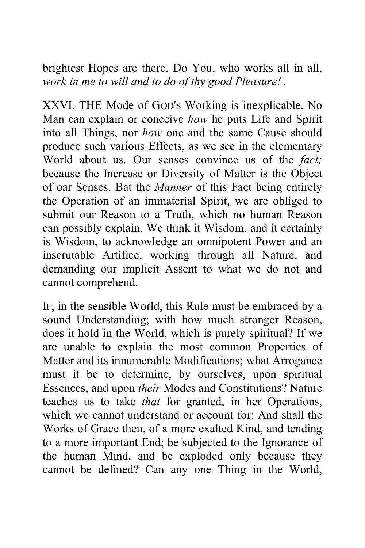brightest Hopes are there. Do You, who works all in all, *work in me to will and to do of thy good Pleasure! .* 

XXVI. THE Mode of GOD'S Working is inexplicable. No Man can explain or conceive *how* he puts Life and Spirit into all Things, nor *how* one and the same Cause should produce such various Effects, as we see in the elementary World about us. Our senses convince us of the *fact;*  because the Increase or Diversity of Matter is the Object of oar Senses. Bat the *Manner* of this Fact being entirely the Operation of an immaterial Spirit, we are obliged to submit our Reason to a Truth, which no human Reason can possibly explain. We think it Wisdom, and it certainly is Wisdom, to acknowledge an omnipotent Power and an inscrutable Artifice, working through all Nature, and demanding our implicit Assent to what we do not and cannot comprehend.

IF, in the sensible World, this Rule must be embraced by a sound Understanding; with how much stronger Reason, does it hold in the World, which is purely spiritual? If we are unable to explain the most common Properties of Matter and its innumerable Modifications; what Arrogance must it be to determine, by ourselves, upon spiritual Essences, and upon *their* Modes and Constitutions? Nature teaches us to take *that* for granted, in her Operations, which we cannot understand or account for: And shall the Works of Grace then, of a more exalted Kind, and tending to a more important End; be subjected to the Ignorance of the human Mind, and be exploded only because they cannot be defined? Can any one Thing in the World,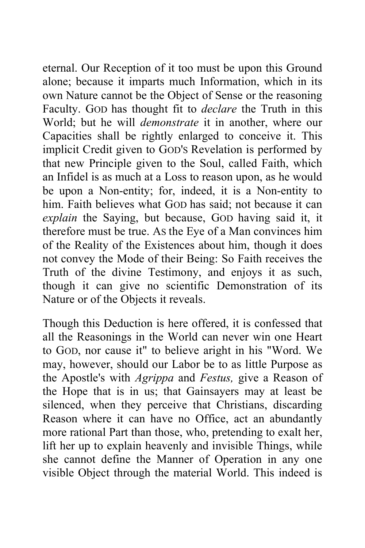eternal. Our Reception of it too must be upon this Ground alone; because it imparts much Information, which in its own Nature cannot be the Object of Sense or the reasoning Faculty. GOD has thought fit to *declare* the Truth in this World; but he will *demonstrate* it in another, where our Capacities shall be rightly enlarged to conceive it. This implicit Credit given to GOD'S Revelation is performed by that new Principle given to the Soul, called Faith, which an Infidel is as much at a Loss to reason upon, as he would be upon a Non-entity; for, indeed, it is a Non-entity to him. Faith believes what GOD has said; not because it can *explain* the Saying, but because, GOD having said it, it therefore must be true. AS the Eye of a Man convinces him of the Reality of the Existences about him, though it does not convey the Mode of their Being: So Faith receives the Truth of the divine Testimony, and enjoys it as such, though it can give no scientific Demonstration of its Nature or of the Objects it reveals.

Though this Deduction is here offered, it is confessed that all the Reasonings in the World can never win one Heart to GOD, nor cause it" to believe aright in his "Word. We may, however, should our Labor be to as little Purpose as the Apostle's with *Agrippa* and *Festus,* give a Reason of the Hope that is in us; that Gainsayers may at least be silenced, when they perceive that Christians, discarding Reason where it can have no Office, act an abundantly more rational Part than those, who, pretending to exalt her, lift her up to explain heavenly and invisible Things, while she cannot define the Manner of Operation in any one visible Object through the material World. This indeed is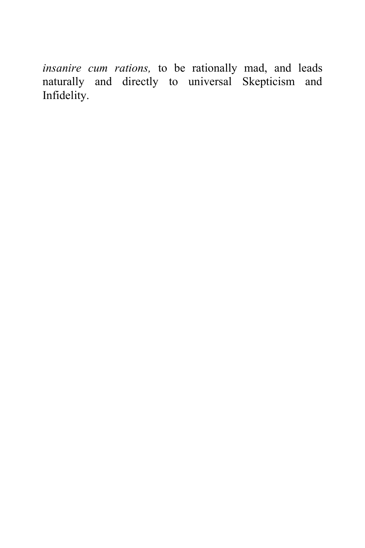*insanire cum rations,* to be rationally mad, and leads naturally and directly to universal Skepticism and Infidelity.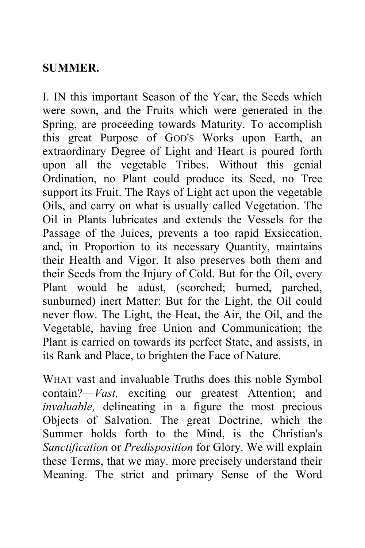## **SUMMER.**

I. IN this important Season of the Year, the Seeds which were sown, and the Fruits which were generated in the Spring, are proceeding towards Maturity. To accomplish this great Purpose of GOD'S Works upon Earth, an extraordinary Degree of Light and Heart is poured forth upon all the vegetable Tribes. Without this genial Ordination, no Plant could produce its Seed, no Tree support its Fruit. The Rays of Light act upon the vegetable Oils, and carry on what is usually called Vegetation. The Oil in Plants lubricates and extends the Vessels for the Passage of the Juices, prevents a too rapid Exsiccation, and, in Proportion to its necessary Quantity, maintains their Health and Vigor. It also preserves both them and their Seeds from the Injury of Cold. But for the Oil, every Plant would be adust, (scorched; burned, parched, sunburned) inert Matter: But for the Light, the Oil could never flow. The Light, the Heat, the Air, the Oil, and the Vegetable, having free Union and Communication; the Plant is carried on towards its perfect State, and assists, in its Rank and Place, to brighten the Face of Nature.

WHAT vast and invaluable Truths does this noble Symbol contain?—*Vast,* exciting our greatest Attention; and *invaluable,* delineating in a figure the most precious Objects of Salvation. The great Doctrine, which the Summer holds forth to the Mind, is the Christian's *Sanctification* or *Predisposition* for Glory. We will explain these Terms, that we may. more precisely understand their Meaning. The strict and primary Sense of the Word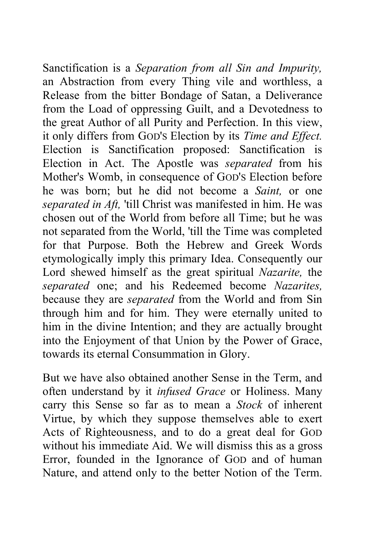Sanctification is a *Separation from all Sin and Impurity,*  an Abstraction from every Thing vile and worthless, a Release from the bitter Bondage of Satan, a Deliverance from the Load of oppressing Guilt, and a Devotedness to the great Author of all Purity and Perfection. In this view, it only differs from GOD'S Election by its *Time and Effect.*  Election is Sanctification proposed: Sanctification is Election in Act. The Apostle was *separated* from his Mother's Womb, in consequence of GOD'S Election before he was born; but he did not become a *Saint,* or one *separated in Aft,* 'till Christ was manifested in him. He was chosen out of the World from before all Time; but he was not separated from the World, 'till the Time was completed for that Purpose. Both the Hebrew and Greek Words etymologically imply this primary Idea. Consequently our Lord shewed himself as the great spiritual *Nazarite,* the *separated* one; and his Redeemed become *Nazarites,*  because they are *separated* from the World and from Sin through him and for him. They were eternally united to him in the divine Intention; and they are actually brought into the Enjoyment of that Union by the Power of Grace, towards its eternal Consummation in Glory.

But we have also obtained another Sense in the Term, and often understand by it *infused Grace* or Holiness. Many carry this Sense so far as to mean a *Stock* of inherent Virtue, by which they suppose themselves able to exert Acts of Righteousness, and to do a great deal for GOD without his immediate Aid. We will dismiss this as a gross Error, founded in the Ignorance of GOD and of human Nature, and attend only to the better Notion of the Term.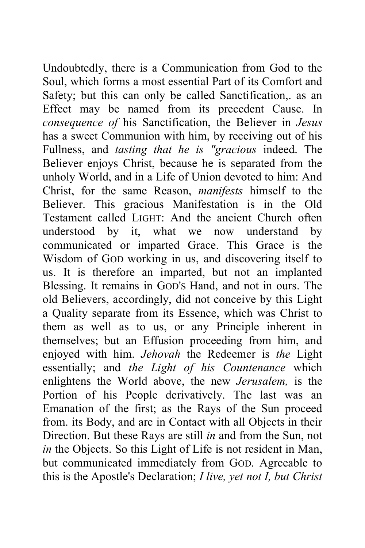Undoubtedly, there is a Communication from God to the Soul, which forms a most essential Part of its Comfort and Safety; but this can only be called Sanctification,. as an Effect may be named from its precedent Cause. In *consequence of* his Sanctification, the Believer in *Jesus*  has a sweet Communion with him, by receiving out of his Fullness, and *tasting that he is "gracious* indeed. The Believer enjoys Christ, because he is separated from the unholy World, and in a Life of Union devoted to him: And Christ, for the same Reason, *manifests* himself to the Believer. This gracious Manifestation is in the Old Testament called LIGHT: And the ancient Church often understood by it, what we now understand by communicated or imparted Grace. This Grace is the Wisdom of GOD working in us, and discovering itself to us. It is therefore an imparted, but not an implanted Blessing. It remains in GOD'S Hand, and not in ours. The old Believers, accordingly, did not conceive by this Light a Quality separate from its Essence, which was Christ to them as well as to us, or any Principle inherent in themselves; but an Effusion proceeding from him, and enjoyed with him. *Jehovah* the Redeemer is *the* Light essentially; and *the Light of his Countenance* which enlightens the World above, the new *Jerusalem,* is the Portion of his People derivatively. The last was an Emanation of the first; as the Rays of the Sun proceed from. its Body, and are in Contact with all Objects in their Direction. But these Rays are still *in* and from the Sun, not *in* the Objects. So this Light of Life is not resident in Man, but communicated immediately from GOD. Agreeable to this is the Apostle's Declaration; *I live, yet not I, but Christ*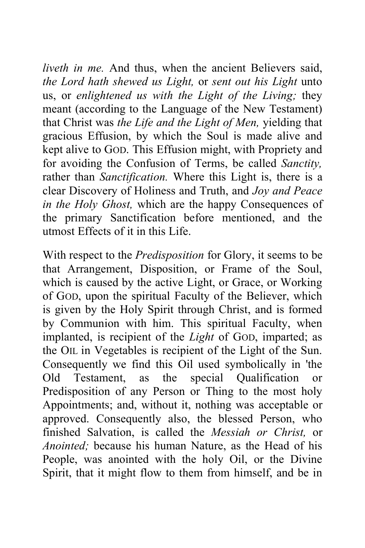*liveth in me.* And thus, when the ancient Believers said, *the Lord hath shewed us Light,* or *sent out his Light* unto us, or *enlightened us with the Light of the Living;* they meant (according to the Language of the New Testament) that Christ was *the Life and the Light of Men,* yielding that gracious Effusion, by which the Soul is made alive and kept alive to GOD. This Effusion might, with Propriety and for avoiding the Confusion of Terms, be called *Sanctity,*  rather than *Sanctification.* Where this Light is, there is a clear Discovery of Holiness and Truth, and *Joy and Peace in the Holy Ghost,* which are the happy Consequences of the primary Sanctification before mentioned, and the utmost Effects of it in this Life.

With respect to the *Predisposition* for Glory, it seems to be that Arrangement, Disposition, or Frame of the Soul, which is caused by the active Light, or Grace, or Working of GOD, upon the spiritual Faculty of the Believer, which is given by the Holy Spirit through Christ, and is formed by Communion with him. This spiritual Faculty, when implanted, is recipient of the *Light* of GOD, imparted; as the OIL in Vegetables is recipient of the Light of the Sun. Consequently we find this Oil used symbolically in 'the Old Testament, as the special Qualification or Predisposition of any Person or Thing to the most holy Appointments; and, without it, nothing was acceptable or approved. Consequently also, the blessed Person, who finished Salvation, is called the *Messiah or Christ,* or *Anointed;* because his human Nature, as the Head of his People, was anointed with the holy Oil, or the Divine Spirit, that it might flow to them from himself, and be in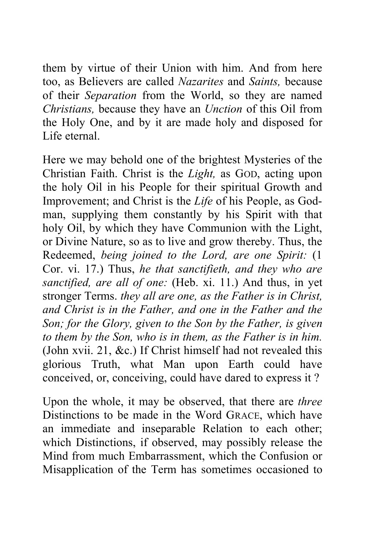them by virtue of their Union with him. And from here too, as Believers are called *Nazarites* and *Saints,* because of their *Separation* from the World, so they are named *Christians,* because they have an *Unction* of this Oil from the Holy One, and by it are made holy and disposed for Life eternal.

Here we may behold one of the brightest Mysteries of the Christian Faith. Christ is the *Light,* as GOD, acting upon the holy Oil in his People for their spiritual Growth and Improvement; and Christ is the *Life* of his People, as Godman, supplying them constantly by his Spirit with that holy Oil, by which they have Communion with the Light, or Divine Nature, so as to live and grow thereby. Thus, the Redeemed, *being joined to the Lord, are one Spirit:* (1 Cor. vi. 17.) Thus, *he that sanctifieth, and they who are sanctified, are all of one:* (Heb. xi. 11.) And thus, in yet stronger Terms. *they all are one, as the Father is in Christ, and Christ is in the Father, and one in the Father and the Son; for the Glory, given to the Son by the Father, is given to them by the Son, who is in them, as the Father is in him.*  (John xvii. 21, &c.) If Christ himself had not revealed this glorious Truth, what Man upon Earth could have conceived, or, conceiving, could have dared to express it ?

Upon the whole, it may be observed, that there are *three*  Distinctions to be made in the Word GRACE, which have an immediate and inseparable Relation to each other; which Distinctions, if observed, may possibly release the Mind from much Embarrassment, which the Confusion or Misapplication of the Term has sometimes occasioned to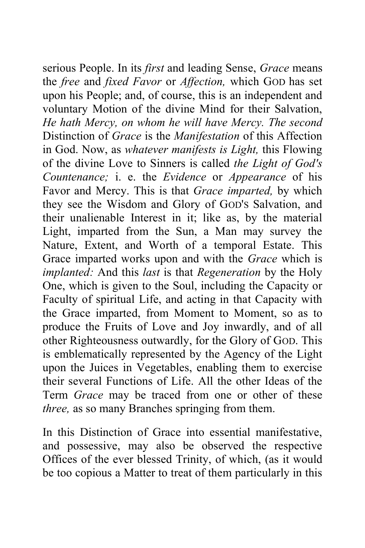serious People. In its *first* and leading Sense, *Grace* means the *free* and *fixed Favor* or *Affection,* which GOD has set upon his People; and, of course, this is an independent and voluntary Motion of the divine Mind for their Salvation, *He hath Mercy, on whom he will have Mercy. The second*  Distinction of *Grace* is the *Manifestation* of this Affection in God. Now, as *whatever manifests is Light,* this Flowing of the divine Love to Sinners is called *the Light of God's Countenance;* i. e. the *Evidence* or *Appearance* of his Favor and Mercy. This is that *Grace imparted,* by which they see the Wisdom and Glory of GOD'S Salvation, and their unalienable Interest in it; like as, by the material Light, imparted from the Sun, a Man may survey the Nature, Extent, and Worth of a temporal Estate. This Grace imparted works upon and with the *Grace* which is *implanted:* And this *last* is that *Regeneration* by the Holy One, which is given to the Soul, including the Capacity or Faculty of spiritual Life, and acting in that Capacity with the Grace imparted, from Moment to Moment, so as to produce the Fruits of Love and Joy inwardly, and of all other Righteousness outwardly, for the Glory of GOD. This is emblematically represented by the Agency of the Light upon the Juices in Vegetables, enabling them to exercise their several Functions of Life. All the other Ideas of the Term *Grace* may be traced from one or other of these *three,* as so many Branches springing from them.

In this Distinction of Grace into essential manifestative, and possessive, may also be observed the respective Offices of the ever blessed Trinity, of which, (as it would be too copious a Matter to treat of them particularly in this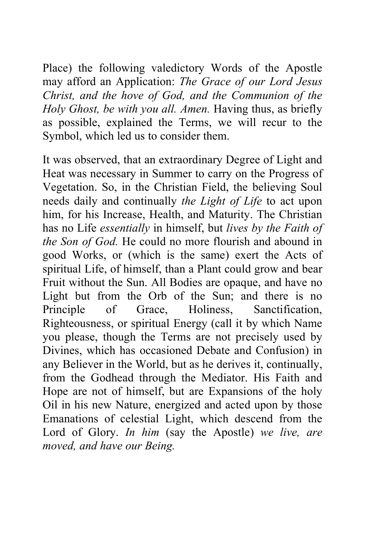Place) the following valedictory Words of the Apostle may afford an Application: *The Grace of our Lord Jesus Christ, and the hove of God, and the Communion of the Holy Ghost, be with you all. Amen.* Having thus, as briefly as possible, explained the Terms, we will recur to the Symbol, which led us to consider them.

It was observed, that an extraordinary Degree of Light and Heat was necessary in Summer to carry on the Progress of Vegetation. So, in the Christian Field, the believing Soul needs daily and continually *the Light of Life* to act upon him, for his Increase, Health, and Maturity. The Christian has no Life *essentially* in himself, but *lives by the Faith of the Son of God.* He could no more flourish and abound in good Works, or (which is the same) exert the Acts of spiritual Life, of himself, than a Plant could grow and bear Fruit without the Sun. All Bodies are opaque, and have no Light but from the Orb of the Sun; and there is no Principle of Grace, Holiness, Sanctification, Righteousness, or spiritual Energy (call it by which Name you please, though the Terms are not precisely used by Divines, which has occasioned Debate and Confusion) in any Believer in the World, but as he derives it, continually, from the Godhead through the Mediator. His Faith and Hope are not of himself, but are Expansions of the holy Oil in his new Nature, energized and acted upon by those Emanations of celestial Light, which descend from the Lord of Glory. *In him* (say the Apostle) *we live, are moved, and have our Being.*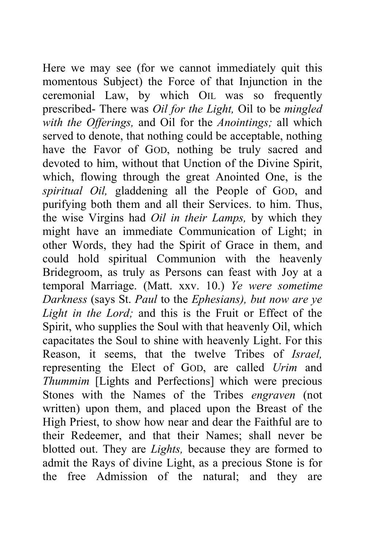Here we may see (for we cannot immediately quit this momentous Subject) the Force of that Injunction in the ceremonial Law, by which OIL was so frequently prescribed- There was *Oil for the Light,* Oil to be *mingled with the Offerings,* and Oil for the *Anointings;* all which served to denote, that nothing could be acceptable, nothing have the Favor of GOD, nothing be truly sacred and devoted to him, without that Unction of the Divine Spirit, which, flowing through the great Anointed One, is the *spiritual Oil,* gladdening all the People of GOD, and purifying both them and all their Services. to him. Thus, the wise Virgins had *Oil in their Lamps,* by which they might have an immediate Communication of Light; in other Words, they had the Spirit of Grace in them, and could hold spiritual Communion with the heavenly Bridegroom, as truly as Persons can feast with Joy at a temporal Marriage. (Matt. xxv. 10.) *Ye were sometime Darkness* (says St. *Paul* to the *Ephesians), but now are ye Light in the Lord;* and this is the Fruit or Effect of the Spirit, who supplies the Soul with that heavenly Oil, which capacitates the Soul to shine with heavenly Light. For this Reason, it seems, that the twelve Tribes of *Israel,*  representing the Elect of GOD, are called *Urim* and *Thummim* [Lights and Perfections] which were precious Stones with the Names of the Tribes *engraven* (not written) upon them, and placed upon the Breast of the High Priest, to show how near and dear the Faithful are to their Redeemer, and that their Names; shall never be blotted out. They are *Lights,* because they are formed to admit the Rays of divine Light, as a precious Stone is for the free Admission of the natural; and they are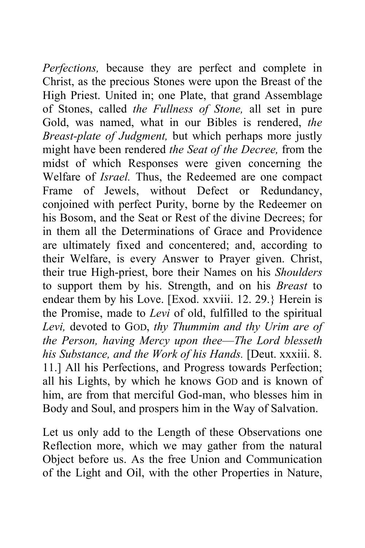*Perfections,* because they are perfect and complete in Christ, as the precious Stones were upon the Breast of the High Priest. United in; one Plate, that grand Assemblage of Stones, called *the Fullness of Stone,* all set in pure Gold, was named, what in our Bibles is rendered, *the Breast-plate of Judgment,* but which perhaps more justly might have been rendered *the Seat of the Decree,* from the midst of which Responses were given concerning the Welfare of *Israel.* Thus, the Redeemed are one compact Frame of Jewels, without Defect or Redundancy, conjoined with perfect Purity, borne by the Redeemer on his Bosom, and the Seat or Rest of the divine Decrees; for in them all the Determinations of Grace and Providence are ultimately fixed and concentered; and, according to their Welfare, is every Answer to Prayer given. Christ, their true High-priest, bore their Names on his *Shoulders*  to support them by his. Strength, and on his *Breast* to endear them by his Love. [Exod. xxviii. 12. 29.} Herein is the Promise, made to *Levi* of old, fulfilled to the spiritual *Levi,* devoted to GOD, *thy Thummim and thy Urim are of the Person, having Mercy upon thee*—*The Lord blesseth his Substance, and the Work of his Hands.* [Deut. xxxiii. 8. 11.] All his Perfections, and Progress towards Perfection; all his Lights, by which he knows GOD and is known of him, are from that merciful God-man, who blesses him in Body and Soul, and prospers him in the Way of Salvation.

Let us only add to the Length of these Observations one Reflection more, which we may gather from the natural Object before us. As the free Union and Communication of the Light and Oil, with the other Properties in Nature,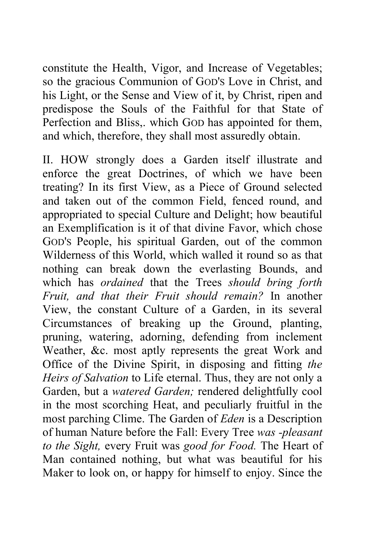constitute the Health, Vigor, and Increase of Vegetables; so the gracious Communion of GOD'S Love in Christ, and his Light, or the Sense and View of it, by Christ, ripen and predispose the Souls of the Faithful for that State of Perfection and Bliss,. which GOD has appointed for them, and which, therefore, they shall most assuredly obtain.

II. HOW strongly does a Garden itself illustrate and enforce the great Doctrines, of which we have been treating? In its first View, as a Piece of Ground selected and taken out of the common Field, fenced round, and appropriated to special Culture and Delight; how beautiful an Exemplification is it of that divine Favor, which chose GOD'S People, his spiritual Garden, out of the common Wilderness of this World, which walled it round so as that nothing can break down the everlasting Bounds, and which has *ordained* that the Trees *should bring forth Fruit, and that their Fruit should remain?* In another View, the constant Culture of a Garden, in its several Circumstances of breaking up the Ground, planting, pruning, watering, adorning, defending from inclement Weather, &c. most aptly represents the great Work and Office of the Divine Spirit, in disposing and fitting *the Heirs of Salvation* to Life eternal. Thus, they are not only a Garden, but a *watered Garden;* rendered delightfully cool in the most scorching Heat, and peculiarly fruitful in the most parching Clime. The Garden of *Eden* is a Description of human Nature before the Fall: Every Tree *was -pleasant to the Sight,* every Fruit was *good for Food.* The Heart of Man contained nothing, but what was beautiful for his Maker to look on, or happy for himself to enjoy. Since the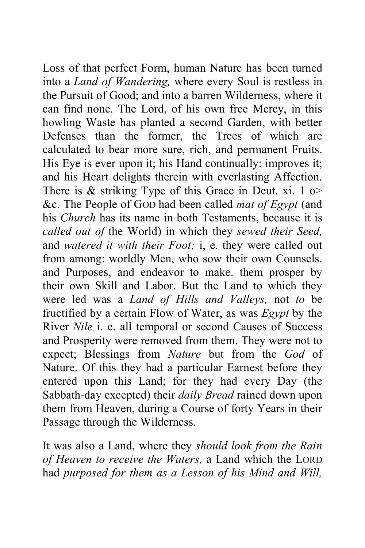Loss of that perfect Form, human Nature has been turned into a *Land of Wandering,* where every Soul is restless in the Pursuit of Good; and into a barren Wilderness, where it can find none. The Lord, of his own free Mercy, in this howling Waste has planted a second Garden, with better Defenses than the former, the Trees of which are calculated to bear more sure, rich, and permanent Fruits. His Eye is ever upon it; his Hand continually: improves it; and his Heart delights therein with everlasting Affection. There is  $\&$  striking Type of this Grace in Deut. xi. 1 o> &c. The People of GOD had been called *mat of Egypt* (and his *Church* has its name in both Testaments, because it is *called out of* the World) in which they *sewed their Seed,*  and *watered it with their Foot;* i, e. they were called out from among: worldly Men, who sow their own Counsels. and Purposes, and endeavor to make. them prosper by their own Skill and Labor. But the Land to which they were led was a *Land of Hills and Valleys,* not *to* be fructified by a certain Flow of Water, as was *Egypt* by the River *Nile* i. e. all temporal or second Causes of Success and Prosperity were removed from them. They were not to expect; Blessings from *Nature* but from the *God* of Nature. Of this they had a particular Earnest before they entered upon this Land; for they had every Day (the Sabbath-day excepted) their *daily Bread* rained down upon them from Heaven, during a Course of forty Years in their Passage through the Wilderness.

It was also a Land, where they *should look from the Rain of Heaven to receive the Waters,* a Land which the LORD had *purposed for them as a Lesson of his Mind and Will,*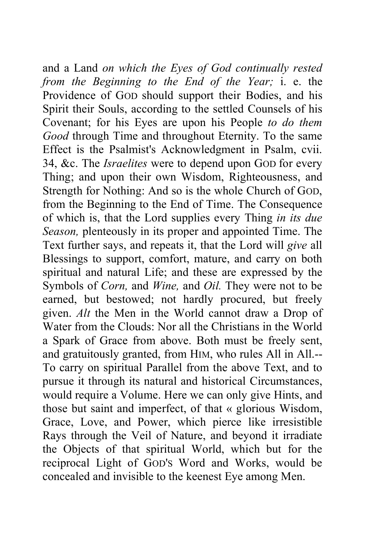and a Land *on which the Eyes of God continually rested from the Beginning to the End of the Year;* i. e. the Providence of GOD should support their Bodies, and his Spirit their Souls, according to the settled Counsels of his Covenant; for his Eyes are upon his People *to do them Good* through Time and throughout Eternity. To the same Effect is the Psalmist's Acknowledgment in Psalm, cvii. 34, &c. The *Israelites* were to depend upon GOD for every Thing; and upon their own Wisdom, Righteousness, and Strength for Nothing: And so is the whole Church of GOD, from the Beginning to the End of Time. The Consequence of which is, that the Lord supplies every Thing *in its due Season,* plenteously in its proper and appointed Time. The Text further says, and repeats it, that the Lord will *give* all Blessings to support, comfort, mature, and carry on both spiritual and natural Life; and these are expressed by the Symbols of *Corn,* and *Wine,* and *Oil.* They were not to be earned, but bestowed; not hardly procured, but freely given. *Alt* the Men in the World cannot draw a Drop of Water from the Clouds: Nor all the Christians in the World a Spark of Grace from above. Both must be freely sent, and gratuitously granted, from HIM, who rules All in All.-- To carry on spiritual Parallel from the above Text, and to pursue it through its natural and historical Circumstances, would require a Volume. Here we can only give Hints, and those but saint and imperfect, of that « glorious Wisdom, Grace, Love, and Power, which pierce like irresistible Rays through the Veil of Nature, and beyond it irradiate the Objects of that spiritual World, which but for the reciprocal Light of GOD'S Word and Works, would be concealed and invisible to the keenest Eye among Men.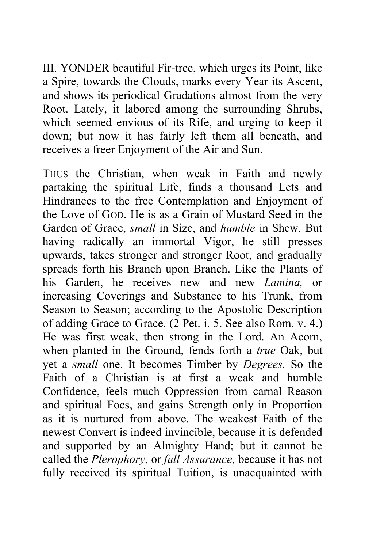III. YONDER beautiful Fir-tree, which urges its Point, like a Spire, towards the Clouds, marks every Year its Ascent, and shows its periodical Gradations almost from the very Root. Lately, it labored among the surrounding Shrubs, which seemed envious of its Rife, and urging to keep it down; but now it has fairly left them all beneath, and receives a freer Enjoyment of the Air and Sun.

THUS the Christian, when weak in Faith and newly partaking the spiritual Life, finds a thousand Lets and Hindrances to the free Contemplation and Enjoyment of the Love of GOD. He is as a Grain of Mustard Seed in the Garden of Grace, *small* in Size, and *humble* in Shew. But having radically an immortal Vigor, he still presses upwards, takes stronger and stronger Root, and gradually spreads forth his Branch upon Branch. Like the Plants of his Garden, he receives new and new *Lamina,* or increasing Coverings and Substance to his Trunk, from Season to Season; according to the Apostolic Description of adding Grace to Grace. (2 Pet. i. 5. See also Rom. v. 4.) He was first weak, then strong in the Lord. An Acorn, when planted in the Ground, fends forth a *true* Oak, but yet a *small* one. It becomes Timber by *Degrees.* So the Faith of a Christian is at first a weak and humble Confidence, feels much Oppression from carnal Reason and spiritual Foes, and gains Strength only in Proportion as it is nurtured from above. The weakest Faith of the newest Convert is indeed invincible, because it is defended and supported by an Almighty Hand; but it cannot be called the *Plerophory,* or *full Assurance,* because it has not fully received its spiritual Tuition, is unacquainted with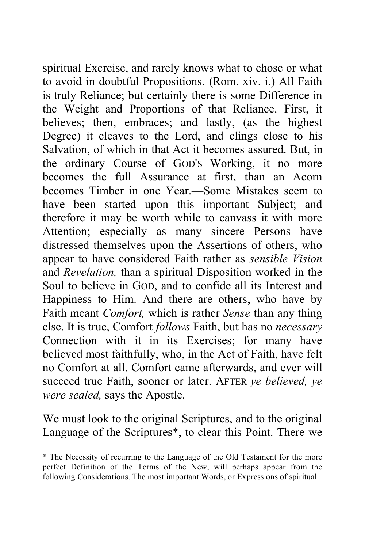spiritual Exercise, and rarely knows what to chose or what to avoid in doubtful Propositions. (Rom. xiv. i.) All Faith is truly Reliance; but certainly there is some Difference in the Weight and Proportions of that Reliance. First, it believes; then, embraces; and lastly, (as the highest Degree) it cleaves to the Lord, and clings close to his Salvation, of which in that Act it becomes assured. But, in the ordinary Course of GOD'S Working, it no more becomes the full Assurance at first, than an Acorn becomes Timber in one Year.—Some Mistakes seem to have been started upon this important Subject; and therefore it may be worth while to canvass it with more Attention; especially as many sincere Persons have distressed themselves upon the Assertions of others, who appear to have considered Faith rather as *sensible Vision*  and *Revelation,* than a spiritual Disposition worked in the Soul to believe in GOD, and to confide all its Interest and Happiness to Him. And there are others, who have by Faith meant *Comfort,* which is rather *Sense* than any thing else. It is true, Comfort *follows* Faith, but has no *necessary*  Connection with it in its Exercises; for many have believed most faithfully, who, in the Act of Faith, have felt no Comfort at all. Comfort came afterwards, and ever will succeed true Faith, sooner or later. AFTER *ye believed, ye were sealed,* says the Apostle.

We must look to the original Scriptures, and to the original Language of the Scriptures\*, to clear this Point. There we

<sup>\*</sup> The Necessity of recurring to the Language of the Old Testament for the more perfect Definition of the Terms of the New, will perhaps appear from the following Considerations. The most important Words, or Expressions of spiritual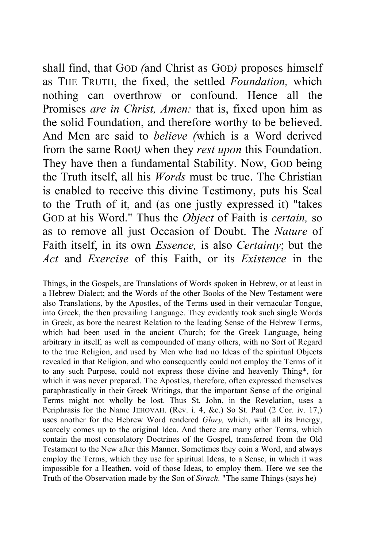shall find, that GOD *(*and Christ as GOD*)* proposes himself as THE TRUTH, the fixed, the settled *Foundation,* which nothing can overthrow or confound. Hence all the Promises *are in Christ, Amen:* that is, fixed upon him as the solid Foundation, and therefore worthy to be believed. And Men are said to *believe (*which is a Word derived from the same Root*)* when they *rest upon* this Foundation. They have then a fundamental Stability. Now, GOD being the Truth itself, all his *Words* must be true. The Christian is enabled to receive this divine Testimony, puts his Seal to the Truth of it, and (as one justly expressed it) "takes GOD at his Word." Thus the *Object* of Faith is *certain,* so as to remove all just Occasion of Doubt. The *Nature* of Faith itself, in its own *Essence,* is also *Certainty*; but the *Act* and *Exercise* of this Faith, or its *Existence* in the

Things, in the Gospels, are Translations of Words spoken in Hebrew, or at least in a Hebrew Dialect; and the Words of the other Books of the New Testament were also Translations, by the Apostles, of the Terms used in their vernacular Tongue, into Greek, the then prevailing Language. They evidently took such single Words in Greek, as bore the nearest Relation to the leading Sense of the Hebrew Terms, which had been used in the ancient Church; for the Greek Language, being arbitrary in itself, as well as compounded of many others, with no Sort of Regard to the true Religion, and used by Men who had no Ideas of the spiritual Objects revealed in that Religion, and who consequently could not employ the Terms of it to any such Purpose, could not express those divine and heavenly Thing\*, for which it was never prepared. The Apostles, therefore, often expressed themselves paraphrastically in their Greek Writings, that the important Sense of the original Terms might not wholly be lost. Thus St. John, in the Revelation, uses a Periphrasis for the Name JEHOVAH. (Rev. i. 4, &c.) So St. Paul (2 Cor. iv. 17,) uses another for the Hebrew Word rendered *Glory,* which, with all its Energy, scarcely comes up to the original Idea. And there are many other Terms, which contain the most consolatory Doctrines of the Gospel, transferred from the Old Testament to the New after this Manner. Sometimes they coin a Word, and always employ the Terms, which they use for spiritual Ideas, to a Sense, in which it was impossible for a Heathen, void of those Ideas, to employ them. Here we see the Truth of the Observation made by the Son of *Sirach.* "The same Things (says he)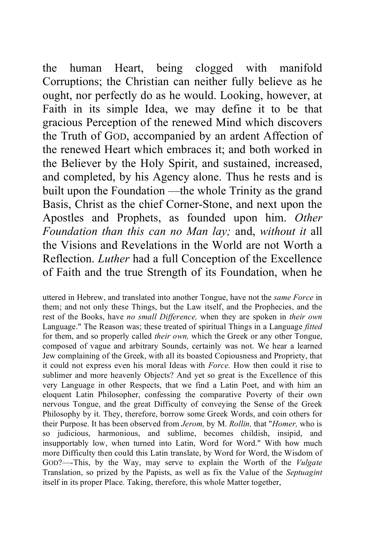the human Heart, being clogged with manifold Corruptions; the Christian can neither fully believe as he ought, nor perfectly do as he would. Looking, however, at Faith in its simple Idea, we may define it to be that gracious Perception of the renewed Mind which discovers the Truth of GOD, accompanied by an ardent Affection of the renewed Heart which embraces it; and both worked in the Believer by the Holy Spirit, and sustained, increased, and completed, by his Agency alone. Thus he rests and is built upon the Foundation —the whole Trinity as the grand Basis, Christ as the chief Corner-Stone, and next upon the Apostles and Prophets, as founded upon him. *Other Foundation than this can no Man lay;* and, *without it* all the Visions and Revelations in the World are not Worth a Reflection. *Luther* had a full Conception of the Excellence of Faith and the true Strength of its Foundation, when he

uttered in Hebrew, and translated into another Tongue, have not the *same Force* in them; and not only these Things, but the Law itself, and the Prophecies, and the rest of the Books, have *no small Difference,* when they are spoken in *their own*  Language." The Reason was; these treated of spiritual Things in a Language *fitted*  for them, and so properly called *their own,* which the Greek or any other Tongue, composed of vague and arbitrary Sounds, certainly was not. We hear a learned Jew complaining of the Greek, with all its boasted Copiousness and Propriety, that it could not express even his moral Ideas with *Force.* How then could it rise to sublimer and more heavenly Objects? And yet so great is the Excellence of this very Language in other Respects, that we find a Latin Poet, and with him an eloquent Latin Philosopher, confessing the comparative Poverty of their own nervous Tongue, and the great Difficulty of conveying the Sense of the Greek Philosophy by it. They, therefore, borrow some Greek Words, and coin others for their Purpose. It has been observed from *Jerom,* by M. *Rollin,* that "*Homer,* who is so judicious, harmonious, and sublime, becomes childish, insipid, and insupportably low, when turned into Latin, Word for Word." With how much more Difficulty then could this Latin translate, by Word for Word, the Wisdom of GOD?—-This, by the Way, may serve to explain the Worth of the *Vulgate*  Translation, so prized by the Papists, as well as fix the Value of the *Septuagint*  itself in its proper Place. Taking, therefore, this whole Matter together,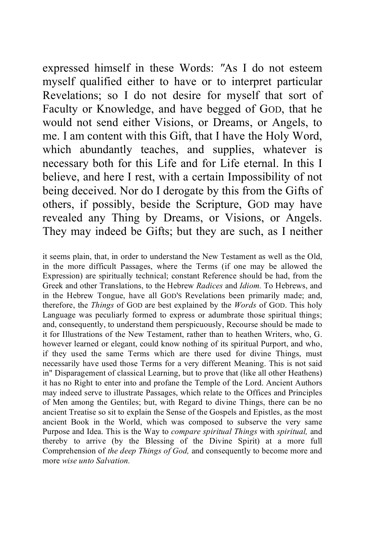expressed himself in these Words: *"*As I do not esteem myself qualified either to have or to interpret particular Revelations; so I do not desire for myself that sort of Faculty or Knowledge, and have begged of GOD, that he would not send either Visions, or Dreams, or Angels, to me. I am content with this Gift, that I have the Holy Word, which abundantly teaches, and supplies, whatever is necessary both for this Life and for Life eternal. In this I believe, and here I rest, with a certain Impossibility of not being deceived. Nor do I derogate by this from the Gifts of others, if possibly, beside the Scripture, GOD may have revealed any Thing by Dreams, or Visions, or Angels. They may indeed be Gifts; but they are such, as I neither

it seems plain, that, in order to understand the New Testament as well as the Old, in the more difficult Passages, where the Terms (if one may be allowed the Expression) are spiritually technical; constant Reference should be had, from the Greek and other Translations, to the Hebrew *Radices* and *Idiom.* To Hebrews, and in the Hebrew Tongue, have all GOD'S Revelations been primarily made; and, therefore, the *Things* of GOD are best explained by the *Words* of GOD. This holy Language was peculiarly formed to express or adumbrate those spiritual things; and, consequently, to understand them perspicuously, Recourse should be made to it for Illustrations of the New Testament, rather than to heathen Writers, who, G. however learned or elegant, could know nothing of its spiritual Purport, and who, if they used the same Terms which are there used for divine Things, must necessarily have used those Terms for a very different Meaning. This is not said in" Disparagement of classical Learning, but to prove that (like all other Heathens) it has no Right to enter into and profane the Temple of the Lord. Ancient Authors may indeed serve to illustrate Passages, which relate to the Offices and Principles of Men among the Gentiles; but, with Regard to divine Things, there can be no ancient Treatise so sit to explain the Sense of the Gospels and Epistles, as the most ancient Book in the World, which was composed to subserve the very same Purpose and Idea. This is the Way to *compare spiritual Things* with *spiritual,* and thereby to arrive (by the Blessing of the Divine Spirit) at a more full Comprehension of *the deep Things of God,* and consequently to become more and more *wise unto Salvation.*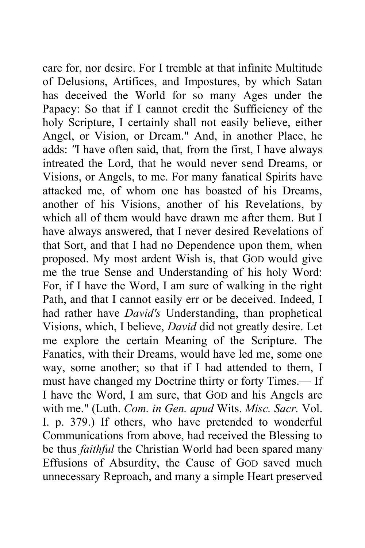care for, nor desire. For I tremble at that infinite Multitude of Delusions, Artifices, and Impostures, by which Satan has deceived the World for so many Ages under the Papacy: So that if I cannot credit the Sufficiency of the holy Scripture, I certainly shall not easily believe, either Angel, or Vision, or Dream." And, in another Place, he adds: *"*I have often said, that, from the first, I have always intreated the Lord, that he would never send Dreams, or Visions, or Angels, to me. For many fanatical Spirits have attacked me, of whom one has boasted of his Dreams, another of his Visions, another of his Revelations, by which all of them would have drawn me after them. But I have always answered, that I never desired Revelations of that Sort, and that I had no Dependence upon them, when proposed. My most ardent Wish is, that GOD would give me the true Sense and Understanding of his holy Word: For, if I have the Word, I am sure of walking in the right Path, and that I cannot easily err or be deceived. Indeed, I had rather have *David's* Understanding, than prophetical Visions, which, I believe, *David* did not greatly desire. Let me explore the certain Meaning of the Scripture. The Fanatics, with their Dreams, would have led me, some one way, some another; so that if I had attended to them, I must have changed my Doctrine thirty or forty Times.— If I have the Word, I am sure, that GOD and his Angels are with me." (Luth. *Com. in Gen. apud* Wits. *Misc. Sacr.* Vol. I. p. 379.) If others, who have pretended to wonderful Communications from above, had received the Blessing to be thus *faithful* the Christian World had been spared many Effusions of Absurdity, the Cause of GOD saved much unnecessary Reproach, and many a simple Heart preserved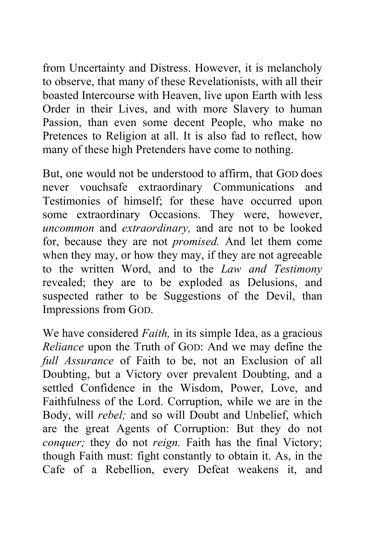from Uncertainty and Distress. However, it is melancholy to observe, that many of these Revelationists, with all their boasted Intercourse with Heaven, live upon Earth with less Order in their Lives, and with more Slavery to human Passion, than even some decent People, who make no Pretences to Religion at all. It is also fad to reflect, how many of these high Pretenders have come to nothing.

But, one would not be understood to affirm, that GOD does never vouchsafe extraordinary Communications and Testimonies of himself; for these have occurred upon some extraordinary Occasions. They were, however, *uncommon* and *extraordinary,* and are not to be looked for, because they are not *promised.* And let them come when they may, or how they may, if they are not agreeable to the written Word, and to the *Law and Testimony*  revealed; they are to be exploded as Delusions, and suspected rather to be Suggestions of the Devil, than Impressions from GOD.

We have considered *Faith,* in its simple Idea, as a gracious *Reliance* upon the Truth of GOD: And we may define the *full Assurance* of Faith to be, not an Exclusion of all Doubting, but a Victory over prevalent Doubting, and a settled Confidence in the Wisdom, Power, Love, and Faithfulness of the Lord. Corruption, while we are in the Body, will *rebel;* and so will Doubt and Unbelief, which are the great Agents of Corruption: But they do not *conquer;* they do not *reign*. Faith has the final Victory; though Faith must: fight constantly to obtain it. As, in the Cafe of a Rebellion, every Defeat weakens it, and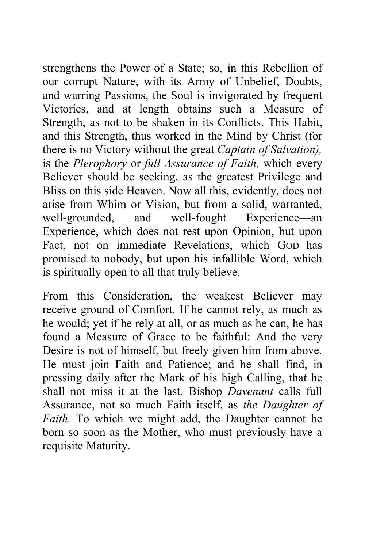strengthens the Power of a State; so, in this Rebellion of our corrupt Nature, with its Army of Unbelief, Doubts, and warring Passions, the Soul is invigorated by frequent Victories, and at length obtains such a Measure of Strength, as not to be shaken in its Conflicts. This Habit, and this Strength, thus worked in the Mind by Christ (for there is no Victory without the great *Captain of Salvation),*  is the *Plerophory* or *full Assurance of Faith,* which every Believer should be seeking, as the greatest Privilege and Bliss on this side Heaven. Now all this, evidently, does not arise from Whim or Vision, but from a solid, warranted, well-grounded, and well-fought Experience—an Experience, which does not rest upon Opinion, but upon Fact, not on immediate Revelations, which GOD has promised to nobody, but upon his infallible Word, which is spiritually open to all that truly believe.

From this Consideration, the weakest Believer may receive ground of Comfort. If he cannot rely, as much as he would; yet if he rely at all, or as much as he can, he has found a Measure of Grace to be faithful: And the very Desire is not of himself, but freely given him from above. He must join Faith and Patience; and he shall find, in pressing daily after the Mark of his high Calling, that he shall not miss it at the last. Bishop *Davenant* calls full Assurance, not so much Faith itself, as *the Daughter of Faith.* To which we might add, the Daughter cannot be born so soon as the Mother, who must previously have a requisite Maturity.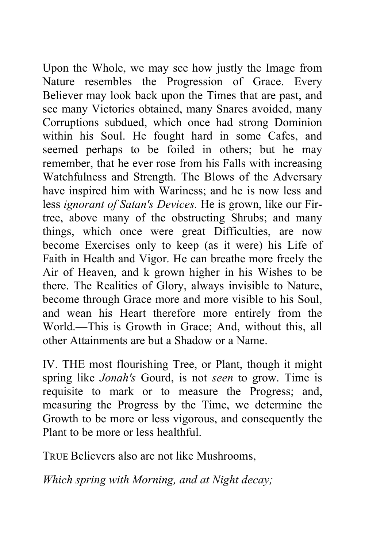Upon the Whole, we may see how justly the Image from Nature resembles the Progression of Grace. Every Believer may look back upon the Times that are past, and see many Victories obtained, many Snares avoided, many Corruptions subdued, which once had strong Dominion within his Soul. He fought hard in some Cafes, and seemed perhaps to be foiled in others; but he may remember, that he ever rose from his Falls with increasing Watchfulness and Strength. The Blows of the Adversary have inspired him with Wariness; and he is now less and less *ignorant of Satan's Devices.* He is grown, like our Firtree, above many of the obstructing Shrubs; and many things, which once were great Difficulties, are now become Exercises only to keep (as it were) his Life of Faith in Health and Vigor. He can breathe more freely the Air of Heaven, and k grown higher in his Wishes to be there. The Realities of Glory, always invisible to Nature, become through Grace more and more visible to his Soul, and wean his Heart therefore more entirely from the World.—This is Growth in Grace; And, without this, all other Attainments are but a Shadow or a Name.

IV. THE most flourishing Tree, or Plant, though it might spring like *Jonah's* Gourd, is not *seen* to grow. Time is requisite to mark or to measure the Progress; and, measuring the Progress by the Time, we determine the Growth to be more or less vigorous, and consequently the Plant to be more or less healthful.

TRUE Believers also are not like Mushrooms,

*Which spring with Morning, and at Night decay;*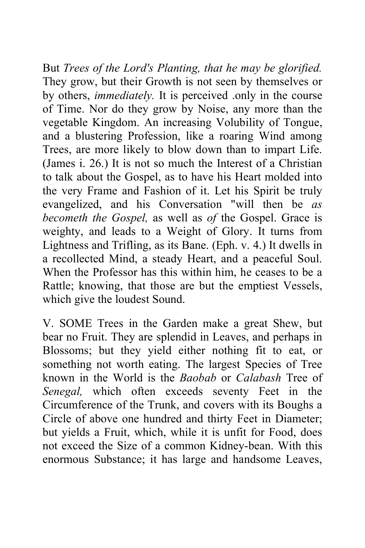But *Trees of the Lord's Planting, that he may be glorified.*  They grow, but their Growth is not seen by themselves or by others, *immediately.* It is perceived .only in the course of Time. Nor do they grow by Noise, any more than the vegetable Kingdom. An increasing Volubility of Tongue, and a blustering Profession, like a roaring Wind among Trees, are more likely to blow down than to impart Life. (James i. 26.) It is not so much the Interest of a Christian to talk about the Gospel, as to have his Heart molded into the very Frame and Fashion of it. Let his Spirit be truly evangelized, and his Conversation "will then be *as becometh the Gospel,* as well as *of* the Gospel. Grace is weighty, and leads to a Weight of Glory. It turns from Lightness and Trifling, as its Bane. (Eph. v. 4.) It dwells in a recollected Mind, a steady Heart, and a peaceful Soul. When the Professor has this within him, he ceases to be a Rattle; knowing, that those are but the emptiest Vessels, which give the loudest Sound.

V. SOME Trees in the Garden make a great Shew, but bear no Fruit. They are splendid in Leaves, and perhaps in Blossoms; but they yield either nothing fit to eat, or something not worth eating. The largest Species of Tree known in the World is the *Baobab* or *Calabash* Tree of *Senegal,* which often exceeds seventy Feet in the Circumference of the Trunk, and covers with its Boughs a Circle of above one hundred and thirty Feet in Diameter; but yields a Fruit, which, while it is unfit for Food, does not exceed the Size of a common Kidney-bean. With this enormous Substance; it has large and handsome Leaves,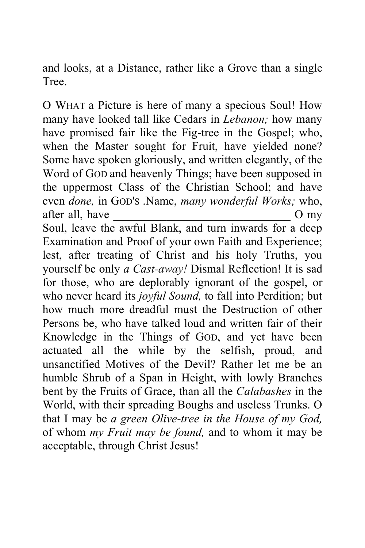and looks, at a Distance, rather like a Grove than a single **Tree** 

O WHAT a Picture is here of many a specious Soul! How many have looked tall like Cedars in *Lebanon;* how many have promised fair like the Fig-tree in the Gospel; who, when the Master sought for Fruit, have yielded none? Some have spoken gloriously, and written elegantly, of the Word of GOD and heavenly Things; have been supposed in the uppermost Class of the Christian School; and have even *done,* in GOD'S .Name, *many wonderful Works;* who, after all, have  $\sim$  O my

Soul, leave the awful Blank, and turn inwards for a deep Examination and Proof of your own Faith and Experience; lest, after treating of Christ and his holy Truths, you yourself be only *a Cast-away!* Dismal Reflection! It is sad for those, who are deplorably ignorant of the gospel, or who never heard its *joyful Sound,* to fall into Perdition; but how much more dreadful must the Destruction of other Persons be, who have talked loud and written fair of their Knowledge in the Things of GOD, and yet have been actuated all the while by the selfish, proud, and unsanctified Motives of the Devil? Rather let me be an humble Shrub of a Span in Height, with lowly Branches bent by the Fruits of Grace, than all the *Calabashes* in the World, with their spreading Boughs and useless Trunks. O that I may be *a green Olive-tree in the House of my God,*  of whom *my Fruit may be found,* and to whom it may be acceptable, through Christ Jesus!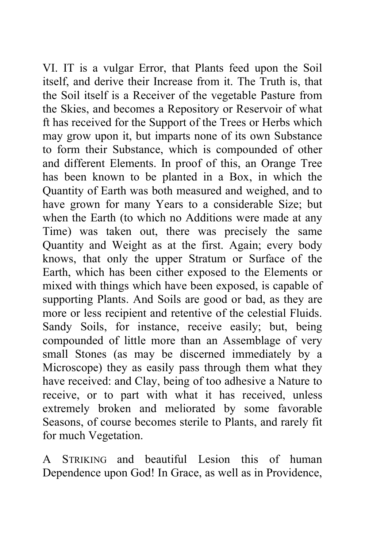VI. IT is a vulgar Error, that Plants feed upon the Soil itself, and derive their Increase from it. The Truth is, that the Soil itself is a Receiver of the vegetable Pasture from the Skies, and becomes a Repository or Reservoir of what ft has received for the Support of the Trees or Herbs which may grow upon it, but imparts none of its own Substance to form their Substance, which is compounded of other and different Elements. In proof of this, an Orange Tree has been known to be planted in a Box, in which the Quantity of Earth was both measured and weighed, and to have grown for many Years to a considerable Size; but when the Earth (to which no Additions were made at any Time) was taken out, there was precisely the same Quantity and Weight as at the first. Again; every body knows, that only the upper Stratum or Surface of the Earth, which has been cither exposed to the Elements or mixed with things which have been exposed, is capable of supporting Plants. And Soils are good or bad, as they are more or less recipient and retentive of the celestial Fluids. Sandy Soils, for instance, receive easily; but, being compounded of little more than an Assemblage of very small Stones (as may be discerned immediately by a Microscope) they as easily pass through them what they have received: and Clay, being of too adhesive a Nature to receive, or to part with what it has received, unless extremely broken and meliorated by some favorable Seasons, of course becomes sterile to Plants, and rarely fit for much Vegetation.

A STRIKING and beautiful Lesion this of human Dependence upon God! In Grace, as well as in Providence,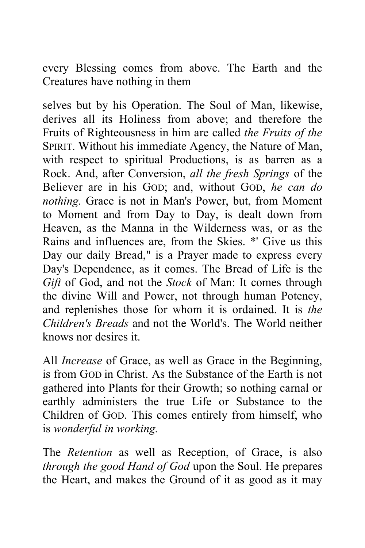every Blessing comes from above. The Earth and the Creatures have nothing in them

selves but by his Operation. The Soul of Man, likewise, derives all its Holiness from above; and therefore the Fruits of Righteousness in him are called *the Fruits of the*  SPIRIT. Without his immediate Agency, the Nature of Man, with respect to spiritual Productions, is as barren as a Rock. And, after Conversion, *all the fresh Springs* of the Believer are in his GOD; and, without GOD, *he can do nothing.* Grace is not in Man's Power, but, from Moment to Moment and from Day to Day, is dealt down from Heaven, as the Manna in the Wilderness was, or as the Rains and influences are, from the Skies. \*' Give us this Day our daily Bread," is a Prayer made to express every Day's Dependence, as it comes. The Bread of Life is the *Gift* of God, and not the *Stock* of Man: It comes through the divine Will and Power, not through human Potency, and replenishes those for whom it is ordained. It is *the Children's Breads* and not the World's. The World neither knows nor desires it.

All *Increase* of Grace, as well as Grace in the Beginning, is from GOD in Christ. As the Substance of the Earth is not gathered into Plants for their Growth; so nothing carnal or earthly administers the true Life or Substance to the Children of GOD. This comes entirely from himself, who is *wonderful in working.* 

The *Retention* as well as Reception, of Grace, is also *through the good Hand of God* upon the Soul. He prepares the Heart, and makes the Ground of it as good as it may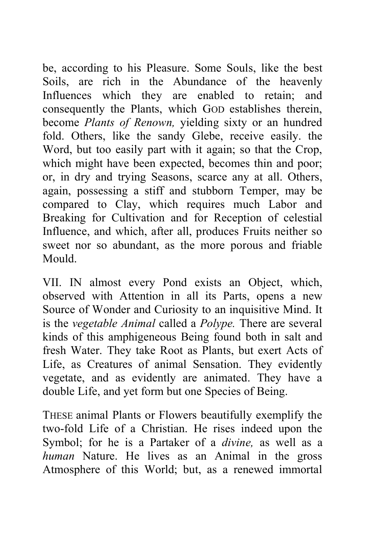be, according to his Pleasure. Some Souls, like the best Soils, are rich in the Abundance of the heavenly Influences which they are enabled to retain; and consequently the Plants, which GOD establishes therein, become *Plants of Renown,* yielding sixty or an hundred fold. Others, like the sandy Glebe, receive easily. the Word, but too easily part with it again; so that the Crop, which might have been expected, becomes thin and poor; or, in dry and trying Seasons, scarce any at all. Others, again, possessing a stiff and stubborn Temper, may be compared to Clay, which requires much Labor and Breaking for Cultivation and for Reception of celestial Influence, and which, after all, produces Fruits neither so sweet nor so abundant, as the more porous and friable Mould.

VII. IN almost every Pond exists an Object, which, observed with Attention in all its Parts, opens a new Source of Wonder and Curiosity to an inquisitive Mind. It is the *vegetable Animal* called a *Polype.* There are several kinds of this amphigeneous Being found both in salt and fresh Water. They take Root as Plants, but exert Acts of Life, as Creatures of animal Sensation. They evidently vegetate, and as evidently are animated. They have a double Life, and yet form but one Species of Being.

THESE animal Plants or Flowers beautifully exemplify the two-fold Life of a Christian. He rises indeed upon the Symbol; for he is a Partaker of a *divine,* as well as a *human* Nature. He lives as an Animal in the gross Atmosphere of this World; but, as a renewed immortal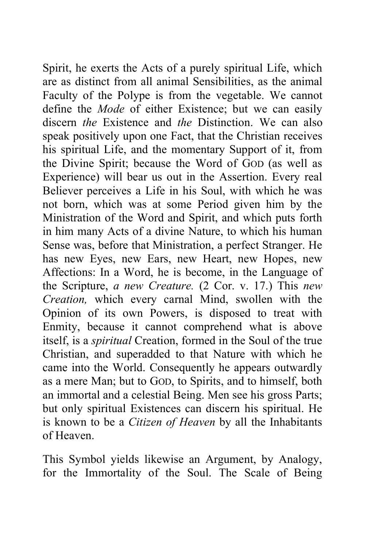Spirit, he exerts the Acts of a purely spiritual Life, which are as distinct from all animal Sensibilities, as the animal Faculty of the Polype is from the vegetable. We cannot define the *Mode* of either Existence; but we can easily discern *the* Existence and *the* Distinction. We can also speak positively upon one Fact, that the Christian receives his spiritual Life, and the momentary Support of it, from the Divine Spirit; because the Word of GOD (as well as Experience) will bear us out in the Assertion. Every real Believer perceives a Life in his Soul, with which he was not born, which was at some Period given him by the Ministration of the Word and Spirit, and which puts forth in him many Acts of a divine Nature, to which his human Sense was, before that Ministration, a perfect Stranger. He has new Eyes, new Ears, new Heart, new Hopes, new Affections: In a Word, he is become, in the Language of the Scripture, *a new Creature.* (2 Cor. v. 17.) This *new Creation,* which every carnal Mind, swollen with the Opinion of its own Powers, is disposed to treat with Enmity, because it cannot comprehend what is above itself, is a *spiritual* Creation, formed in the Soul of the true Christian, and superadded to that Nature with which he came into the World. Consequently he appears outwardly as a mere Man; but to GOD, to Spirits, and to himself, both an immortal and a celestial Being. Men see his gross Parts; but only spiritual Existences can discern his spiritual. He is known to be a *Citizen of Heaven* by all the Inhabitants of Heaven.

This Symbol yields likewise an Argument, by Analogy, for the Immortality of the Soul. The Scale of Being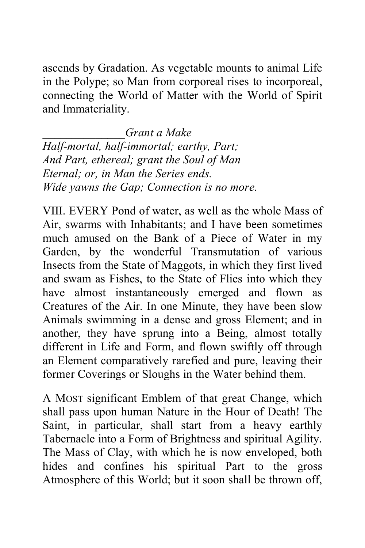ascends by Gradation. As vegetable mounts to animal Life in the Polype; so Man from corporeal rises to incorporeal, connecting the World of Matter with the World of Spirit and Immateriality.

*\_\_\_\_\_\_\_\_\_\_\_\_\_\_Grant a Make Half-mortal, half-immortal; earthy, Part; And Part, ethereal; grant the Soul of Man Eternal; or, in Man the Series ends. Wide yawns the Gap; Connection is no more.* 

VIII. EVERY Pond of water, as well as the whole Mass of Air, swarms with Inhabitants; and I have been sometimes much amused on the Bank of a Piece of Water in my Garden, by the wonderful Transmutation of various Insects from the State of Maggots, in which they first lived and swam as Fishes, to the State of Flies into which they have almost instantaneously emerged and flown as Creatures of the Air. In one Minute, they have been slow Animals swimming in a dense and gross Element; and in another, they have sprung into a Being, almost totally different in Life and Form, and flown swiftly off through an Element comparatively rarefied and pure, leaving their former Coverings or Sloughs in the Water behind them.

A MOST significant Emblem of that great Change, which shall pass upon human Nature in the Hour of Death! The Saint, in particular, shall start from a heavy earthly Tabernacle into a Form of Brightness and spiritual Agility. The Mass of Clay, with which he is now enveloped, both hides and confines his spiritual Part to the gross Atmosphere of this World; but it soon shall be thrown off,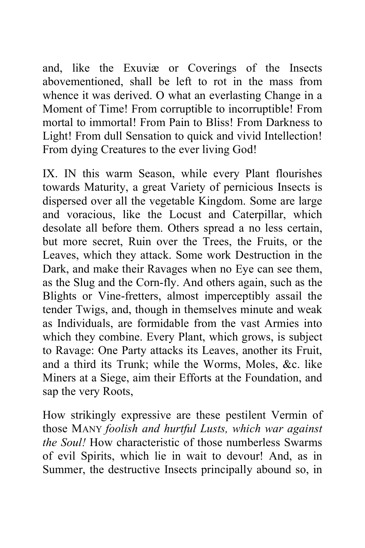and, like the Exuviæ or Coverings of the Insects abovementioned, shall be left to rot in the mass from whence it was derived. O what an everlasting Change in a Moment of Time! From corruptible to incorruptible! From mortal to immortal! From Pain to Bliss! From Darkness to Light! From dull Sensation to quick and vivid Intellection! From dying Creatures to the ever living God!

IX. IN this warm Season, while every Plant flourishes towards Maturity, a great Variety of pernicious Insects is dispersed over all the vegetable Kingdom. Some are large and voracious, like the Locust and Caterpillar, which desolate all before them. Others spread a no less certain, but more secret, Ruin over the Trees, the Fruits, or the Leaves, which they attack. Some work Destruction in the Dark, and make their Ravages when no Eye can see them, as the Slug and the Corn-fly. And others again, such as the Blights or Vine-fretters, almost imperceptibly assail the tender Twigs, and, though in themselves minute and weak as Individuals, are formidable from the vast Armies into which they combine. Every Plant, which grows, is subject to Ravage: One Party attacks its Leaves, another its Fruit, and a third its Trunk; while the Worms, Moles, &c. like Miners at a Siege, aim their Efforts at the Foundation, and sap the very Roots,

How strikingly expressive are these pestilent Vermin of those MANY *foolish and hurtful Lusts, which war against the Soul!* How characteristic of those numberless Swarms of evil Spirits, which lie in wait to devour! And, as in Summer, the destructive Insects principally abound so, in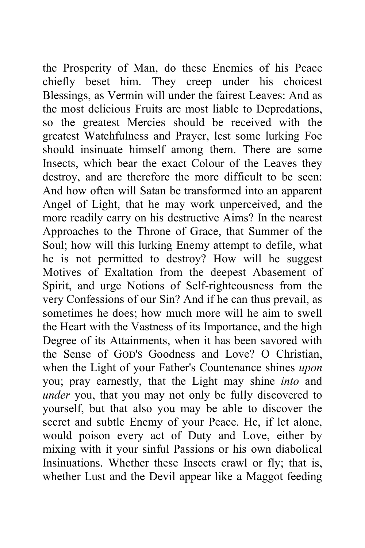the Prosperity of Man, do these Enemies of his Peace chiefly beset him. They creep under his choicest Blessings, as Vermin will under the fairest Leaves: And as the most delicious Fruits are most liable to Depredations, so the greatest Mercies should be received with the greatest Watchfulness and Prayer, lest some lurking Foe should insinuate himself among them. There are some Insects, which bear the exact Colour of the Leaves they destroy, and are therefore the more difficult to be seen: And how often will Satan be transformed into an apparent Angel of Light, that he may work unperceived, and the more readily carry on his destructive Aims? In the nearest Approaches to the Throne of Grace, that Summer of the Soul; how will this lurking Enemy attempt to defile, what he is not permitted to destroy? How will he suggest Motives of Exaltation from the deepest Abasement of Spirit, and urge Notions of Self-righteousness from the very Confessions of our Sin? And if he can thus prevail, as sometimes he does; how much more will he aim to swell the Heart with the Vastness of its Importance, and the high Degree of its Attainments, when it has been savored with the Sense of GOD'S Goodness and Love? O Christian, when the Light of your Father's Countenance shines *upon*  you; pray earnestly, that the Light may shine *into* and *under* you, that you may not only be fully discovered to yourself, but that also you may be able to discover the secret and subtle Enemy of your Peace. He, if let alone, would poison every act of Duty and Love, either by mixing with it your sinful Passions or his own diabolical Insinuations. Whether these Insects crawl or fly; that is, whether Lust and the Devil appear like a Maggot feeding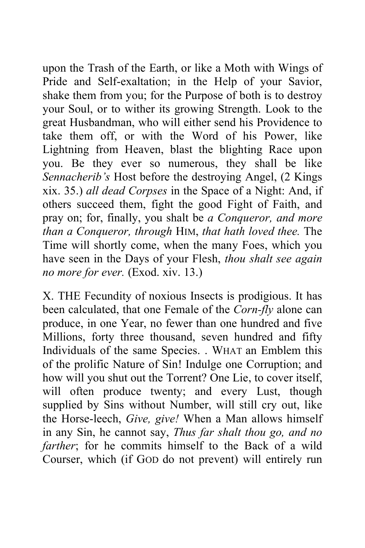upon the Trash of the Earth, or like a Moth with Wings of Pride and Self-exaltation; in the Help of your Savior, shake them from you; for the Purpose of both is to destroy your Soul, or to wither its growing Strength. Look to the great Husbandman, who will either send his Providence to take them off, or with the Word of his Power, like Lightning from Heaven, blast the blighting Race upon you. Be they ever so numerous, they shall be like *Sennacherib's* Host before the destroying Angel, (2 Kings xix. 35.) *all dead Corpses* in the Space of a Night: And, if others succeed them, fight the good Fight of Faith, and pray on; for, finally, you shalt be *a Conqueror, and more than a Conqueror, through* HIM, *that hath loved thee.* The Time will shortly come, when the many Foes, which you have seen in the Days of your Flesh, *thou shalt see again no more for ever.* (Exod. xiv. 13.)

X. THE Fecundity of noxious Insects is prodigious. It has been calculated, that one Female of the *Corn-fly* alone can produce, in one Year, no fewer than one hundred and five Millions, forty three thousand, seven hundred and fifty Individuals of the same Species. . WHAT an Emblem this of the prolific Nature of Sin! Indulge one Corruption; and how will you shut out the Torrent? One Lie, to cover itself, will often produce twenty; and every Lust, though supplied by Sins without Number, will still cry out, like the Horse-leech, *Give, give!* When a Man allows himself in any Sin, he cannot say, *Thus far shalt thou go, and no farther*; for he commits himself to the Back of a wild Courser, which (if GOD do not prevent) will entirely run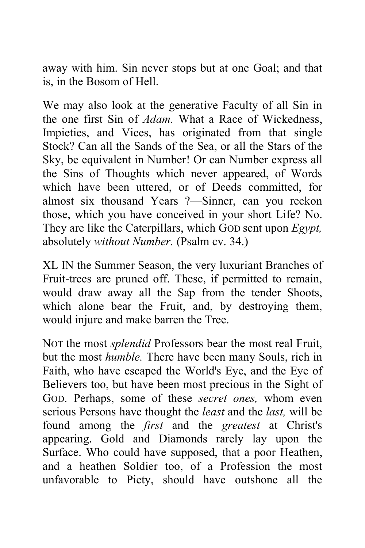away with him. Sin never stops but at one Goal; and that is, in the Bosom of Hell.

We may also look at the generative Faculty of all Sin in the one first Sin of *Adam.* What a Race of Wickedness, Impieties, and Vices, has originated from that single Stock? Can all the Sands of the Sea, or all the Stars of the Sky, be equivalent in Number! Or can Number express all the Sins of Thoughts which never appeared, of Words which have been uttered, or of Deeds committed, for almost six thousand Years ?—Sinner, can you reckon those, which you have conceived in your short Life? No. They are like the Caterpillars, which GOD sent upon *Egypt,*  absolutely *without Number.* (Psalm cv. 34.)

XL IN the Summer Season, the very luxuriant Branches of Fruit-trees are pruned off. These, if permitted to remain, would draw away all the Sap from the tender Shoots, which alone bear the Fruit, and, by destroying them, would injure and make barren the Tree.

NOT the most *splendid* Professors bear the most real Fruit, but the most *humble.* There have been many Souls, rich in Faith, who have escaped the World's Eye, and the Eye of Believers too, but have been most precious in the Sight of GOD. Perhaps, some of these *secret ones,* whom even serious Persons have thought the *least* and the *last,* will be found among the *first* and the *greatest* at Christ's appearing. Gold and Diamonds rarely lay upon the Surface. Who could have supposed, that a poor Heathen, and a heathen Soldier too, of a Profession the most unfavorable to Piety, should have outshone all the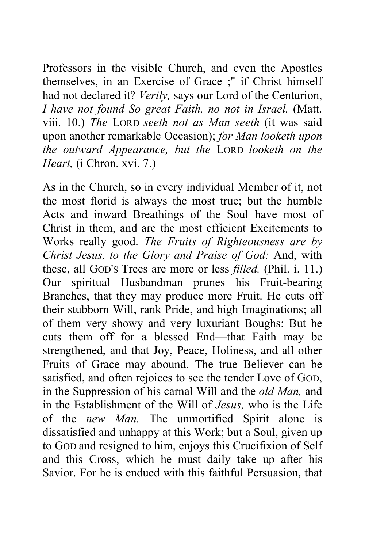Professors in the visible Church, and even the Apostles themselves, in an Exercise of Grace ;" if Christ himself had not declared it? *Verily,* says our Lord of the Centurion, *I have not found So great Faith, no not in Israel.* (Matt. viii. 10.) *The* LORD *seeth not as Man seeth* (it was said upon another remarkable Occasion); *for Man looketh upon the outward Appearance, but the* LORD *looketh on the Heart,* (i Chron. xvi. 7.)

As in the Church, so in every individual Member of it, not the most florid is always the most true; but the humble Acts and inward Breathings of the Soul have most of Christ in them, and are the most efficient Excitements to Works really good. *The Fruits of Righteousness are by Christ Jesus, to the Glory and Praise of God:* And, with these, all GOD'S Trees are more or less *filled.* (Phil. i. 11.) Our spiritual Husbandman prunes his Fruit-bearing Branches, that they may produce more Fruit. He cuts off their stubborn Will, rank Pride, and high Imaginations; all of them very showy and very luxuriant Boughs: But he cuts them off for a blessed End—that Faith may be strengthened, and that Joy, Peace, Holiness, and all other Fruits of Grace may abound. The true Believer can be satisfied, and often rejoices to see the tender Love of GOD, in the Suppression of his carnal Will and the *old Man,* and in the Establishment of the Will of *Jesus,* who is the Life of the *new Man.* The unmortified Spirit alone is dissatisfied and unhappy at this Work; but a Soul, given up to GOD and resigned to him, enjoys this Crucifixion of Self and this Cross, which he must daily take up after his Savior. For he is endued with this faithful Persuasion, that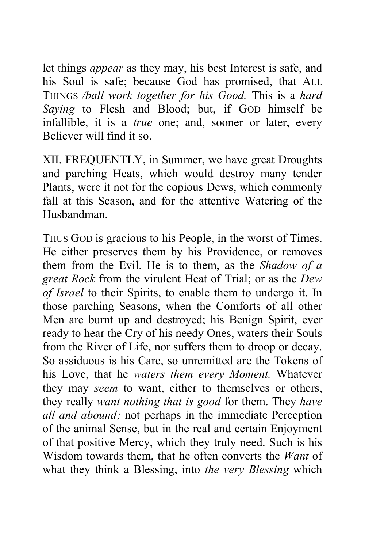let things *appear* as they may, his best Interest is safe, and his Soul is safe; because God has promised, that ALL THINGS */ball work together for his Good.* This is a *hard Saying* to Flesh and Blood; but, if GOD himself be infallible, it is a *true* one; and, sooner or later, every Believer will find it so.

XII. FREQUENTLY, in Summer, we have great Droughts and parching Heats, which would destroy many tender Plants, were it not for the copious Dews, which commonly fall at this Season, and for the attentive Watering of the Husbandman.

THUS GOD is gracious to his People, in the worst of Times. He either preserves them by his Providence, or removes them from the Evil. He is to them, as the *Shadow of a great Rock* from the virulent Heat of Trial; or as the *Dew of Israel* to their Spirits, to enable them to undergo it. In those parching Seasons, when the Comforts of all other Men are burnt up and destroyed; his Benign Spirit, ever ready to hear the Cry of his needy Ones, waters their Souls from the River of Life, nor suffers them to droop or decay. So assiduous is his Care, so unremitted are the Tokens of his Love, that he *waters them every Moment.* Whatever they may *seem* to want, either to themselves or others, they really *want nothing that is good* for them. They *have all and abound;* not perhaps in the immediate Perception of the animal Sense, but in the real and certain Enjoyment of that positive Mercy, which they truly need. Such is his Wisdom towards them, that he often converts the *Want* of what they think a Blessing, into *the very Blessing* which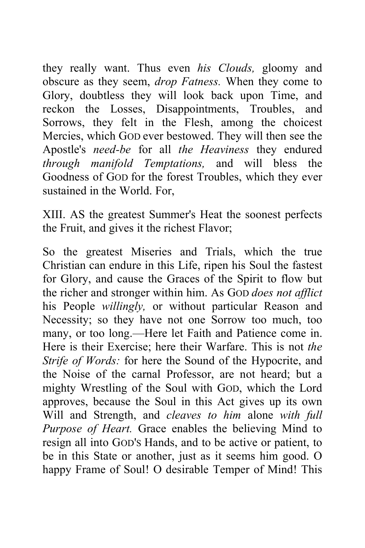they really want. Thus even *his Clouds,* gloomy and obscure as they seem, *drop Fatness.* When they come to Glory, doubtless they will look back upon Time, and reckon the Losses, Disappointments, Troubles, and Sorrows, they felt in the Flesh, among the choicest Mercies, which GOD ever bestowed. They will then see the Apostle's *need-be* for all *the Heaviness* they endured *through manifold Temptations,* and will bless the Goodness of GOD for the forest Troubles, which they ever sustained in the World. For,

XIII. AS the greatest Summer's Heat the soonest perfects the Fruit, and gives it the richest Flavor;

So the greatest Miseries and Trials, which the true Christian can endure in this Life, ripen his Soul the fastest for Glory, and cause the Graces of the Spirit to flow but the richer and stronger within him. As GOD *does not afflict*  his People *willingly,* or without particular Reason and Necessity; so they have not one Sorrow too much, too many, or too long.—Here let Faith and Patience come in. Here is their Exercise; here their Warfare. This is not *the Strife of Words:* for here the Sound of the Hypocrite, and the Noise of the carnal Professor, are not heard; but a mighty Wrestling of the Soul with GOD, which the Lord approves, because the Soul in this Act gives up its own Will and Strength, and *cleaves to him* alone *with full Purpose of Heart.* Grace enables the believing Mind to resign all into GOD'S Hands, and to be active or patient, to be in this State or another, just as it seems him good. O happy Frame of Soul! O desirable Temper of Mind! This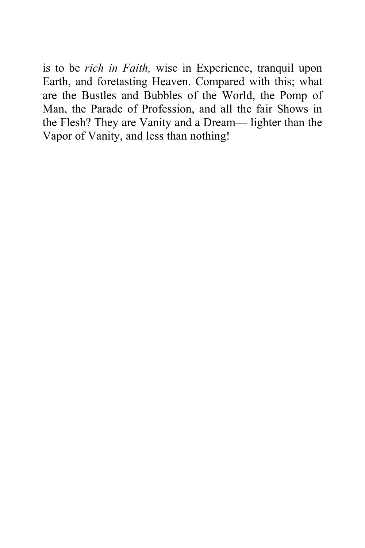is to be *rich in Faith,* wise in Experience, tranquil upon Earth, and foretasting Heaven. Compared with this; what are the Bustles and Bubbles of the World, the Pomp of Man, the Parade of Profession, and all the fair Shows in the Flesh? They are Vanity and a Dream— lighter than the Vapor of Vanity, and less than nothing!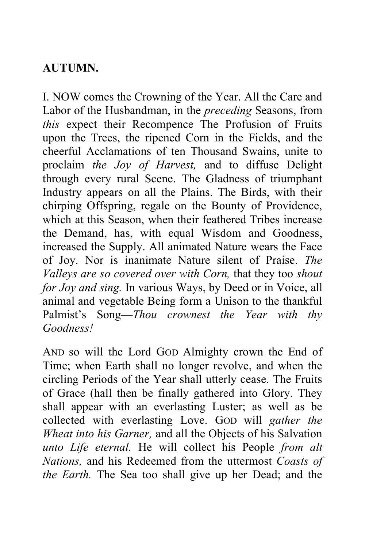## **AUTUMN.**

I. NOW comes the Crowning of the Year. All the Care and Labor of the Husbandman, in the *preceding* Seasons, from *this* expect their Recompence The Profusion of Fruits upon the Trees, the ripened Corn in the Fields, and the cheerful Acclamations of ten Thousand Swains, unite to proclaim *the Joy of Harvest,* and to diffuse Delight through every rural Scene. The Gladness of triumphant Industry appears on all the Plains. The Birds, with their chirping Offspring, regale on the Bounty of Providence, which at this Season, when their feathered Tribes increase the Demand, has, with equal Wisdom and Goodness, increased the Supply. All animated Nature wears the Face of Joy. Nor is inanimate Nature silent of Praise. *The Valleys are so covered over with Corn,* that they too *shout for Joy and sing.* In various Ways, by Deed or in Voice, all animal and vegetable Being form a Unison to the thankful Palmist's Song—*Thou crownest the Year with thy Goodness!* 

AND so will the Lord GOD Almighty crown the End of Time; when Earth shall no longer revolve, and when the circling Periods of the Year shall utterly cease. The Fruits of Grace (hall then be finally gathered into Glory. They shall appear with an everlasting Luster; as well as be collected with everlasting Love. GOD will *gather the Wheat into his Garner,* and all the Objects of his Salvation *unto Life eternal.* He will collect his People *from alt Nations,* and his Redeemed from the uttermost *Coasts of the Earth.* The Sea too shall give up her Dead; and the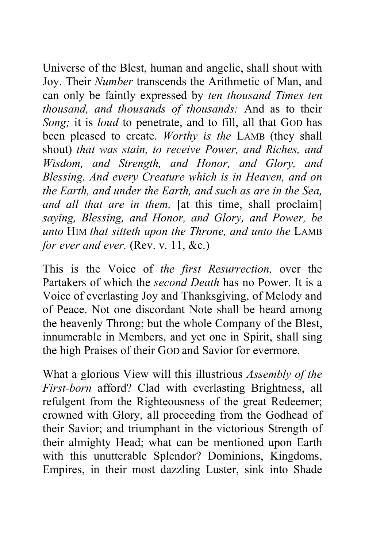Universe of the Blest, human and angelic, shall shout with Joy. Their *Number* transcends the Arithmetic of Man, and can only be faintly expressed by *ten thousand Times ten thousand, and thousands of thousands:* And as to their *Song;* it is *loud* to penetrate, and to fill, all that GOD has been pleased to create. *Worthy is the* LAMB (they shall shout) *that was stain, to receive Power, and Riches, and Wisdom, and Strength, and Honor, and Glory, and Blessing. And every Creature which is in Heaven, and on the Earth, and under the Earth, and such as are in the Sea, and all that are in them,* [at this time, shall proclaim] *saying, Blessing, and Honor, and Glory, and Power, be unto* HIM *that sitteth upon the Throne, and unto the* LAMB *for ever and ever.* (Rev. v. 11, &c.)

This is the Voice of *the first Resurrection,* over the Partakers of which the *second Death* has no Power. It is a Voice of everlasting Joy and Thanksgiving, of Melody and of Peace. Not one discordant Note shall be heard among the heavenly Throng; but the whole Company of the Blest, innumerable in Members, and yet one in Spirit, shall sing the high Praises of their GOD and Savior for evermore.

What a glorious View will this illustrious *Assembly of the First-born* afford? Clad with everlasting Brightness, all refulgent from the Righteousness of the great Redeemer; crowned with Glory, all proceeding from the Godhead of their Savior; and triumphant in the victorious Strength of their almighty Head; what can be mentioned upon Earth with this unutterable Splendor? Dominions, Kingdoms, Empires, in their most dazzling Luster, sink into Shade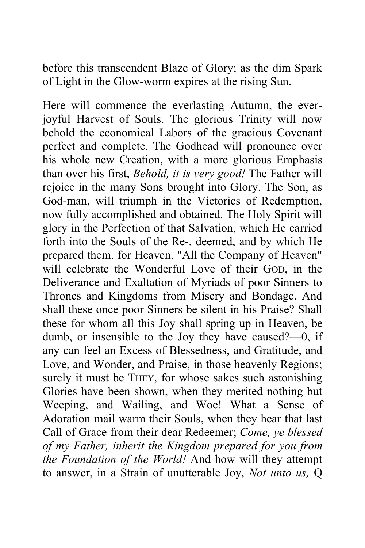before this transcendent Blaze of Glory; as the dim Spark of Light in the Glow-worm expires at the rising Sun.

Here will commence the everlasting Autumn, the everjoyful Harvest of Souls. The glorious Trinity will now behold the economical Labors of the gracious Covenant perfect and complete. The Godhead will pronounce over his whole new Creation, with a more glorious Emphasis than over his first, *Behold, it is very good!* The Father will rejoice in the many Sons brought into Glory. The Son, as God-man, will triumph in the Victories of Redemption, now fully accomplished and obtained. The Holy Spirit will glory in the Perfection of that Salvation, which He carried forth into the Souls of the Re-. deemed, and by which He prepared them. for Heaven. "All the Company of Heaven" will celebrate the Wonderful Love of their GOD, in the Deliverance and Exaltation of Myriads of poor Sinners to Thrones and Kingdoms from Misery and Bondage. And shall these once poor Sinners be silent in his Praise? Shall these for whom all this Joy shall spring up in Heaven, be dumb, or insensible to the Joy they have caused?—0, if any can feel an Excess of Blessedness, and Gratitude, and Love, and Wonder, and Praise, in those heavenly Regions; surely it must be THEY, for whose sakes such astonishing Glories have been shown, when they merited nothing but Weeping, and Wailing, and Woe! What a Sense of Adoration mail warm their Souls, when they hear that last Call of Grace from their dear Redeemer; *Come, ye blessed of my Father, inherit the Kingdom prepared for you from the Foundation of the World!* And how will they attempt to answer, in a Strain of unutterable Joy, *Not unto us,* Q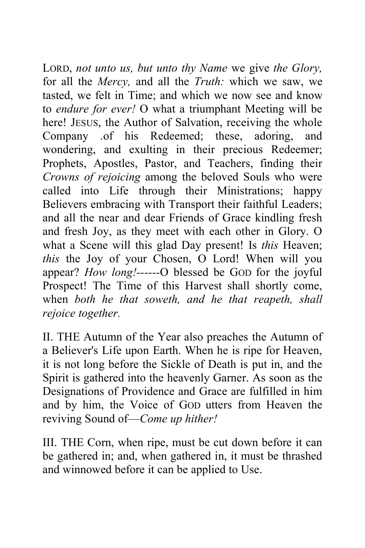LORD, *not unto us, but unto thy Name* we give *the Glory,*  for all the *Mercy,* and all the *Truth:* which we saw, we tasted, we felt in Time; and which we now see and know to *endure for ever!* O what a triumphant Meeting will be here! JESUS, the Author of Salvation, receiving the whole Company .of his Redeemed; these, adoring, and wondering, and exulting in their precious Redeemer; Prophets, Apostles, Pastor, and Teachers, finding their *Crowns of rejoicing* among the beloved Souls who were called into Life through their Ministrations; happy Believers embracing with Transport their faithful Leaders; and all the near and dear Friends of Grace kindling fresh and fresh Joy, as they meet with each other in Glory. O what a Scene will this glad Day present! Is *this* Heaven; *this* the Joy of your Chosen, O Lord! When will you appear? *How long!------*O blessed be GOD for the joyful Prospect! The Time of this Harvest shall shortly come, when *both he that soweth, and he that reapeth, shall rejoice together.* 

II. THE Autumn of the Year also preaches the Autumn of a Believer's Life upon Earth. When he is ripe for Heaven, it is not long before the Sickle of Death is put in, and the Spirit is gathered into the heavenly Garner. As soon as the Designations of Providence and Grace are fulfilled in him and by him, the Voice of GOD utters from Heaven the reviving Sound of—*Come up hither!*

III. THE Corn, when ripe, must be cut down before it can be gathered in; and, when gathered in, it must be thrashed and winnowed before it can be applied to Use.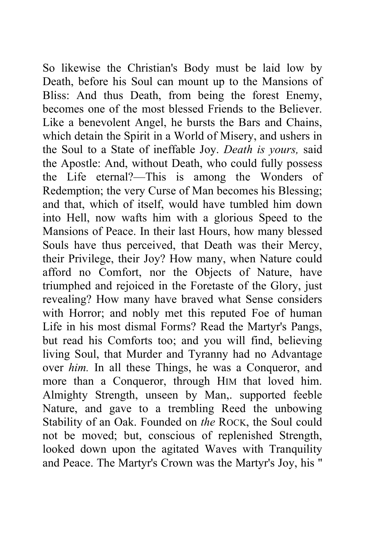So likewise the Christian's Body must be laid low by Death, before his Soul can mount up to the Mansions of Bliss: And thus Death, from being the forest Enemy, becomes one of the most blessed Friends to the Believer. Like a benevolent Angel, he bursts the Bars and Chains, which detain the Spirit in a World of Misery, and ushers in the Soul to a State of ineffable Joy. *Death is yours,* said the Apostle: And, without Death, who could fully possess the Life eternal?—This is among the Wonders of Redemption; the very Curse of Man becomes his Blessing; and that, which of itself, would have tumbled him down into Hell, now wafts him with a glorious Speed to the Mansions of Peace. In their last Hours, how many blessed Souls have thus perceived, that Death was their Mercy, their Privilege, their Joy? How many, when Nature could afford no Comfort, nor the Objects of Nature, have triumphed and rejoiced in the Foretaste of the Glory, just revealing? How many have braved what Sense considers with Horror; and nobly met this reputed Foe of human Life in his most dismal Forms? Read the Martyr's Pangs, but read his Comforts too; and you will find, believing living Soul, that Murder and Tyranny had no Advantage over *him.* In all these Things, he was a Conqueror, and more than a Conqueror, through HIM that loved him. Almighty Strength, unseen by Man,. supported feeble Nature, and gave to a trembling Reed the unbowing Stability of an Oak. Founded on *the* ROCK, the Soul could not be moved; but, conscious of replenished Strength, looked down upon the agitated Waves with Tranquility and Peace. The Martyr's Crown was the Martyr's Joy, his "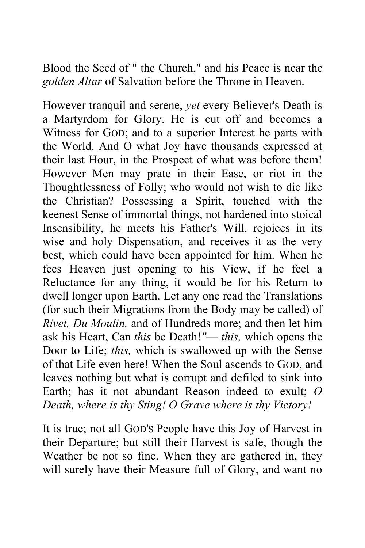Blood the Seed of " the Church," and his Peace is near the *golden Altar* of Salvation before the Throne in Heaven.

However tranquil and serene, *yet* every Believer's Death is a Martyrdom for Glory. He is cut off and becomes a Witness for GOD; and to a superior Interest he parts with the World. And O what Joy have thousands expressed at their last Hour, in the Prospect of what was before them! However Men may prate in their Ease, or riot in the Thoughtlessness of Folly; who would not wish to die like the Christian? Possessing a Spirit, touched with the keenest Sense of immortal things, not hardened into stoical Insensibility, he meets his Father's Will, rejoices in its wise and holy Dispensation, and receives it as the very best, which could have been appointed for him. When he fees Heaven just opening to his View, if he feel a Reluctance for any thing, it would be for his Return to dwell longer upon Earth. Let any one read the Translations (for such their Migrations from the Body may be called) of *Rivet, Du Moulin,* and of Hundreds more; and then let him ask his Heart, Can *this* be Death!*"*— *this,* which opens the Door to Life; *this,* which is swallowed up with the Sense of that Life even here! When the Soul ascends to GOD, and leaves nothing but what is corrupt and defiled to sink into Earth; has it not abundant Reason indeed to exult; *O Death, where is thy Sting! O Grave where is thy Victory!*

It is true; not all GOD'S People have this Joy of Harvest in their Departure; but still their Harvest is safe, though the Weather be not so fine. When they are gathered in, they will surely have their Measure full of Glory, and want no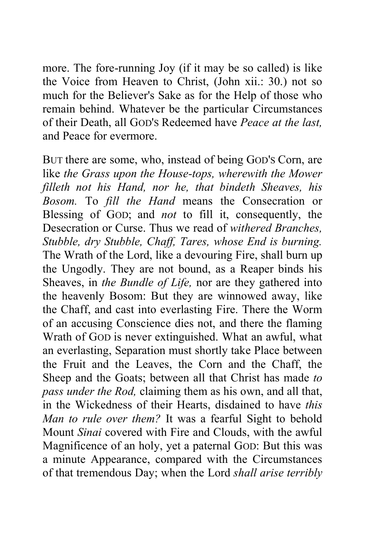more. The fore-running Joy (if it may be so called) is like the Voice from Heaven to Christ, (John xii.: 30.) not so much for the Believer's Sake as for the Help of those who remain behind. Whatever be the particular Circumstances of their Death, all GOD'S Redeemed have *Peace at the last,*  and Peace for evermore.

BUT there are some, who, instead of being GOD'S Corn, are like *the Grass upon the House-tops, wherewith the Mower filleth not his Hand, nor he, that bindeth Sheaves, his Bosom.* To *fill the Hand* means the Consecration or Blessing of GOD; and *not* to fill it, consequently, the Desecration or Curse. Thus we read of *withered Branches, Stubble, dry Stubble, Chaff, Tares, whose End is burning.*  The Wrath of the Lord, like a devouring Fire, shall burn up the Ungodly. They are not bound, as a Reaper binds his Sheaves, in *the Bundle of Life,* nor are they gathered into the heavenly Bosom: But they are winnowed away, like the Chaff, and cast into everlasting Fire. There the Worm of an accusing Conscience dies not, and there the flaming Wrath of GOD is never extinguished. What an awful, what an everlasting, Separation must shortly take Place between the Fruit and the Leaves, the Corn and the Chaff, the Sheep and the Goats; between all that Christ has made *to pass under the Rod,* claiming them as his own, and all that, in the Wickedness of their Hearts, disdained to have *this Man to rule over them?* It was a fearful Sight to behold Mount *Sinai* covered with Fire and Clouds, with the awful Magnificence of an holy, yet a paternal GOD: But this was a minute Appearance, compared with the Circumstances of that tremendous Day; when the Lord *shall arise terribly*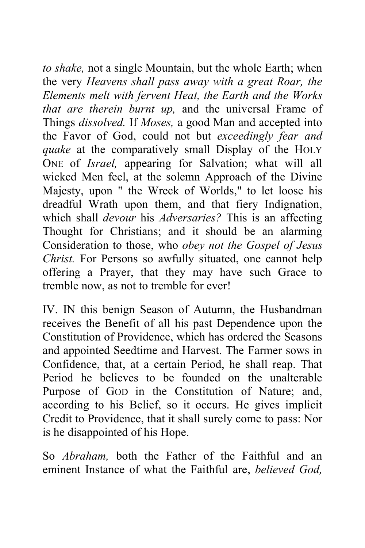*to shake,* not a single Mountain, but the whole Earth; when the very *Heavens shall pass away with a great Roar, the Elements melt with fervent Heat, the Earth and the Works that are therein burnt up,* and the universal Frame of Things *dissolved.* If *Moses,* a good Man and accepted into the Favor of God, could not but *exceedingly fear and quake* at the comparatively small Display of the HOLY ONE of *Israel,* appearing for Salvation; what will all wicked Men feel, at the solemn Approach of the Divine Majesty, upon " the Wreck of Worlds," to let loose his dreadful Wrath upon them, and that fiery Indignation, which shall *devour* his *Adversaries?* This is an affecting Thought for Christians; and it should be an alarming Consideration to those, who *obey not the Gospel of Jesus Christ.* For Persons so awfully situated, one cannot help offering a Prayer, that they may have such Grace to tremble now, as not to tremble for ever!

IV. IN this benign Season of Autumn, the Husbandman receives the Benefit of all his past Dependence upon the Constitution of Providence, which has ordered the Seasons and appointed Seedtime and Harvest. The Farmer sows in Confidence, that, at a certain Period, he shall reap. That Period he believes to be founded on the unalterable Purpose of GOD in the Constitution of Nature; and, according to his Belief, so it occurs. He gives implicit Credit to Providence, that it shall surely come to pass: Nor is he disappointed of his Hope.

So *Abraham,* both the Father of the Faithful and an eminent Instance of what the Faithful are, *believed God,*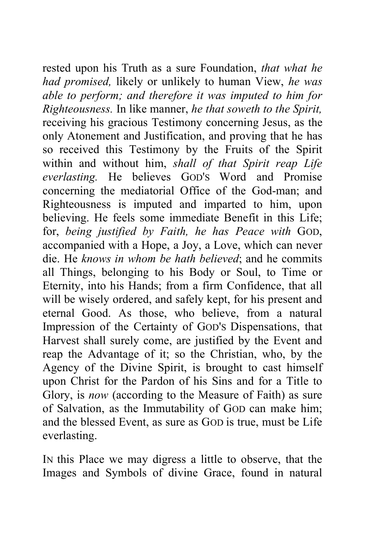rested upon his Truth as a sure Foundation, *that what he had promised,* likely or unlikely to human View, *he was able to perform; and therefore it was imputed to him for Righteousness.* In like manner, *he that soweth to the Spirit,*  receiving his gracious Testimony concerning Jesus, as the only Atonement and Justification, and proving that he has so received this Testimony by the Fruits of the Spirit within and without him, *shall of that Spirit reap Life everlasting.* He believes GOD'S Word and Promise concerning the mediatorial Office of the God-man; and Righteousness is imputed and imparted to him, upon believing. He feels some immediate Benefit in this Life; for, *being justified by Faith, he has Peace with* GOD, accompanied with a Hope, a Joy, a Love, which can never die. He *knows in whom be hath believed*; and he commits all Things, belonging to his Body or Soul, to Time or Eternity, into his Hands; from a firm Confidence, that all will be wisely ordered, and safely kept, for his present and eternal Good. As those, who believe, from a natural Impression of the Certainty of GOD'S Dispensations, that Harvest shall surely come, are justified by the Event and reap the Advantage of it; so the Christian, who, by the Agency of the Divine Spirit, is brought to cast himself upon Christ for the Pardon of his Sins and for a Title to Glory, is *now* (according to the Measure of Faith) as sure of Salvation, as the Immutability of GOD can make him; and the blessed Event, as sure as GOD is true, must be Life everlasting.

IN this Place we may digress a little to observe, that the Images and Symbols of divine Grace, found in natural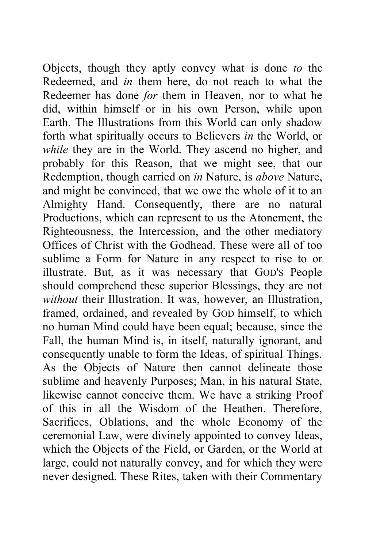Objects, though they aptly convey what is done *to* the Redeemed, and *in* them here, do not reach to what the Redeemer has done *for* them in Heaven, nor to what he did, within himself or in his own Person, while upon Earth. The Illustrations from this World can only shadow forth what spiritually occurs to Believers *in* the World, or *while* they are in the World. They ascend no higher, and probably for this Reason, that we might see, that our Redemption, though carried on *in* Nature, is *above* Nature, and might be convinced, that we owe the whole of it to an Almighty Hand. Consequently, there are no natural Productions, which can represent to us the Atonement, the Righteousness, the Intercession, and the other mediatory Offices of Christ with the Godhead. These were all of too sublime a Form for Nature in any respect to rise to or illustrate. But, as it was necessary that GOD'S People should comprehend these superior Blessings, they are not *without* their Illustration. It was, however, an Illustration, framed, ordained, and revealed by GOD himself, to which no human Mind could have been equal; because, since the Fall, the human Mind is, in itself, naturally ignorant, and consequently unable to form the Ideas, of spiritual Things. As the Objects of Nature then cannot delineate those sublime and heavenly Purposes; Man, in his natural State, likewise cannot conceive them. We have a striking Proof of this in all the Wisdom of the Heathen. Therefore, Sacrifices, Oblations, and the whole Economy of the ceremonial Law, were divinely appointed to convey Ideas, which the Objects of the Field, or Garden, or the World at large, could not naturally convey, and for which they were never designed. These Rites, taken with their Commentary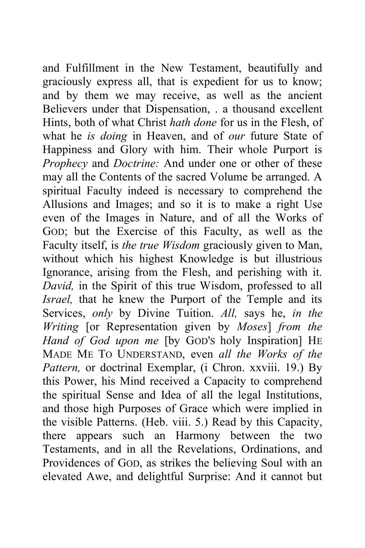and Fulfillment in the New Testament, beautifully and graciously express all, that is expedient for us to know; and by them we may receive, as well as the ancient Believers under that Dispensation, . a thousand excellent Hints, both of what Christ *hath done* for us in the Flesh, of what he *is doing* in Heaven, and of *our* future State of Happiness and Glory with him. Their whole Purport is *Prophecy* and *Doctrine:* And under one or other of these may all the Contents of the sacred Volume be arranged. A spiritual Faculty indeed is necessary to comprehend the Allusions and Images; and so it is to make a right Use even of the Images in Nature, and of all the Works of GOD; but the Exercise of this Faculty, as well as the Faculty itself, is *the true Wisdom* graciously given to Man, without which his highest Knowledge is but illustrious Ignorance, arising from the Flesh, and perishing with it. *David,* in the Spirit of this true Wisdom, professed to all *Israel,* that he knew the Purport of the Temple and its Services, *only* by Divine Tuition. *All,* says he, *in the Writing* [or Representation given by *Moses*] *from the Hand of God upon me* [by GOD'S holy Inspiration] HE MADE ME TO UNDERSTAND, even *all the Works of the*  Pattern, or doctrinal Exemplar, (i Chron. xxviii. 19.) By this Power, his Mind received a Capacity to comprehend the spiritual Sense and Idea of all the legal Institutions, and those high Purposes of Grace which were implied in the visible Patterns. (Heb. viii. 5.) Read by this Capacity, there appears such an Harmony between the two Testaments, and in all the Revelations, Ordinations, and Providences of GOD, as strikes the believing Soul with an elevated Awe, and delightful Surprise: And it cannot but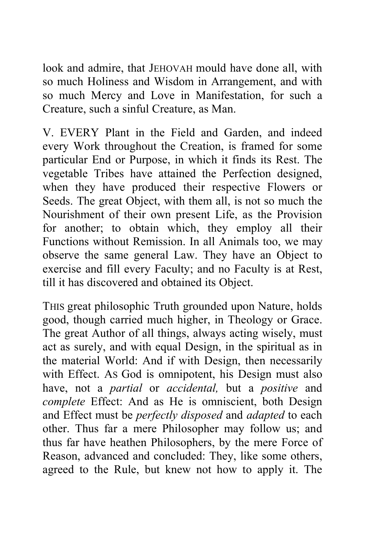look and admire, that JEHOVAH mould have done all, with so much Holiness and Wisdom in Arrangement, and with so much Mercy and Love in Manifestation, for such a Creature, such a sinful Creature, as Man.

V. EVERY Plant in the Field and Garden, and indeed every Work throughout the Creation, is framed for some particular End or Purpose, in which it finds its Rest. The vegetable Tribes have attained the Perfection designed, when they have produced their respective Flowers or Seeds. The great Object, with them all, is not so much the Nourishment of their own present Life, as the Provision for another; to obtain which, they employ all their Functions without Remission. In all Animals too, we may observe the same general Law. They have an Object to exercise and fill every Faculty; and no Faculty is at Rest, till it has discovered and obtained its Object.

THIS great philosophic Truth grounded upon Nature, holds good, though carried much higher, in Theology or Grace. The great Author of all things, always acting wisely, must act as surely, and with equal Design, in the spiritual as in the material World: And if with Design, then necessarily with Effect. AS God is omnipotent, his Design must also have, not a *partial* or *accidental,* but a *positive* and *complete* Effect: And as He is omniscient, both Design and Effect must be *perfectly disposed* and *adapted* to each other. Thus far a mere Philosopher may follow us; and thus far have heathen Philosophers, by the mere Force of Reason, advanced and concluded: They, like some others, agreed to the Rule, but knew not how to apply it. The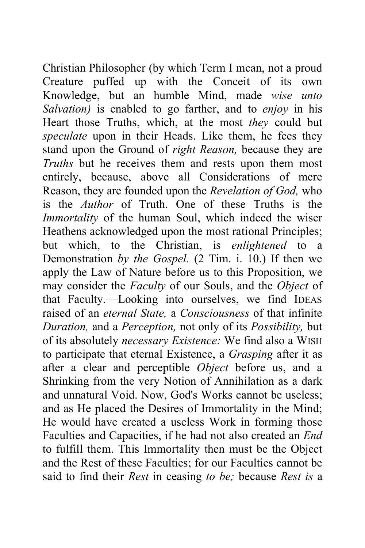Christian Philosopher (by which Term I mean, not a proud Creature puffed up with the Conceit of its own Knowledge, but an humble Mind, made *wise unto Salvation)* is enabled to go farther, and to *enjoy* in his Heart those Truths, which, at the most *they* could but *speculate* upon in their Heads. Like them, he fees they stand upon the Ground of *right Reason,* because they are *Truths* but he receives them and rests upon them most entirely, because, above all Considerations of mere Reason, they are founded upon the *Revelation of God,* who is the *Author* of Truth. One of these Truths is the *Immortality* of the human Soul, which indeed the wiser Heathens acknowledged upon the most rational Principles; but which, to the Christian, is *enlightened* to a Demonstration *by the Gospel.* (2 Tim. i. 10.) If then we apply the Law of Nature before us to this Proposition, we may consider the *Faculty* of our Souls, and the *Object* of that Faculty.—Looking into ourselves, we find IDEAS raised of an *eternal State,* a *Consciousness* of that infinite *Duration,* and a *Perception,* not only of its *Possibility,* but of its absolutely *necessary Existence:* We find also a WISH to participate that eternal Existence, a *Grasping* after it as after a clear and perceptible *Object* before us, and a Shrinking from the very Notion of Annihilation as a dark and unnatural Void. Now, God's Works cannot be useless; and as He placed the Desires of Immortality in the Mind; He would have created a useless Work in forming those Faculties and Capacities, if he had not also created an *End*  to fulfill them. This Immortality then must be the Object and the Rest of these Faculties; for our Faculties cannot be said to find their *Rest* in ceasing *to be;* because *Rest is* a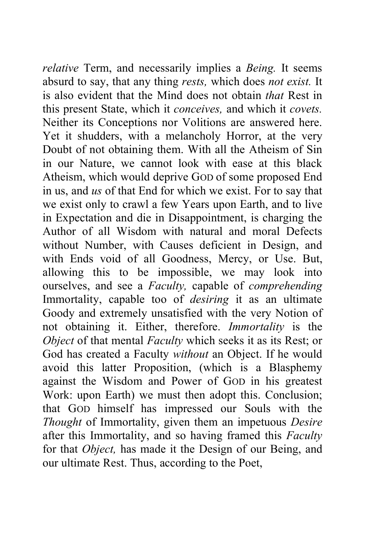*relative* Term, and necessarily implies a *Being.* It seems absurd to say, that any thing *rests,* which does *not exist.* It is also evident that the Mind does not obtain *that* Rest in this present State, which it *conceives,* and which it *covets.*  Neither its Conceptions nor Volitions are answered here. Yet it shudders, with a melancholy Horror, at the very Doubt of not obtaining them. With all the Atheism of Sin in our Nature, we cannot look with ease at this black Atheism, which would deprive GOD of some proposed End in us, and *us* of that End for which we exist. For to say that we exist only to crawl a few Years upon Earth, and to live in Expectation and die in Disappointment, is charging the Author of all Wisdom with natural and moral Defects without Number, with Causes deficient in Design, and with Ends void of all Goodness, Mercy, or Use. But, allowing this to be impossible, we may look into ourselves, and see a *Faculty,* capable of *comprehending*  Immortality, capable too of *desiring* it as an ultimate Goody and extremely unsatisfied with the very Notion of not obtaining it. Either, therefore. *Immortality* is the *Object* of that mental *Faculty* which seeks it as its Rest; or God has created a Faculty *without* an Object. If he would avoid this latter Proposition, (which is a Blasphemy against the Wisdom and Power of GOD in his greatest Work: upon Earth) we must then adopt this. Conclusion; that GOD himself has impressed our Souls with the *Thought* of Immortality, given them an impetuous *Desire*  after this Immortality, and so having framed this *Faculty*  for that *Object,* has made it the Design of our Being, and our ultimate Rest. Thus, according to the Poet,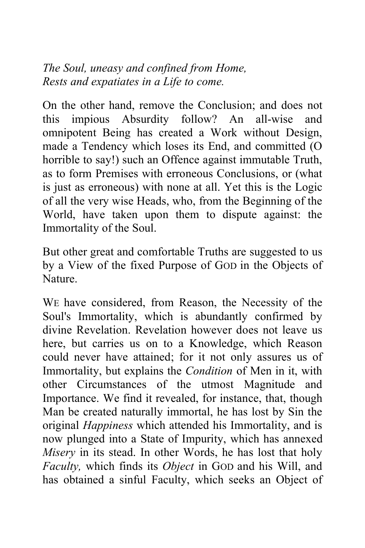*The Soul, uneasy and confined from Home, Rests and expatiates in a Life to come.*

On the other hand, remove the Conclusion; and does not this impious Absurdity follow? An all-wise and omnipotent Being has created a Work without Design, made a Tendency which loses its End, and committed (O horrible to say!) such an Offence against immutable Truth, as to form Premises with erroneous Conclusions, or (what is just as erroneous) with none at all. Yet this is the Logic of all the very wise Heads, who, from the Beginning of the World, have taken upon them to dispute against: the Immortality of the Soul.

But other great and comfortable Truths are suggested to us by a View of the fixed Purpose of GOD in the Objects of Nature.

WE have considered, from Reason, the Necessity of the Soul's Immortality, which is abundantly confirmed by divine Revelation. Revelation however does not leave us here, but carries us on to a Knowledge, which Reason could never have attained; for it not only assures us of Immortality, but explains the *Condition* of Men in it, with other Circumstances of the utmost Magnitude and Importance. We find it revealed, for instance, that, though Man be created naturally immortal, he has lost by Sin the original *Happiness* which attended his Immortality, and is now plunged into a State of Impurity, which has annexed *Misery* in its stead. In other Words, he has lost that holy *Faculty,* which finds its *Object* in GOD and his Will, and has obtained a sinful Faculty, which seeks an Object of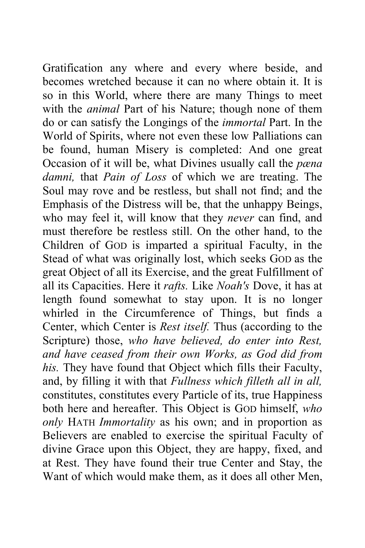Gratification any where and every where beside, and becomes wretched because it can no where obtain it. It is so in this World, where there are many Things to meet with the *animal* Part of his Nature; though none of them do or can satisfy the Longings of the *immortal* Part. In the World of Spirits, where not even these low Palliations can be found, human Misery is completed: And one great Occasion of it will be, what Divines usually call the *pæna damni,* that *Pain of Loss* of which we are treating. The Soul may rove and be restless, but shall not find; and the Emphasis of the Distress will be, that the unhappy Beings, who may feel it, will know that they *never* can find, and must therefore be restless still. On the other hand, to the Children of GOD is imparted a spiritual Faculty, in the Stead of what was originally lost, which seeks GOD as the great Object of all its Exercise, and the great Fulfillment of all its Capacities. Here it *rafts.* Like *Noah's* Dove, it has at length found somewhat to stay upon. It is no longer whirled in the Circumference of Things, but finds a Center, which Center is *Rest itself.* Thus (according to the Scripture) those, *who have believed, do enter into Rest, and have ceased from their own Works, as God did from his.* They have found that Object which fills their Faculty, and, by filling it with that *Fullness which filleth all in all,*  constitutes, constitutes every Particle of its, true Happiness both here and hereafter. This Object is GOD himself, *who only* HATH *Immortality* as his own; and in proportion as Believers are enabled to exercise the spiritual Faculty of divine Grace upon this Object, they are happy, fixed, and at Rest. They have found their true Center and Stay, the Want of which would make them, as it does all other Men,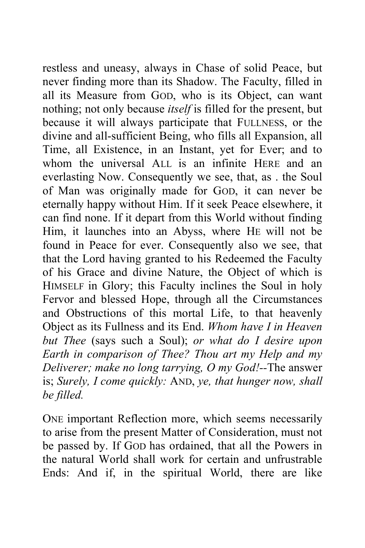restless and uneasy, always in Chase of solid Peace, but never finding more than its Shadow. The Faculty, filled in all its Measure from GOD, who is its Object, can want nothing; not only because *itself* is filled for the present, but because it will always participate that FULLNESS, or the divine and all-sufficient Being, who fills all Expansion, all Time, all Existence, in an Instant, yet for Ever; and to whom the universal ALL is an infinite HERE and an everlasting Now. Consequently we see, that, as . the Soul of Man was originally made for GOD, it can never be eternally happy without Him. If it seek Peace elsewhere, it can find none. If it depart from this World without finding Him, it launches into an Abyss, where HE will not be found in Peace for ever. Consequently also we see, that that the Lord having granted to his Redeemed the Faculty of his Grace and divine Nature, the Object of which is HIMSELF in Glory; this Faculty inclines the Soul in holy Fervor and blessed Hope, through all the Circumstances and Obstructions of this mortal Life, to that heavenly Object as its Fullness and its End. *Whom have I in Heaven but Thee* (says such a Soul); *or what do I desire upon Earth in comparison of Thee? Thou art my Help and my Deliverer; make no long tarrying, O my God!--*The answer is; *Surely, I come quickly:* AND, *ye, that hunger now, shall be filled.* 

ONE important Reflection more, which seems necessarily to arise from the present Matter of Consideration, must not be passed by. If GOD has ordained, that all the Powers in the natural World shall work for certain and unfrustrable Ends: And if, in the spiritual World, there are like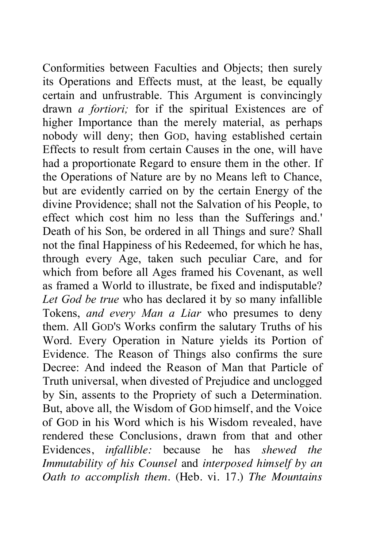Conformities between Faculties and Objects; then surely its Operations and Effects must, at the least, be equally certain and unfrustrable. This Argument is convincingly drawn *a fortiori;* for if the spiritual Existences are of higher Importance than the merely material, as perhaps nobody will deny; then GOD, having established certain Effects to result from certain Causes in the one, will have had a proportionate Regard to ensure them in the other. If the Operations of Nature are by no Means left to Chance, but are evidently carried on by the certain Energy of the divine Providence; shall not the Salvation of his People, to effect which cost him no less than the Sufferings and.' Death of his Son, be ordered in all Things and sure? Shall not the final Happiness of his Redeemed, for which he has, through every Age, taken such peculiar Care, and for which from before all Ages framed his Covenant, as well as framed a World to illustrate, be fixed and indisputable? *Let God be true* who has declared it by so many infallible Tokens, *and every Man a Liar* who presumes to deny them. All GOD'S Works confirm the salutary Truths of his Word. Every Operation in Nature yields its Portion of Evidence. The Reason of Things also confirms the sure Decree: And indeed the Reason of Man that Particle of Truth universal, when divested of Prejudice and unclogged by Sin, assents to the Propriety of such a Determination. But, above all, the Wisdom of GOD himself, and the Voice of GOD in his Word which is his Wisdom revealed, have rendered these Conclusions, drawn from that and other Evidences, *infallible:* because he has *shewed the Immutability of his Counsel* and *interposed himself by an Oath to accomplish them.* (Heb. vi. 17.) *The Mountains*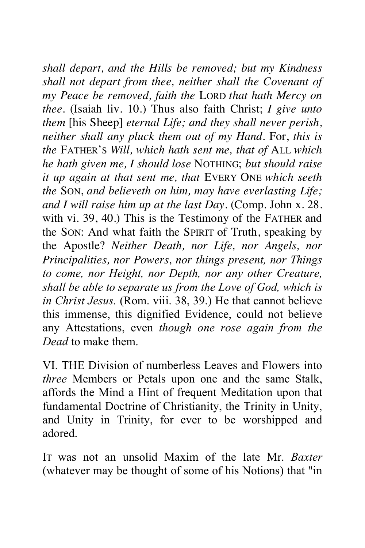*shall depart, and the Hills be removed; but my Kindness shall not depart from thee, neither shall the Covenant of my Peace be removed, faith the* LORD *that hath Mercy on thee.* (Isaiah liv. 10.) Thus also faith Christ; *I give unto them* [his Sheep] *eternal Life; and they shall never perish, neither shall any pluck them out of my Hand.* For, *this is the* FATHER'S *Will, which hath sent me, that of* ALL *which he hath given me, I should lose* NOTHING; *but should raise it up again at that sent me, that* EVERY ONE *which seeth the* SON, *and believeth on him, may have everlasting Life; and I will raise him up at the last Day.* (Comp. John x. 28. with vi. 39, 40.) This is the Testimony of the FATHER and the SON: And what faith the SPIRIT of Truth, speaking by the Apostle? *Neither Death, nor Life, nor Angels, nor Principalities, nor Powers, nor things present, nor Things to come, nor Height, nor Depth, nor any other Creature, shall be able to separate us from the Love of God, which is in Christ Jesus.* (Rom. viii. 38, 39.) He that cannot believe this immense, this dignified Evidence, could not believe any Attestations, even *though one rose again from the Dead* to make them.

VI. THE Division of numberless Leaves and Flowers into *three* Members or Petals upon one and the same Stalk, affords the Mind a Hint of frequent Meditation upon that fundamental Doctrine of Christianity, the Trinity in Unity, and Unity in Trinity, for ever to be worshipped and adored.

IT was not an unsolid Maxim of the late Mr. *Baxter*  (whatever may be thought of some of his Notions) that "in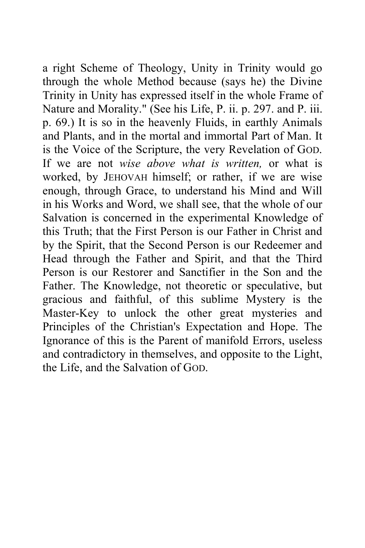a right Scheme of Theology, Unity in Trinity would go through the whole Method because (says he) the Divine Trinity in Unity has expressed itself in the whole Frame of Nature and Morality." (See his Life, P. ii. p. 297. and P. iii. p. 69.) It is so in the heavenly Fluids, in earthly Animals and Plants, and in the mortal and immortal Part of Man. It is the Voice of the Scripture, the very Revelation of GOD. If we are not *wise above what is written,* or what is worked, by JEHOVAH himself; or rather, if we are wise enough, through Grace, to understand his Mind and Will in his Works and Word, we shall see, that the whole of our Salvation is concerned in the experimental Knowledge of this Truth; that the First Person is our Father in Christ and by the Spirit, that the Second Person is our Redeemer and Head through the Father and Spirit, and that the Third Person is our Restorer and Sanctifier in the Son and the Father. The Knowledge, not theoretic or speculative, but gracious and faithful, of this sublime Mystery is the Master-Key to unlock the other great mysteries and Principles of the Christian's Expectation and Hope. The Ignorance of this is the Parent of manifold Errors, useless and contradictory in themselves, and opposite to the Light, the Life, and the Salvation of GOD.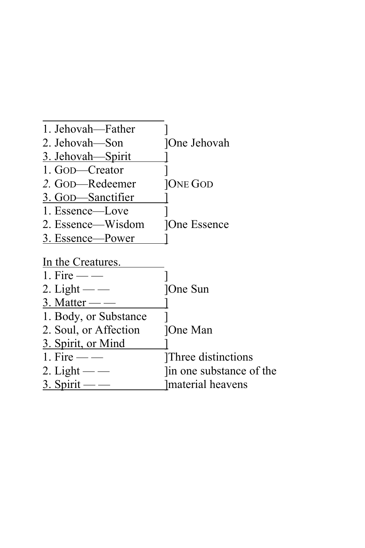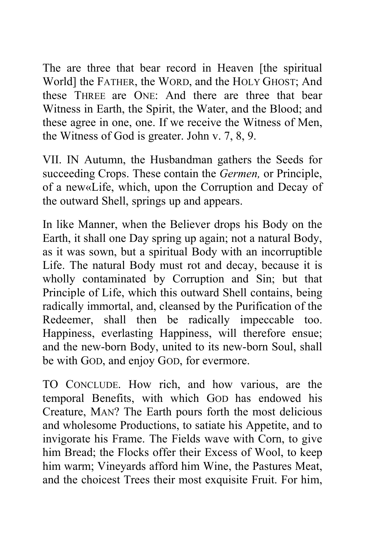The are three that bear record in Heaven [the spiritual World] the FATHER, the WORD, and the HOLY GHOST; And these THREE are ONE: And there are three that bear Witness in Earth, the Spirit, the Water, and the Blood; and these agree in one, one. If we receive the Witness of Men, the Witness of God is greater. John v. 7, 8, 9.

VII. IN Autumn, the Husbandman gathers the Seeds for succeeding Crops. These contain the *Germen,* or Principle, of a new«Life, which, upon the Corruption and Decay of the outward Shell, springs up and appears.

In like Manner, when the Believer drops his Body on the Earth, it shall one Day spring up again; not a natural Body, as it was sown, but a spiritual Body with an incorruptible Life. The natural Body must rot and decay, because it is wholly contaminated by Corruption and Sin; but that Principle of Life, which this outward Shell contains, being radically immortal, and, cleansed by the Purification of the Redeemer, shall then be radically impeccable too. Happiness, everlasting Happiness, will therefore ensue; and the new-born Body, united to its new-born Soul, shall be with GOD, and enjoy GOD, for evermore.

TO CONCLUDE. How rich, and how various, are the temporal Benefits, with which GOD has endowed his Creature, MAN? The Earth pours forth the most delicious and wholesome Productions, to satiate his Appetite, and to invigorate his Frame. The Fields wave with Corn, to give him Bread; the Flocks offer their Excess of Wool, to keep him warm; Vineyards afford him Wine, the Pastures Meat, and the choicest Trees their most exquisite Fruit. For him,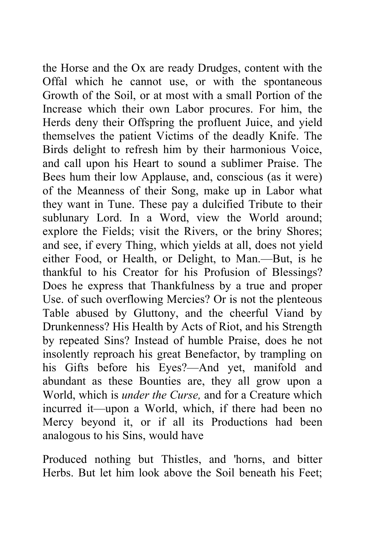the Horse and the Ox are ready Drudges, content with the Offal which he cannot use, or with the spontaneous Growth of the Soil, or at most with a small Portion of the Increase which their own Labor procures. For him, the Herds deny their Offspring the profluent Juice, and yield themselves the patient Victims of the deadly Knife. The Birds delight to refresh him by their harmonious Voice, and call upon his Heart to sound a sublimer Praise. The Bees hum their low Applause, and, conscious (as it were) of the Meanness of their Song, make up in Labor what they want in Tune. These pay a dulcified Tribute to their sublunary Lord. In a Word, view the World around; explore the Fields; visit the Rivers, or the briny Shores; and see, if every Thing, which yields at all, does not yield either Food, or Health, or Delight, to Man.—But, is he thankful to his Creator for his Profusion of Blessings? Does he express that Thankfulness by a true and proper Use. of such overflowing Mercies? Or is not the plenteous Table abused by Gluttony, and the cheerful Viand by Drunkenness? His Health by Acts of Riot, and his Strength by repeated Sins? Instead of humble Praise, does he not insolently reproach his great Benefactor, by trampling on his Gifts before his Eyes?—And yet, manifold and abundant as these Bounties are, they all grow upon a World, which is *under the Curse,* and for a Creature which incurred it—upon a World, which, if there had been no Mercy beyond it, or if all its Productions had been analogous to his Sins, would have

Produced nothing but Thistles, and 'horns, and bitter Herbs. But let him look above the Soil beneath his Feet;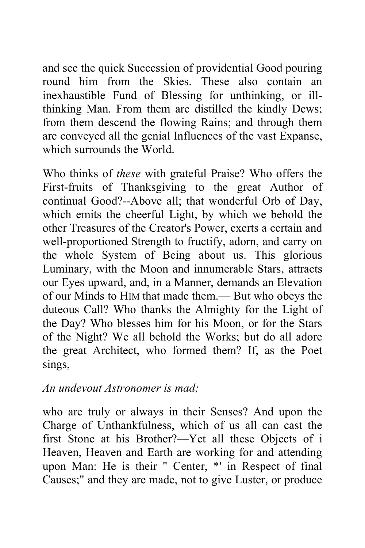and see the quick Succession of providential Good pouring round him from the Skies. These also contain an inexhaustible Fund of Blessing for unthinking, or illthinking Man. From them are distilled the kindly Dews; from them descend the flowing Rains; and through them are conveyed all the genial Influences of the vast Expanse, which surrounds the World.

Who thinks of *these* with grateful Praise? Who offers the First-fruits of Thanksgiving to the great Author of continual Good?--Above all; that wonderful Orb of Day, which emits the cheerful Light, by which we behold the other Treasures of the Creator's Power, exerts a certain and well-proportioned Strength to fructify, adorn, and carry on the whole System of Being about us. This glorious Luminary, with the Moon and innumerable Stars, attracts our Eyes upward, and, in a Manner, demands an Elevation of our Minds to HIM that made them.— But who obeys the duteous Call? Who thanks the Almighty for the Light of the Day? Who blesses him for his Moon, or for the Stars of the Night? We all behold the Works; but do all adore the great Architect, who formed them? If, as the Poet sings,

## *An undevout Astronomer is mad;*

who are truly or always in their Senses? And upon the Charge of Unthankfulness, which of us all can cast the first Stone at his Brother?—Yet all these Objects of i Heaven, Heaven and Earth are working for and attending upon Man: He is their " Center, \*' in Respect of final Causes;" and they are made, not to give Luster, or produce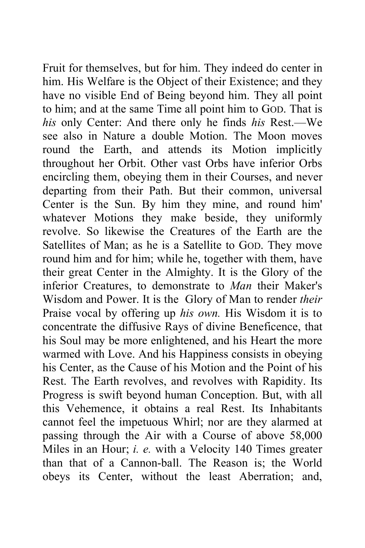Fruit for themselves, but for him. They indeed do center in him. His Welfare is the Object of their Existence; and they have no visible End of Being beyond him. They all point to him; and at the same Time all point him to GOD. That is *his* only Center: And there only he finds *his* Rest.—We see also in Nature a double Motion. The Moon moves round the Earth, and attends its Motion implicitly throughout her Orbit. Other vast Orbs have inferior Orbs encircling them, obeying them in their Courses, and never departing from their Path. But their common, universal Center is the Sun. By him they mine, and round him' whatever Motions they make beside, they uniformly revolve. So likewise the Creatures of the Earth are the Satellites of Man; as he is a Satellite to GOD. They move round him and for him; while he, together with them, have their great Center in the Almighty. It is the Glory of the inferior Creatures, to demonstrate to *Man* their Maker's Wisdom and Power. It is the Glory of Man to render *their*  Praise vocal by offering up *his own.* His Wisdom it is to concentrate the diffusive Rays of divine Beneficence, that his Soul may be more enlightened, and his Heart the more warmed with Love. And his Happiness consists in obeying his Center, as the Cause of his Motion and the Point of his Rest. The Earth revolves, and revolves with Rapidity. Its Progress is swift beyond human Conception. But, with all this Vehemence, it obtains a real Rest. Its Inhabitants cannot feel the impetuous Whirl; nor are they alarmed at passing through the Air with a Course of above 58,000 Miles in an Hour; *i. e.* with a Velocity 140 Times greater than that of a Cannon-ball. The Reason is; the World obeys its Center, without the least Aberration; and,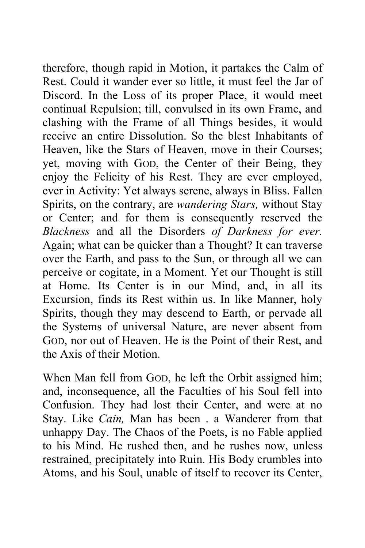therefore, though rapid in Motion, it partakes the Calm of Rest. Could it wander ever so little, it must feel the Jar of Discord. In the Loss of its proper Place, it would meet continual Repulsion; till, convulsed in its own Frame, and clashing with the Frame of all Things besides, it would receive an entire Dissolution. So the blest Inhabitants of Heaven, like the Stars of Heaven, move in their Courses; yet, moving with GOD, the Center of their Being, they enjoy the Felicity of his Rest. They are ever employed, ever in Activity: Yet always serene, always in Bliss. Fallen Spirits, on the contrary, are *wandering Stars,* without Stay or Center; and for them is consequently reserved the *Blackness* and all the Disorders *of Darkness for ever.*  Again; what can be quicker than a Thought? It can traverse over the Earth, and pass to the Sun, or through all we can perceive or cogitate, in a Moment. Yet our Thought is still at Home. Its Center is in our Mind, and, in all its Excursion, finds its Rest within us. In like Manner, holy Spirits, though they may descend to Earth, or pervade all the Systems of universal Nature, are never absent from GOD, nor out of Heaven. He is the Point of their Rest, and the Axis of their Motion.

When Man fell from GOD, he left the Orbit assigned him; and, inconsequence, all the Faculties of his Soul fell into Confusion. They had lost their Center, and were at no Stay. Like *Cain,* Man has been . a Wanderer from that unhappy Day. The Chaos of the Poets, is no Fable applied to his Mind. He rushed then, and he rushes now, unless restrained, precipitately into Ruin. His Body crumbles into Atoms, and his Soul, unable of itself to recover its Center,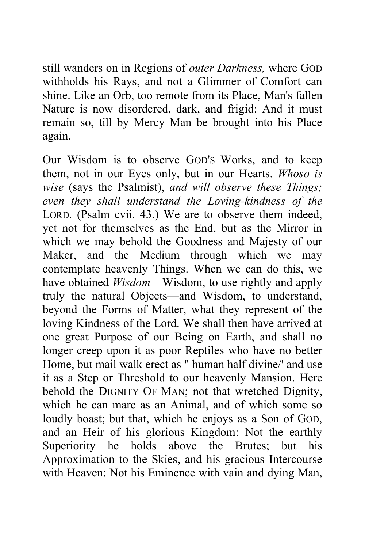still wanders on in Regions of *outer Darkness,* where GOD withholds his Rays, and not a Glimmer of Comfort can shine. Like an Orb, too remote from its Place, Man's fallen Nature is now disordered, dark, and frigid: And it must remain so, till by Mercy Man be brought into his Place again.

Our Wisdom is to observe GOD'S Works, and to keep them, not in our Eyes only, but in our Hearts. *Whoso is wise* (says the Psalmist), *and will observe these Things; even they shall understand the Loving-kindness of the*  LORD. (Psalm cvii. 43.) We are to observe them indeed, yet not for themselves as the End, but as the Mirror in which we may behold the Goodness and Majesty of our Maker, and the Medium through which we may contemplate heavenly Things. When we can do this, we have obtained *Wisdom*—Wisdom, to use rightly and apply truly the natural Objects—and Wisdom, to understand, beyond the Forms of Matter, what they represent of the loving Kindness of the Lord. We shall then have arrived at one great Purpose of our Being on Earth, and shall no longer creep upon it as poor Reptiles who have no better Home, but mail walk erect as " human half divine/' and use it as a Step or Threshold to our heavenly Mansion. Here behold the DIGNITY OF MAN; not that wretched Dignity, which he can mare as an Animal, and of which some so loudly boast; but that, which he enjoys as a Son of GOD, and an Heir of his glorious Kingdom: Not the earthly Superiority he holds above the Brutes; but his Approximation to the Skies, and his gracious Intercourse with Heaven: Not his Eminence with vain and dying Man,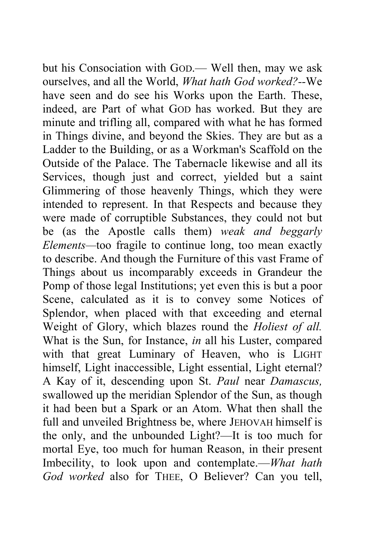but his Consociation with GOD.— Well then, may we ask ourselves, and all the World, *What hath God worked?--*We have seen and do see his Works upon the Earth. These, indeed, are Part of what GOD has worked. But they are minute and trifling all, compared with what he has formed in Things divine, and beyond the Skies. They are but as a Ladder to the Building, or as a Workman's Scaffold on the Outside of the Palace. The Tabernacle likewise and all its Services, though just and correct, yielded but a saint Glimmering of those heavenly Things, which they were intended to represent. In that Respects and because they were made of corruptible Substances, they could not but be (as the Apostle calls them) *weak and beggarly Elements—*too fragile to continue long, too mean exactly to describe. And though the Furniture of this vast Frame of Things about us incomparably exceeds in Grandeur the Pomp of those legal Institutions; yet even this is but a poor Scene, calculated as it is to convey some Notices of Splendor, when placed with that exceeding and eternal Weight of Glory, which blazes round the *Holiest of all.*  What is the Sun, for Instance, *in* all his Luster, compared with that great Luminary of Heaven, who is LIGHT himself, Light inaccessible, Light essential, Light eternal? A Kay of it, descending upon St. *Paul* near *Damascus,*  swallowed up the meridian Splendor of the Sun, as though it had been but a Spark or an Atom. What then shall the full and unveiled Brightness be, where JEHOVAH himself is the only, and the unbounded Light?—It is too much for mortal Eye, too much for human Reason, in their present Imbecility, to look upon and contemplate.—*What hath God worked* also for THEE, O Believer? Can you tell,